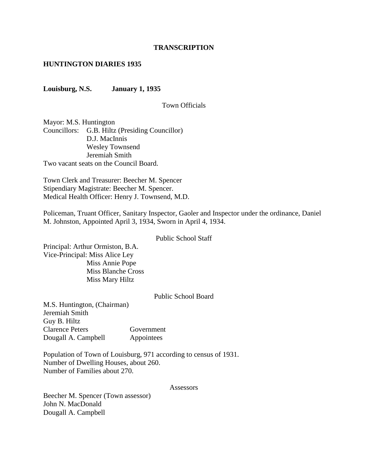#### **TRANSCRIPTION**

#### **HUNTINGTON DIARIES 1935**

**Louisburg, N.S. January 1, 1935**

#### Town Officials

Mayor: M.S. Huntington Councillors: G.B. Hiltz (Presiding Councillor) D.J. MacInnis Wesley Townsend Jeremiah Smith Two vacant seats on the Council Board.

Town Clerk and Treasurer: Beecher M. Spencer Stipendiary Magistrate: Beecher M. Spencer. Medical Health Officer: Henry J. Townsend, M.D.

Policeman, Truant Officer, Sanitary Inspector, Gaoler and Inspector under the ordinance, Daniel M. Johnston, Appointed April 3, 1934, Sworn in April 4, 1934.

#### Public School Staff

Principal: Arthur Ormiston, B.A. Vice-Principal: Miss Alice Ley Miss Annie Pope Miss Blanche Cross Miss Mary Hiltz

#### Public School Board

M.S. Huntington, (Chairman) Jeremiah Smith Guy B. Hiltz Clarence Peters Government Dougall A. Campbell Appointees

Population of Town of Louisburg, 971 according to census of 1931. Number of Dwelling Houses, about 260. Number of Families about 270.

#### **Assessors**

Beecher M. Spencer (Town assessor) John N. MacDonald Dougall A. Campbell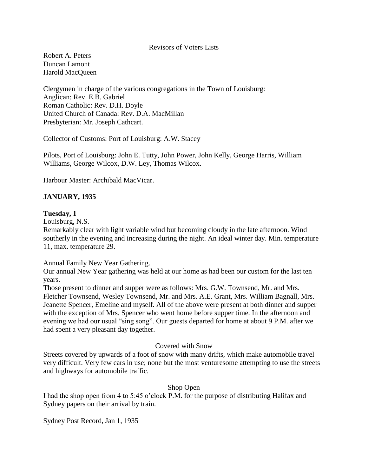#### Revisors of Voters Lists

Robert A. Peters Duncan Lamont Harold MacQueen

Clergymen in charge of the various congregations in the Town of Louisburg: Anglican: Rev. E.B. Gabriel Roman Catholic: Rev. D.H. Doyle United Church of Canada: Rev. D.A. MacMillan Presbyterian: Mr. Joseph Cathcart.

Collector of Customs: Port of Louisburg: A.W. Stacey

Pilots, Port of Louisburg: John E. Tutty, John Power, John Kelly, George Harris, William Williams, George Wilcox, D.W. Ley, Thomas Wilcox.

Harbour Master: Archibald MacVicar.

## **JANUARY, 1935**

#### **Tuesday, 1**

Louisburg, N.S.

Remarkably clear with light variable wind but becoming cloudy in the late afternoon. Wind southerly in the evening and increasing during the night. An ideal winter day. Min. temperature 11, max. temperature 29.

Annual Family New Year Gathering.

Our annual New Year gathering was held at our home as had been our custom for the last ten years.

Those present to dinner and supper were as follows: Mrs. G.W. Townsend, Mr. and Mrs. Fletcher Townsend, Wesley Townsend, Mr. and Mrs. A.E. Grant, Mrs. William Bagnall, Mrs. Jeanette Spencer, Emeline and myself. All of the above were present at both dinner and supper with the exception of Mrs. Spencer who went home before supper time. In the afternoon and evening we had our usual "sing song". Our guests departed for home at about 9 P.M. after we had spent a very pleasant day together.

#### Covered with Snow

Streets covered by upwards of a foot of snow with many drifts, which make automobile travel very difficult. Very few cars in use; none but the most venturesome attempting to use the streets and highways for automobile traffic.

#### Shop Open

I had the shop open from 4 to 5:45 o'clock P.M. for the purpose of distributing Halifax and Sydney papers on their arrival by train.

Sydney Post Record, Jan 1, 1935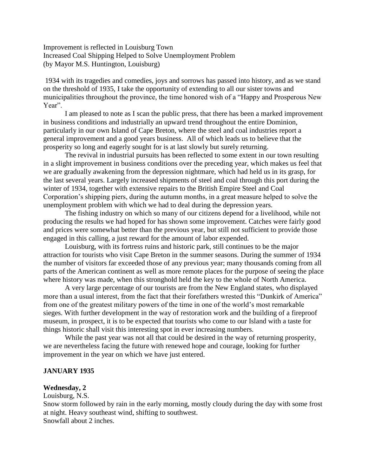Improvement is reflected in Louisburg Town Increased Coal Shipping Helped to Solve Unemployment Problem (by Mayor M.S. Huntington, Louisburg)

1934 with its tragedies and comedies, joys and sorrows has passed into history, and as we stand on the threshold of 1935, I take the opportunity of extending to all our sister towns and municipalities throughout the province, the time honored wish of a "Happy and Prosperous New Year".

I am pleased to note as I scan the public press, that there has been a marked improvement in business conditions and industrially an upward trend throughout the entire Dominion, particularly in our own Island of Cape Breton, where the steel and coal industries report a general improvement and a good years business. All of which leads us to believe that the prosperity so long and eagerly sought for is at last slowly but surely returning.

The revival in industrial pursuits has been reflected to some extent in our town resulting in a slight improvement in business conditions over the preceding year, which makes us feel that we are gradually awakening from the depression nightmare, which had held us in its grasp, for the last several years. Largely increased shipments of steel and coal through this port during the winter of 1934, together with extensive repairs to the British Empire Steel and Coal Corporation's shipping piers, during the autumn months, in a great measure helped to solve the unemployment problem with which we had to deal during the depression years.

The fishing industry on which so many of our citizens depend for a livelihood, while not producing the results we had hoped for has shown some improvement. Catches were fairly good and prices were somewhat better than the previous year, but still not sufficient to provide those engaged in this calling, a just reward for the amount of labor expended.

Louisburg, with its fortress ruins and historic park, still continues to be the major attraction for tourists who visit Cape Breton in the summer seasons. During the summer of 1934 the number of visitors far exceeded those of any previous year; many thousands coming from all parts of the American continent as well as more remote places for the purpose of seeing the place where history was made, when this stronghold held the key to the whole of North America.

A very large percentage of our tourists are from the New England states, who displayed more than a usual interest, from the fact that their forefathers wrested this "Dunkirk of America" from one of the greatest military powers of the time in one of the world's most remarkable sieges. With further development in the way of restoration work and the building of a fireproof museum, in prospect, it is to be expected that tourists who come to our Island with a taste for things historic shall visit this interesting spot in ever increasing numbers.

While the past year was not all that could be desired in the way of returning prosperity, we are nevertheless facing the future with renewed hope and courage, looking for further improvement in the year on which we have just entered.

#### **JANUARY 1935**

#### **Wednesday, 2**

Louisburg, N.S.

Snow storm followed by rain in the early morning, mostly cloudy during the day with some frost at night. Heavy southeast wind, shifting to southwest. Snowfall about 2 inches.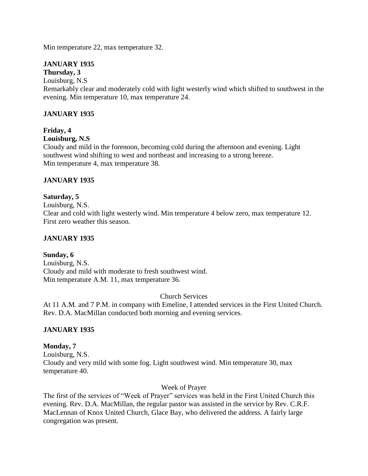Min temperature 22, max temperature 32.

# **JANUARY 1935**

#### **Thursday, 3** Louisburg, N.S

Remarkably clear and moderately cold with light westerly wind which shifted to southwest in the evening. Min temperature 10, max temperature 24.

## **JANUARY 1935**

# **Friday, 4**

## **Louisburg, N.S**

Cloudy and mild in the forenoon, becoming cold during the afternoon and evening. Light southwest wind shifting to west and northeast and increasing to a strong breeze. Min temperature 4, max temperature 38.

## **JANUARY 1935**

## **Saturday, 5**

Louisburg, N.S.

Clear and cold with light westerly wind. Min temperature 4 below zero, max temperature 12. First zero weather this season.

## **JANUARY 1935**

## **Sunday, 6**

Louisburg, N.S. Cloudy and mild with moderate to fresh southwest wind. Min temperature A.M. 11, max temperature 36.

#### Church Services

At 11 A.M. and 7 P.M. in company with Emeline, I attended services in the First United Church. Rev. D.A. MacMillan conducted both morning and evening services.

## **JANUARY 1935**

#### **Monday, 7**

Louisburg, N.S. Cloudy and very mild with some fog. Light southwest wind. Min temperature 30, max temperature 40.

#### Week of Prayer

The first of the services of "Week of Prayer" services was held in the First United Church this evening. Rev. D.A. MacMillan, the regular pastor was assisted in the service by Rev. C.R.F. MacLennan of Knox United Church, Glace Bay, who delivered the address. A fairly large congregation was present.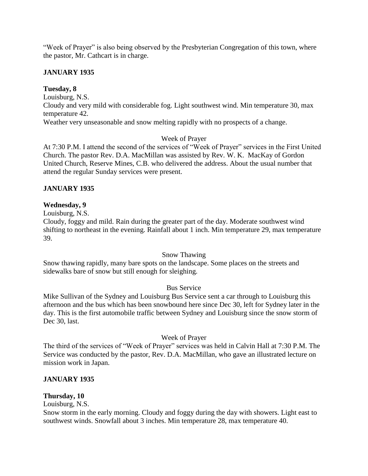"Week of Prayer" is also being observed by the Presbyterian Congregation of this town, where the pastor, Mr. Cathcart is in charge.

## **JANUARY 1935**

## **Tuesday, 8**

Louisburg, N.S.

Cloudy and very mild with considerable fog. Light southwest wind. Min temperature 30, max temperature 42.

Weather very unseasonable and snow melting rapidly with no prospects of a change.

## Week of Prayer

At 7:30 P.M. I attend the second of the services of "Week of Prayer" services in the First United Church. The pastor Rev. D.A. MacMillan was assisted by Rev. W. K. MacKay of Gordon United Church, Reserve Mines, C.B. who delivered the address. About the usual number that attend the regular Sunday services were present.

## **JANUARY 1935**

## **Wednesday, 9**

Louisburg, N.S.

Cloudy, foggy and mild. Rain during the greater part of the day. Moderate southwest wind shifting to northeast in the evening. Rainfall about 1 inch. Min temperature 29, max temperature 39.

#### Snow Thawing

Snow thawing rapidly, many bare spots on the landscape. Some places on the streets and sidewalks bare of snow but still enough for sleighing.

## Bus Service

Mike Sullivan of the Sydney and Louisburg Bus Service sent a car through to Louisburg this afternoon and the bus which has been snowbound here since Dec 30, left for Sydney later in the day. This is the first automobile traffic between Sydney and Louisburg since the snow storm of Dec 30, last.

#### Week of Prayer

The third of the services of "Week of Prayer" services was held in Calvin Hall at 7:30 P.M. The Service was conducted by the pastor, Rev. D.A. MacMillan, who gave an illustrated lecture on mission work in Japan.

#### **JANUARY 1935**

## **Thursday, 10**

Louisburg, N.S.

Snow storm in the early morning. Cloudy and foggy during the day with showers. Light east to southwest winds. Snowfall about 3 inches. Min temperature 28, max temperature 40.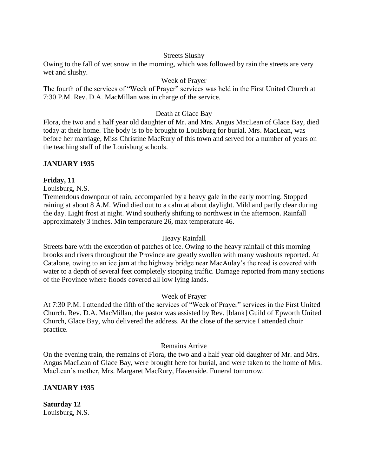#### Streets Slushy

Owing to the fall of wet snow in the morning, which was followed by rain the streets are very wet and slushy.

## Week of Prayer

The fourth of the services of "Week of Prayer" services was held in the First United Church at 7:30 P.M. Rev. D.A. MacMillan was in charge of the service.

## Death at Glace Bay

Flora, the two and a half year old daughter of Mr. and Mrs. Angus MacLean of Glace Bay, died today at their home. The body is to be brought to Louisburg for burial. Mrs. MacLean, was before her marriage, Miss Christine MacRury of this town and served for a number of years on the teaching staff of the Louisburg schools.

## **JANUARY 1935**

## **Friday, 11**

Louisburg, N.S.

Tremendous downpour of rain, accompanied by a heavy gale in the early morning. Stopped raining at about 8 A.M. Wind died out to a calm at about daylight. Mild and partly clear during the day. Light frost at night. Wind southerly shifting to northwest in the afternoon. Rainfall approximately 3 inches. Min temperature 26, max temperature 46.

#### Heavy Rainfall

Streets bare with the exception of patches of ice. Owing to the heavy rainfall of this morning brooks and rivers throughout the Province are greatly swollen with many washouts reported. At Catalone, owing to an ice jam at the highway bridge near MacAulay's the road is covered with water to a depth of several feet completely stopping traffic. Damage reported from many sections of the Province where floods covered all low lying lands.

#### Week of Prayer

At 7:30 P.M. I attended the fifth of the services of "Week of Prayer" services in the First United Church. Rev. D.A. MacMillan, the pastor was assisted by Rev. [blank] Guild of Epworth United Church, Glace Bay, who delivered the address. At the close of the service I attended choir practice.

#### Remains Arrive

On the evening train, the remains of Flora, the two and a half year old daughter of Mr. and Mrs. Angus MacLean of Glace Bay, were brought here for burial, and were taken to the home of Mrs. MacLean's mother, Mrs. Margaret MacRury, Havenside. Funeral tomorrow.

## **JANUARY 1935**

**Saturday 12** Louisburg, N.S.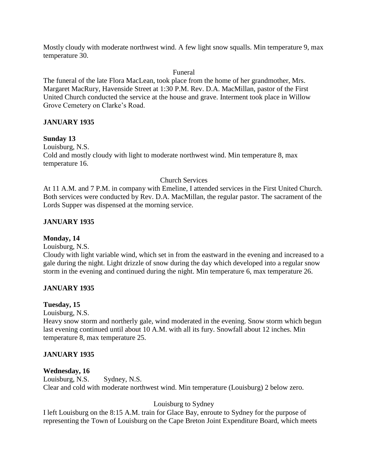Mostly cloudy with moderate northwest wind. A few light snow squalls. Min temperature 9, max temperature 30.

#### Funeral

The funeral of the late Flora MacLean, took place from the home of her grandmother, Mrs. Margaret MacRury, Havenside Street at 1:30 P.M. Rev. D.A. MacMillan, pastor of the First United Church conducted the service at the house and grave. Interment took place in Willow Grove Cemetery on Clarke's Road.

## **JANUARY 1935**

## **Sunday 13**

Louisburg, N.S. Cold and mostly cloudy with light to moderate northwest wind. Min temperature 8, max temperature 16.

## Church Services

At 11 A.M. and 7 P.M. in company with Emeline, I attended services in the First United Church. Both services were conducted by Rev. D.A. MacMillan, the regular pastor. The sacrament of the Lords Supper was dispensed at the morning service.

## **JANUARY 1935**

## **Monday, 14**

Louisburg, N.S.

Cloudy with light variable wind, which set in from the eastward in the evening and increased to a gale during the night. Light drizzle of snow during the day which developed into a regular snow storm in the evening and continued during the night. Min temperature 6, max temperature 26.

## **JANUARY 1935**

## **Tuesday, 15**

Louisburg, N.S.

Heavy snow storm and northerly gale, wind moderated in the evening. Snow storm which begun last evening continued until about 10 A.M. with all its fury. Snowfall about 12 inches. Min temperature 8, max temperature 25.

## **JANUARY 1935**

## **Wednesday, 16**

Louisburg, N.S. Sydney, N.S. Clear and cold with moderate northwest wind. Min temperature (Louisburg) 2 below zero.

## Louisburg to Sydney

I left Louisburg on the 8:15 A.M. train for Glace Bay, enroute to Sydney for the purpose of representing the Town of Louisburg on the Cape Breton Joint Expenditure Board, which meets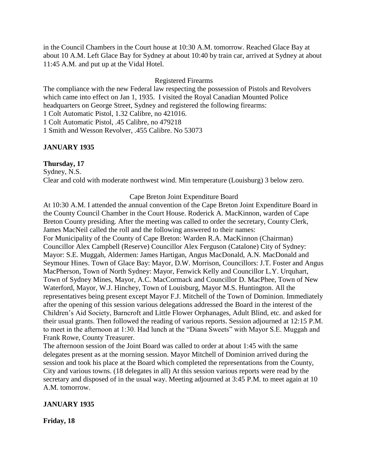in the Council Chambers in the Court house at 10:30 A.M. tomorrow. Reached Glace Bay at about 10 A.M. Left Glace Bay for Sydney at about 10:40 by train car, arrived at Sydney at about 11:45 A.M. and put up at the Vidal Hotel.

#### Registered Firearms

The compliance with the new Federal law respecting the possession of Pistols and Revolvers which came into effect on Jan 1, 1935. I visited the Royal Canadian Mounted Police headquarters on George Street, Sydney and registered the following firearms:

1 Colt Automatic Pistol, 1.32 Calibre, no 421016.

1 Colt Automatic Pistol, .45 Calibre, no 479218

1 Smith and Wesson Revolver, .455 Calibre. No 53073

#### **JANUARY 1935**

#### **Thursday, 17**

Sydney, N.S. Clear and cold with moderate northwest wind. Min temperature (Louisburg) 3 below zero.

#### Cape Breton Joint Expenditure Board

At 10:30 A.M. I attended the annual convention of the Cape Breton Joint Expenditure Board in the County Council Chamber in the Court House. Roderick A. MacKinnon, warden of Cape Breton County presiding. After the meeting was called to order the secretary, County Clerk, James MacNeil called the roll and the following answered to their names: For Municipality of the County of Cape Breton: Warden R.A. MacKinnon (Chairman) Councillor Alex Campbell (Reserve) Councillor Alex Ferguson (Catalone) City of Sydney: Mayor: S.E. Muggah, Aldermen: James Hartigan, Angus MacDonald, A.N. MacDonald and Seymour Hines. Town of Glace Bay: Mayor, D.W. Morrison, Councillors: J.T. Foster and Angus MacPherson, Town of North Sydney: Mayor, Fenwick Kelly and Councillor L.Y. Urquhart, Town of Sydney Mines, Mayor, A.C. MacCormack and Councillor D. MacPhee, Town of New Waterford, Mayor, W.J. Hinchey, Town of Louisburg, Mayor M.S. Huntington. All the representatives being present except Mayor F.J. Mitchell of the Town of Dominion. Immediately after the opening of this session various delegations addressed the Board in the interest of the Children's Aid Society, Barncroft and Little Flower Orphanages, Adult Blind, etc. and asked for their usual grants. Then followed the reading of various reports. Session adjourned at 12:15 P.M. to meet in the afternoon at 1:30. Had lunch at the "Diana Sweets" with Mayor S.E. Muggah and Frank Rowe, County Treasurer.

The afternoon session of the Joint Board was called to order at about 1:45 with the same delegates present as at the morning session. Mayor Mitchell of Dominion arrived during the session and took his place at the Board which completed the representations from the County, City and various towns. (18 delegates in all) At this session various reports were read by the secretary and disposed of in the usual way. Meeting adjourned at 3:45 P.M. to meet again at 10 A.M. tomorrow.

#### **JANUARY 1935**

**Friday, 18**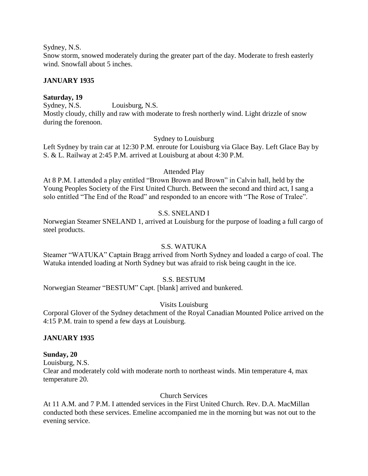Sydney, N.S.

Snow storm, snowed moderately during the greater part of the day. Moderate to fresh easterly wind. Snowfall about 5 inches.

## **JANUARY 1935**

## **Saturday, 19**

Sydney, N.S. Louisburg, N.S. Mostly cloudy, chilly and raw with moderate to fresh northerly wind. Light drizzle of snow during the forenoon.

#### Sydney to Louisburg

Left Sydney by train car at 12:30 P.M. enroute for Louisburg via Glace Bay. Left Glace Bay by S. & L. Railway at 2:45 P.M. arrived at Louisburg at about 4:30 P.M.

## Attended Play

At 8 P.M. I attended a play entitled "Brown Brown and Brown" in Calvin hall, held by the Young Peoples Society of the First United Church. Between the second and third act, I sang a solo entitled "The End of the Road" and responded to an encore with "The Rose of Tralee".

## S.S. SNELAND I

Norwegian Steamer SNELAND 1, arrived at Louisburg for the purpose of loading a full cargo of steel products.

## S.S. WATUKA

Steamer "WATUKA" Captain Bragg arrived from North Sydney and loaded a cargo of coal. The Watuka intended loading at North Sydney but was afraid to risk being caught in the ice.

## S.S. BESTUM

Norwegian Steamer "BESTUM" Capt. [blank] arrived and bunkered.

## Visits Louisburg

Corporal Glover of the Sydney detachment of the Royal Canadian Mounted Police arrived on the 4:15 P.M. train to spend a few days at Louisburg.

## **JANUARY 1935**

#### **Sunday, 20**

Louisburg, N.S.

Clear and moderately cold with moderate north to northeast winds. Min temperature 4, max temperature 20.

#### Church Services

At 11 A.M. and 7 P.M. I attended services in the First United Church. Rev. D.A. MacMillan conducted both these services. Emeline accompanied me in the morning but was not out to the evening service.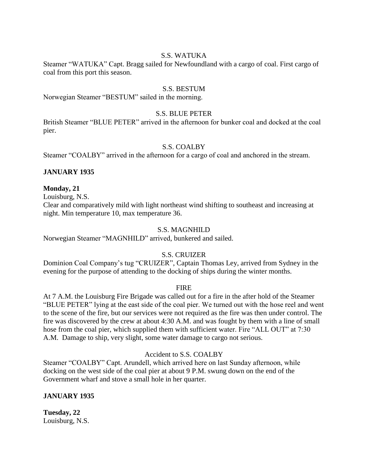## S.S. WATUKA

Steamer "WATUKA" Capt. Bragg sailed for Newfoundland with a cargo of coal. First cargo of coal from this port this season.

#### S.S. BESTUM

Norwegian Steamer "BESTUM" sailed in the morning.

#### S.S. BLUE PETER

British Steamer "BLUE PETER" arrived in the afternoon for bunker coal and docked at the coal pier.

#### S.S. COALBY

Steamer "COALBY" arrived in the afternoon for a cargo of coal and anchored in the stream.

#### **JANUARY 1935**

#### **Monday, 21**

Louisburg, N.S.

Clear and comparatively mild with light northeast wind shifting to southeast and increasing at night. Min temperature 10, max temperature 36.

#### S.S. MAGNHILD

Norwegian Steamer "MAGNHILD" arrived, bunkered and sailed.

## S.S. CRUIZER

Dominion Coal Company's tug "CRUIZER", Captain Thomas Ley, arrived from Sydney in the evening for the purpose of attending to the docking of ships during the winter months.

#### FIRE

At 7 A.M. the Louisburg Fire Brigade was called out for a fire in the after hold of the Steamer "BLUE PETER" lying at the east side of the coal pier. We turned out with the hose reel and went to the scene of the fire, but our services were not required as the fire was then under control. The fire was discovered by the crew at about 4:30 A.M. and was fought by them with a line of small hose from the coal pier, which supplied them with sufficient water. Fire "ALL OUT" at 7:30 A.M. Damage to ship, very slight, some water damage to cargo not serious.

#### Accident to S.S. COALBY

Steamer "COALBY" Capt. Arundell, which arrived here on last Sunday afternoon, while docking on the west side of the coal pier at about 9 P.M. swung down on the end of the Government wharf and stove a small hole in her quarter.

#### **JANUARY 1935**

**Tuesday, 22** Louisburg, N.S.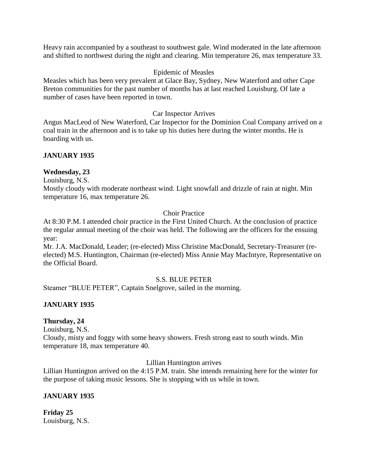Heavy rain accompanied by a southeast to southwest gale. Wind moderated in the late afternoon and shifted to northwest during the night and clearing. Min temperature 26, max temperature 33.

#### Epidemic of Measles

Measles which has been very prevalent at Glace Bay, Sydney, New Waterford and other Cape Breton communities for the past number of months has at last reached Louisburg. Of late a number of cases have been reported in town.

#### Car Inspector Arrives

Angus MacLeod of New Waterford, Car Inspector for the Dominion Coal Company arrived on a coal train in the afternoon and is to take up his duties here during the winter months. He is boarding with us.

## **JANUARY 1935**

## **Wednesday, 23**

Louisburg, N.S.

Mostly cloudy with moderate northeast wind. Light snowfall and drizzle of rain at night. Min temperature 16, max temperature 26.

## Choir Practice

At 8:30 P.M. I attended choir practice in the First United Church. At the conclusion of practice the regular annual meeting of the choir was held. The following are the officers for the ensuing year:

Mr. J.A. MacDonald, Leader; (re-elected) Miss Christine MacDonald, Secretary-Treasurer (reelected) M.S. Huntington, Chairman (re-elected) Miss Annie May MacIntyre, Representative on the Official Board.

#### S.S. BLUE PETER

Steamer "BLUE PETER", Captain Snelgrove, sailed in the morning.

## **JANUARY 1935**

#### **Thursday, 24**

Louisburg, N.S.

Cloudy, misty and foggy with some heavy showers. Fresh strong east to south winds. Min temperature 18, max temperature 40.

Lillian Huntington arrives

Lillian Huntington arrived on the 4:15 P.M. train. She intends remaining here for the winter for the purpose of taking music lessons. She is stopping with us while in town.

## **JANUARY 1935**

**Friday 25** Louisburg, N.S.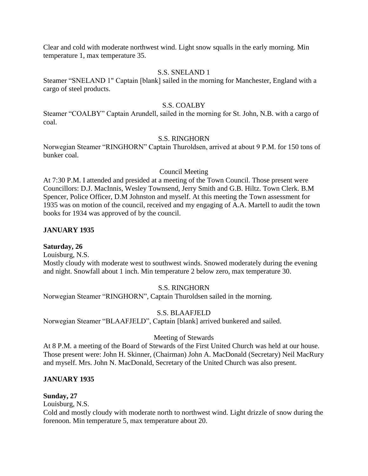Clear and cold with moderate northwest wind. Light snow squalls in the early morning. Min temperature 1, max temperature 35.

#### S.S. SNELAND 1

Steamer "SNELAND 1" Captain [blank] sailed in the morning for Manchester, England with a cargo of steel products.

#### S.S. COALBY

Steamer "COALBY" Captain Arundell, sailed in the morning for St. John, N.B. with a cargo of coal.

#### S.S. RINGHORN

Norwegian Steamer "RINGHORN" Captain Thuroldsen, arrived at about 9 P.M. for 150 tons of bunker coal.

#### Council Meeting

At 7:30 P.M. I attended and presided at a meeting of the Town Council. Those present were Councillors: D.J. MacInnis, Wesley Townsend, Jerry Smith and G.B. Hiltz. Town Clerk. B.M Spencer, Police Officer, D.M Johnston and myself. At this meeting the Town assessment for 1935 was on motion of the council, received and my engaging of A.A. Martell to audit the town books for 1934 was approved of by the council.

#### **JANUARY 1935**

#### **Saturday, 26**

Louisburg, N.S.

Mostly cloudy with moderate west to southwest winds. Snowed moderately during the evening and night. Snowfall about 1 inch. Min temperature 2 below zero, max temperature 30.

#### S.S. RINGHORN

Norwegian Steamer "RINGHORN", Captain Thuroldsen sailed in the morning.

#### S.S. BLAAFJELD

Norwegian Steamer "BLAAFJELD", Captain [blank] arrived bunkered and sailed.

#### Meeting of Stewards

At 8 P.M. a meeting of the Board of Stewards of the First United Church was held at our house. Those present were: John H. Skinner, (Chairman) John A. MacDonald (Secretary) Neil MacRury and myself. Mrs. John N. MacDonald, Secretary of the United Church was also present.

#### **JANUARY 1935**

#### **Sunday, 27**

Louisburg, N.S.

Cold and mostly cloudy with moderate north to northwest wind. Light drizzle of snow during the forenoon. Min temperature 5, max temperature about 20.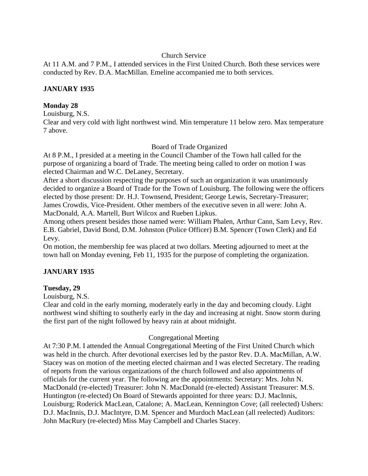## Church Service

At 11 A.M. and 7 P.M., I attended services in the First United Church. Both these services were conducted by Rev. D.A. MacMillan. Emeline accompanied me to both services.

## **JANUARY 1935**

## **Monday 28**

Louisburg, N.S.

Clear and very cold with light northwest wind. Min temperature 11 below zero. Max temperature 7 above.

Board of Trade Organized

At 8 P.M., I presided at a meeting in the Council Chamber of the Town hall called for the purpose of organizing a board of Trade. The meeting being called to order on motion I was elected Chairman and W.C. DeLaney, Secretary.

After a short discussion respecting the purposes of such an organization it was unanimously decided to organize a Board of Trade for the Town of Louisburg. The following were the officers elected by those present: Dr. H.J. Townsend, President; George Lewis, Secretary-Treasurer; James Crowdis, Vice-President. Other members of the executive seven in all were: John A. MacDonald, A.A. Martell, Burt Wilcox and Rueben Lipkus.

Among others present besides those named were: William Phalen, Arthur Cann, Sam Levy, Rev. E.B. Gabriel, David Bond, D.M. Johnston (Police Officer) B.M. Spencer (Town Clerk) and Ed Levy.

On motion, the membership fee was placed at two dollars. Meeting adjourned to meet at the town hall on Monday evening, Feb 11, 1935 for the purpose of completing the organization.

## **JANUARY 1935**

## **Tuesday, 29**

Louisburg, N.S.

Clear and cold in the early morning, moderately early in the day and becoming cloudy. Light northwest wind shifting to southerly early in the day and increasing at night. Snow storm during the first part of the night followed by heavy rain at about midnight.

## Congregational Meeting

At 7:30 P.M. I attended the Annual Congregational Meeting of the First United Church which was held in the church. After devotional exercises led by the pastor Rev. D.A. MacMillan, A.W. Stacey was on motion of the meeting elected chairman and I was elected Secretary. The reading of reports from the various organizations of the church followed and also appointments of officials for the current year. The following are the appointments: Secretary: Mrs. John N. MacDonald (re-elected) Treasurer: John N. MacDonald (re-elected) Assistant Treasurer: M.S. Huntington (re-elected) On Board of Stewards appointed for three years: D.J. MacInnis, Louisburg; Roderick MacLean, Catalone; A. MacLean, Kennington Cove; (all reelected) Ushers: D.J. MacInnis, D.J. MacIntyre, D.M. Spencer and Murdoch MacLean (all reelected) Auditors: John MacRury (re-elected) Miss May Campbell and Charles Stacey.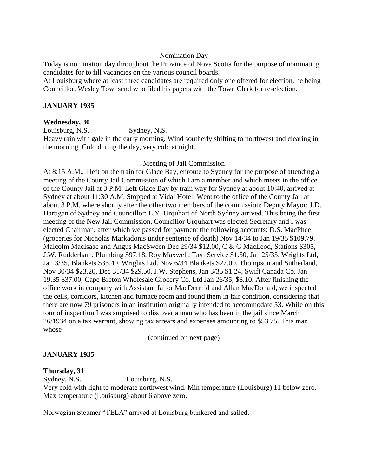#### Nomination Day

Today is nomination day throughout the Province of Nova Scotia for the purpose of nominating candidates for to fill vacancies on the various council boards.

At Louisburg where at least three candidates are required only one offered for election, he being Councillor, Wesley Townsend who filed his papers with the Town Clerk for re-election.

#### **JANUARY 1935**

#### **Wednesday, 30**

Louisburg, N.S. Sydney, N.S.

Heavy rain with gale in the early morning. Wind southerly shifting to northwest and clearing in the morning. Cold during the day, very cold at night.

#### Meeting of Jail Commission

At 8:15 A.M., I left on the train for Glace Bay, enroute to Sydney for the purpose of attending a meeting of the County Jail Commission of which I am a member and which meets in the office of the County Jail at 3 P.M. Left Glace Bay by train way for Sydney at about 10:40, arrived at Sydney at about 11:30 A.M. Stopped at Vidal Hotel. Went to the office of the County Jail at about 3 P.M. where shortly after the other two members of the commission: Deputy Mayor: J.D. Hartigan of Sydney and Councillor: L.Y. Urquhart of North Sydney arrived. This being the first meeting of the New Jail Commission, Councillor Urquhart was elected Secretary and I was elected Chairman, after which we passed for payment the following accounts: D.S. MacPhee (groceries for Nicholas Markadonis under sentence of death) Nov 14/34 to Jan 19/35 \$109.79. Malcolm MacIsaac and Angus MacSween Dec 29/34 \$12.00, C & G MacLeod, Stations \$305, J.W. Rudderham, Plumbing \$97.18, Roy Maxwell, Taxi Service \$1.50, Jan 25/35. Wrights Ltd, Jan 3/35, Blankets \$35.40, Wrights Ltd. Nov 6/34 Blankets \$27.00, Thompson and Sutherland, Nov 30/34 \$23.20, Dec 31/34 \$29.50. J.W. Stephens, Jan 3/35 \$1.24, Swift Canada Co, Jan 19.35 \$37.00, Cape Breton Wholesale Grocery Co. Ltd Jan 26/35, \$8.10. After finishing the office work in company with Assistant Jailor MacDermid and Allan MacDonald, we inspected the cells, corridors, kitchen and furnace room and found them in fair condition, considering that there are now 79 prisoners in an institution originally intended to accommodate 53. While on this tour of inspection I was surprised to discover a man who has been in the jail since March 26/1934 on a tax warrant, showing tax arrears and expenses amounting to \$53.75. This man whose

(continued on next page)

#### **JANUARY 1935**

#### **Thursday, 31**

Sydney, N.S. Louisburg, N.S.

Very cold with light to moderate northwest wind. Min temperature (Louisburg) 11 below zero. Max temperature (Louisburg) about 6 above zero.

Norwegian Steamer "TELA" arrived at Louisburg bunkered and sailed.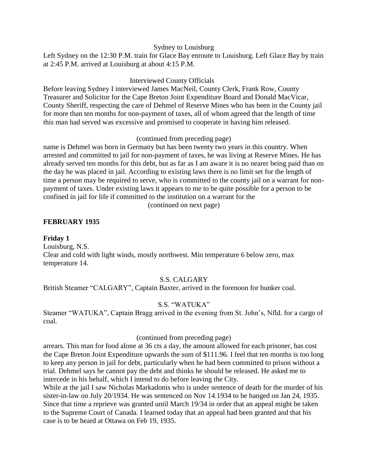#### Sydney to Louisburg

Left Sydney on the 12:30 P.M. train for Glace Bay enroute to Louisburg. Left Glace Bay by train at 2:45 P.M. arrived at Louisburg at about 4:15 P.M.

#### Interviewed County Officials

Before leaving Sydney I interviewed James MacNeil, County Clerk, Frank Row, County Treasurer and Solicitor for the Cape Breton Joint Expenditure Board and Donald MacVicar, County Sheriff, respecting the care of Dehmel of Reserve Mines who has been in the County jail for more than ten months for non-payment of taxes, all of whom agreed that the length of time this man had served was excessive and promised to cooperate in having him released.

## (continued from preceding page)

name is Dehmel was born in Germany but has been twenty two years in this country. When arrested and committed to jail for non-payment of taxes, he was living at Reserve Mines. He has already served ten months for this debt, but as far as I am aware it is no nearer being paid than on the day he was placed in jail. According to existing laws there is no limit set for the length of time a person may be required to serve, who is committed to the county jail on a warrant for nonpayment of taxes. Under existing laws it appears to me to be quite possible for a person to be confined in jail for life if committed to the institution on a warrant for the (continued on next page)

## **FEBRUARY 1935**

#### **Friday 1**

Louisburg, N.S. Clear and cold with light winds, mostly northwest. Min temperature 6 below zero, max temperature 14.

## S.S. CALGARY

British Steamer "CALGARY", Captain Baxter, arrived in the forenoon for bunker coal.

## S.S. "WATUKA"

Steamer "WATUKA", Captain Bragg arrived in the evening from St. John's, Nfld. for a cargo of coal.

#### (continued from preceding page)

arrears. This man for food alone at 36 cts a day, the amount allowed for each prisoner, has cost the Cape Breton Joint Expenditure upwards the sum of \$111.96. I feel that ten months is too long to keep any person in jail for debt, particularly when he had been committed to prison without a trial. Dehmel says he cannot pay the debt and thinks he should be released. He asked me to intercede in his behalf, which I intend to do before leaving the City.

While at the jail I saw Nicholas Markadonis who is under sentence of death for the murder of his sister-in-law on July 20/1934. He was sentenced on Nov 14.1934 to be hanged on Jan 24, 1935. Since that time a reprieve was granted until March 19/34 in order that an appeal might be taken to the Supreme Court of Canada. I learned today that an appeal had been granted and that his case is to be heard at Ottawa on Feb 19, 1935.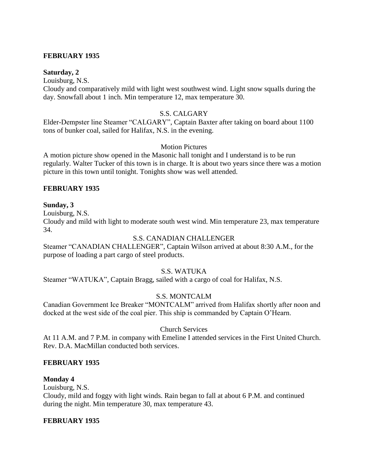#### **FEBRUARY 1935**

#### **Saturday, 2**

Louisburg, N.S.

Cloudy and comparatively mild with light west southwest wind. Light snow squalls during the day. Snowfall about 1 inch. Min temperature 12, max temperature 30.

#### S.S. CALGARY

Elder-Dempster line Steamer "CALGARY", Captain Baxter after taking on board about 1100 tons of bunker coal, sailed for Halifax, N.S. in the evening.

#### Motion Pictures

A motion picture show opened in the Masonic hall tonight and I understand is to be run regularly. Walter Tucker of this town is in charge. It is about two years since there was a motion picture in this town until tonight. Tonights show was well attended.

#### **FEBRUARY 1935**

#### **Sunday, 3**

Louisburg, N.S.

Cloudy and mild with light to moderate south west wind. Min temperature 23, max temperature 34.

#### S.S. CANADIAN CHALLENGER

Steamer "CANADIAN CHALLENGER", Captain Wilson arrived at about 8:30 A.M., for the purpose of loading a part cargo of steel products.

#### S.S. WATUKA

Steamer "WATUKA", Captain Bragg, sailed with a cargo of coal for Halifax, N.S.

#### S.S. MONTCALM

Canadian Government Ice Breaker "MONTCALM" arrived from Halifax shortly after noon and docked at the west side of the coal pier. This ship is commanded by Captain O'Hearn.

#### Church Services

At 11 A.M. and 7 P.M. in company with Emeline I attended services in the First United Church. Rev. D.A. MacMillan conducted both services.

#### **FEBRUARY 1935**

#### **Monday 4**

Louisburg, N.S.

Cloudy, mild and foggy with light winds. Rain began to fall at about 6 P.M. and continued during the night. Min temperature 30, max temperature 43.

#### **FEBRUARY 1935**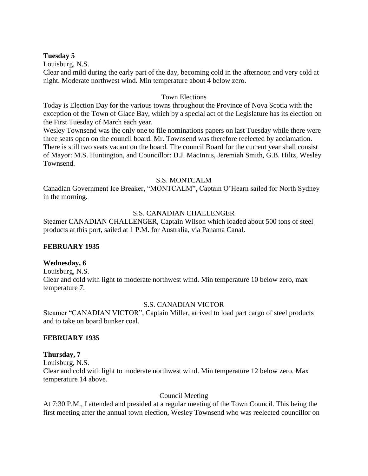#### **Tuesday 5**

Louisburg, N.S.

Clear and mild during the early part of the day, becoming cold in the afternoon and very cold at night. Moderate northwest wind. Min temperature about 4 below zero.

#### Town Elections

Today is Election Day for the various towns throughout the Province of Nova Scotia with the exception of the Town of Glace Bay, which by a special act of the Legislature has its election on the First Tuesday of March each year.

Wesley Townsend was the only one to file nominations papers on last Tuesday while there were three seats open on the council board. Mr. Townsend was therefore reelected by acclamation. There is still two seats vacant on the board. The council Board for the current year shall consist of Mayor: M.S. Huntington, and Councillor: D.J. MacInnis, Jeremiah Smith, G.B. Hiltz, Wesley Townsend.

## S.S. MONTCALM

Canadian Government Ice Breaker, "MONTCALM", Captain O'Hearn sailed for North Sydney in the morning.

## S.S. CANADIAN CHALLENGER

Steamer CANADIAN CHALLENGER, Captain Wilson which loaded about 500 tons of steel products at this port, sailed at 1 P.M. for Australia, via Panama Canal.

## **FEBRUARY 1935**

## **Wednesday, 6**

Louisburg, N.S. Clear and cold with light to moderate northwest wind. Min temperature 10 below zero, max temperature 7.

## S.S. CANADIAN VICTOR

Steamer "CANADIAN VICTOR", Captain Miller, arrived to load part cargo of steel products and to take on board bunker coal.

## **FEBRUARY 1935**

## **Thursday, 7**

Louisburg, N.S. Clear and cold with light to moderate northwest wind. Min temperature 12 below zero. Max temperature 14 above.

## Council Meeting

At 7:30 P.M., I attended and presided at a regular meeting of the Town Council. This being the first meeting after the annual town election, Wesley Townsend who was reelected councillor on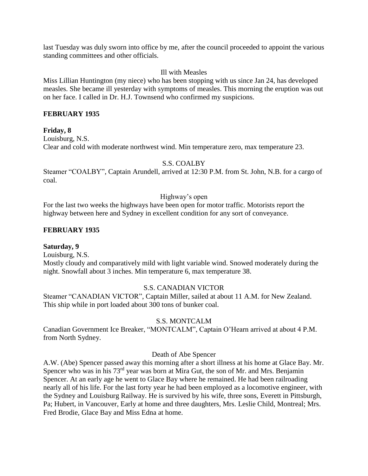last Tuesday was duly sworn into office by me, after the council proceeded to appoint the various standing committees and other officials.

#### Ill with Measles

Miss Lillian Huntington (my niece) who has been stopping with us since Jan 24, has developed measles. She became ill yesterday with symptoms of measles. This morning the eruption was out on her face. I called in Dr. H.J. Townsend who confirmed my suspicions.

## **FEBRUARY 1935**

## **Friday, 8**

Louisburg, N.S. Clear and cold with moderate northwest wind. Min temperature zero, max temperature 23.

## S.S. COALBY

Steamer "COALBY", Captain Arundell, arrived at 12:30 P.M. from St. John, N.B. for a cargo of coal.

#### Highway's open

For the last two weeks the highways have been open for motor traffic. Motorists report the highway between here and Sydney in excellent condition for any sort of conveyance.

## **FEBRUARY 1935**

#### **Saturday, 9**

Louisburg, N.S.

Mostly cloudy and comparatively mild with light variable wind. Snowed moderately during the night. Snowfall about 3 inches. Min temperature 6, max temperature 38.

#### S.S. CANADIAN VICTOR

Steamer "CANADIAN VICTOR", Captain Miller, sailed at about 11 A.M. for New Zealand. This ship while in port loaded about 300 tons of bunker coal.

#### S.S. MONTCALM

Canadian Government Ice Breaker, "MONTCALM", Captain O'Hearn arrived at about 4 P.M. from North Sydney.

#### Death of Abe Spencer

A.W. (Abe) Spencer passed away this morning after a short illness at his home at Glace Bay. Mr. Spencer who was in his 73<sup>rd</sup> year was born at Mira Gut, the son of Mr. and Mrs. Benjamin Spencer. At an early age he went to Glace Bay where he remained. He had been railroading nearly all of his life. For the last forty year he had been employed as a locomotive engineer, with the Sydney and Louisburg Railway. He is survived by his wife, three sons, Everett in Pittsburgh, Pa; Hubert, in Vancouver, Early at home and three daughters, Mrs. Leslie Child, Montreal; Mrs. Fred Brodie, Glace Bay and Miss Edna at home.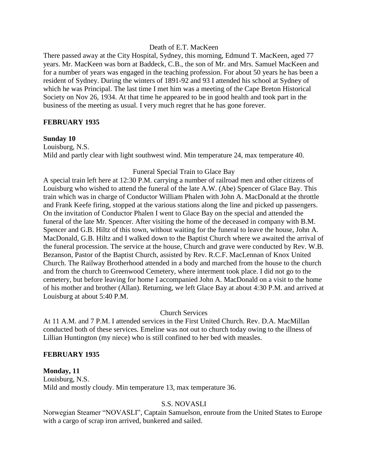#### Death of E.T. MacKeen

There passed away at the City Hospital, Sydney, this morning, Edmund T. MacKeen, aged 77 years. Mr. MacKeen was born at Baddeck, C.B., the son of Mr. and Mrs. Samuel MacKeen and for a number of years was engaged in the teaching profession. For about 50 years he has been a resident of Sydney. During the winters of 1891-92 and 93 I attended his school at Sydney of which he was Principal. The last time I met him was a meeting of the Cape Breton Historical Society on Nov 26, 1934. At that time he appeared to be in good health and took part in the business of the meeting as usual. I very much regret that he has gone forever.

#### **FEBRUARY 1935**

#### **Sunday 10**

Louisburg, N.S. Mild and partly clear with light southwest wind. Min temperature 24, max temperature 40.

#### Funeral Special Train to Glace Bay

A special train left here at 12:30 P.M. carrying a number of railroad men and other citizens of Louisburg who wished to attend the funeral of the late A.W. (Abe) Spencer of Glace Bay. This train which was in charge of Conductor William Phalen with John A. MacDonald at the throttle and Frank Keefe firing, stopped at the various stations along the line and picked up passengers. On the invitation of Conductor Phalen I went to Glace Bay on the special and attended the funeral of the late Mr. Spencer. After visiting the home of the deceased in company with B.M. Spencer and G.B. Hiltz of this town, without waiting for the funeral to leave the house, John A. MacDonald, G.B. Hiltz and I walked down to the Baptist Church where we awaited the arrival of the funeral procession. The service at the house, Church and grave were conducted by Rev. W.B. Bezanson, Pastor of the Baptist Church, assisted by Rev. R.C.F. MacLennan of Knox United Church. The Railway Brotherhood attended in a body and marched from the house to the church and from the church to Greenwood Cemetery, where interment took place. I did not go to the cemetery, but before leaving for home I accompanied John A. MacDonald on a visit to the home of his mother and brother (Allan). Returning, we left Glace Bay at about 4:30 P.M. and arrived at Louisburg at about 5:40 P.M.

#### Church Services

At 11 A.M. and 7 P.M. I attended services in the First United Church. Rev. D.A. MacMillan conducted both of these services. Emeline was not out to church today owing to the illness of Lillian Huntington (my niece) who is still confined to her bed with measles.

#### **FEBRUARY 1935**

#### **Monday, 11** Louisburg, N.S. Mild and mostly cloudy. Min temperature 13, max temperature 36.

#### S.S. NOVASLI

Norwegian Steamer "NOVASLI", Captain Samuelson, enroute from the United States to Europe with a cargo of scrap iron arrived, bunkered and sailed.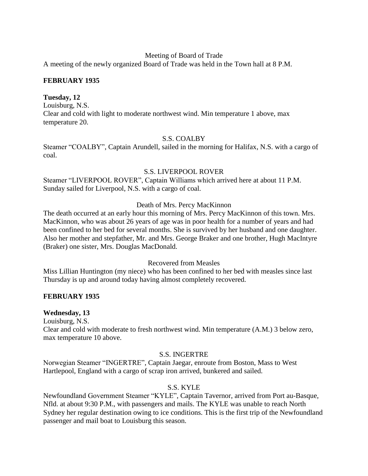#### Meeting of Board of Trade

A meeting of the newly organized Board of Trade was held in the Town hall at 8 P.M.

## **FEBRUARY 1935**

## **Tuesday, 12**

Louisburg, N.S. Clear and cold with light to moderate northwest wind. Min temperature 1 above, max temperature 20.

## S.S. COALBY

Steamer "COALBY", Captain Arundell, sailed in the morning for Halifax, N.S. with a cargo of coal.

#### S.S. LIVERPOOL ROVER

Steamer "LIVERPOOL ROVER", Captain Williams which arrived here at about 11 P.M. Sunday sailed for Liverpool, N.S. with a cargo of coal.

## Death of Mrs. Percy MacKinnon

The death occurred at an early hour this morning of Mrs. Percy MacKinnon of this town. Mrs. MacKinnon, who was about 26 years of age was in poor health for a number of years and had been confined to her bed for several months. She is survived by her husband and one daughter. Also her mother and stepfather, Mr. and Mrs. George Braker and one brother, Hugh MacIntyre (Braker) one sister, Mrs. Douglas MacDonald.

#### Recovered from Measles

Miss Lillian Huntington (my niece) who has been confined to her bed with measles since last Thursday is up and around today having almost completely recovered.

## **FEBRUARY 1935**

#### **Wednesday, 13**

Louisburg, N.S.

Clear and cold with moderate to fresh northwest wind. Min temperature (A.M.) 3 below zero, max temperature 10 above.

#### S.S. INGERTRE

Norwegian Steamer "INGERTRE", Captain Jaegar, enroute from Boston, Mass to West Hartlepool, England with a cargo of scrap iron arrived, bunkered and sailed.

## S.S. KYLE

Newfoundland Government Steamer "KYLE", Captain Tavernor, arrived from Port au-Basque, Nfld. at about 9:30 P.M., with passengers and mails. The KYLE was unable to reach North Sydney her regular destination owing to ice conditions. This is the first trip of the Newfoundland passenger and mail boat to Louisburg this season.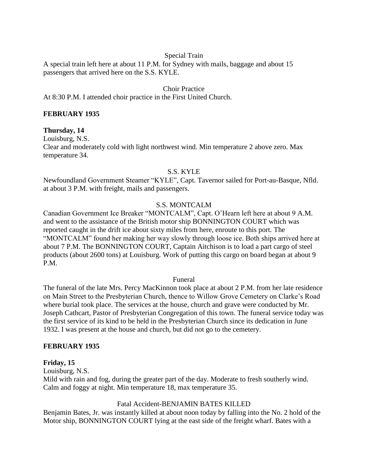## Special Train

A special train left here at about 11 P.M. for Sydney with mails, baggage and about 15 passengers that arrived here on the S.S. KYLE.

## Choir Practice

At 8:30 P.M. I attended choir practice in the First United Church.

#### **FEBRUARY 1935**

#### **Thursday, 14**

Louisburg, N.S. Clear and moderately cold with light northwest wind. Min temperature 2 above zero. Max temperature 34.

#### S.S. KYLE

Newfoundland Government Steamer "KYLE", Capt. Tavernor sailed for Port-au-Basque, Nfld. at about 3 P.M. with freight, mails and passengers.

#### S.S. MONTCALM

Canadian Government Ice Breaker "MONTCALM", Capt. O'Hearn left here at about 9 A.M. and went to the assistance of the British motor ship BONNINGTON COURT which was reported caught in the drift ice about sixty miles from here, enroute to this port. The "MONTCALM" found her making her way slowly through loose ice. Both ships arrived here at about 7 P.M. The BONNINGTON COURT, Captain Aitchison is to load a part cargo of steel products (about 2600 tons) at Louisburg. Work of putting this cargo on board began at about 9 P.M.

#### Funeral

The funeral of the late Mrs. Percy MacKinnon took place at about 2 P.M. from her late residence on Main Street to the Presbyterian Church, thence to Willow Grove Cemetery on Clarke's Road where burial took place. The services at the house, church and grave were conducted by Mr. Joseph Cathcart, Pastor of Presbyterian Congregation of this town. The funeral service today was the first service of its kind to be held in the Presbyterian Church since its dedication in June 1932. I was present at the house and church, but did not go to the cemetery.

#### **FEBRUARY 1935**

#### **Friday, 15**

Louisburg, N.S.

Mild with rain and fog, during the greater part of the day. Moderate to fresh southerly wind. Calm and foggy at night. Min temperature 18, max temperature 35.

#### Fatal Accident-BENJAMIN BATES KILLED

Benjamin Bates, Jr. was instantly killed at about noon today by falling into the No. 2 hold of the Motor ship, BONNINGTON COURT lying at the east side of the freight wharf. Bates with a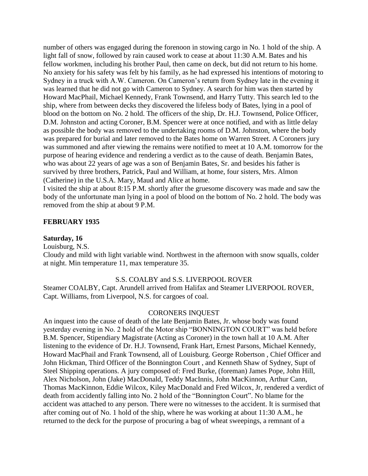number of others was engaged during the forenoon in stowing cargo in No. 1 hold of the ship. A light fall of snow, followed by rain caused work to cease at about 11:30 A.M. Bates and his fellow workmen, including his brother Paul, then came on deck, but did not return to his home. No anxiety for his safety was felt by his family, as he had expressed his intentions of motoring to Sydney in a truck with A.W. Cameron. On Cameron's return from Sydney late in the evening it was learned that he did not go with Cameron to Sydney. A search for him was then started by Howard MacPhail, Michael Kennedy, Frank Townsend, and Harry Tutty. This search led to the ship, where from between decks they discovered the lifeless body of Bates, lying in a pool of blood on the bottom on No. 2 hold. The officers of the ship, Dr. H.J. Townsend, Police Officer, D.M. Johnston and acting Coroner, B.M. Spencer were at once notified, and with as little delay as possible the body was removed to the undertaking rooms of D.M. Johnston, where the body was prepared for burial and later removed to the Bates home on Warren Street. A Coroners jury was summoned and after viewing the remains were notified to meet at 10 A.M. tomorrow for the purpose of hearing evidence and rendering a verdict as to the cause of death. Benjamin Bates, who was about 22 years of age was a son of Benjamin Bates, Sr. and besides his father is survived by three brothers, Patrick, Paul and William, at home, four sisters, Mrs. Almon (Catherine) in the U.S.A. Mary, Maud and Alice at home.

I visited the ship at about 8:15 P.M. shortly after the gruesome discovery was made and saw the body of the unfortunate man lying in a pool of blood on the bottom of No. 2 hold. The body was removed from the ship at about 9 P.M.

#### **FEBRUARY 1935**

#### **Saturday, 16**

Louisburg, N.S.

Cloudy and mild with light variable wind. Northwest in the afternoon with snow squalls, colder at night. Min temperature 11, max temperature 35.

#### S.S. COALBY and S.S. LIVERPOOL ROVER

Steamer COALBY, Capt. Arundell arrived from Halifax and Steamer LIVERPOOL ROVER, Capt. Williams, from Liverpool, N.S. for cargoes of coal.

#### CORONERS INQUEST

An inquest into the cause of death of the late Benjamin Bates, Jr. whose body was found yesterday evening in No. 2 hold of the Motor ship "BONNINGTON COURT" was held before B.M. Spencer, Stipendiary Magistrate (Acting as Coroner) in the town hall at 10 A.M. After listening to the evidence of Dr. H.J. Townsend, Frank Hart, Ernest Parsons, Michael Kennedy, Howard MacPhail and Frank Townsend, all of Louisburg. George Robertson , Chief Officer and John Hickman, Third Officer of the Bonnington Court , and Kenneth Shaw of Sydney, Supt of Steel Shipping operations. A jury composed of: Fred Burke, (foreman) James Pope, John Hill, Alex Nicholson, John (Jake) MacDonald, Teddy MacInnis, John MacKinnon, Arthur Cann, Thomas MacKinnon, Eddie Wilcox, Kiley MacDonald and Fred Wilcox, Jr, rendered a verdict of death from accidently falling into No. 2 hold of the "Bonnington Court". No blame for the accident was attached to any person. There were no witnesses to the accident. It is surmised that after coming out of No. 1 hold of the ship, where he was working at about 11:30 A.M., he returned to the deck for the purpose of procuring a bag of wheat sweepings, a remnant of a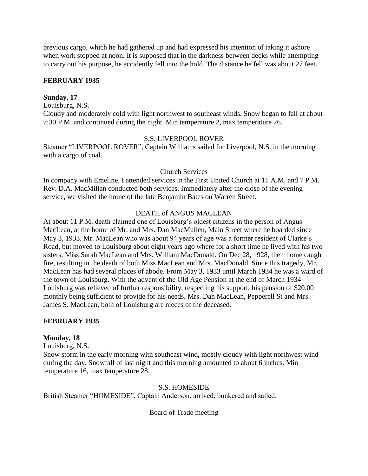previous cargo, which he had gathered up and had expressed his intention of taking it ashore when work stopped at noon. It is supposed that in the darkness between decks while attempting to carry out his purpose, he accidently fell into the hold. The distance he fell was about 27 feet.

## **FEBRUARY 1935**

#### **Sunday, 17**

Louisburg, N.S.

Cloudy and moderately cold with light northwest to southeast winds. Snow began to fall at about 7:30 P.M. and continued during the night. Min temperature 2, max temperature 26.

#### S.S. LIVERPOOL ROVER

Steamer "LIVERPOOL ROVER", Captain Williams sailed for Liverpool, N.S. in the morning with a cargo of coal.

#### Church Services

In company with Emeline, I attended services in the First United Church at 11 A.M. and 7 P.M. Rev. D.A. MacMillan conducted both services. Immediately after the close of the evening service, we visited the home of the late Benjamin Bates on Warren Street.

#### DEATH of ANGUS MACLEAN

At about 11 P.M. death claimed one of Louisburg's oldest citizens in the person of Angus MacLean, at the home of Mr. and Mrs. Dan MacMullen, Main Street where he boarded since May 3, 1933. Mr. MacLean who was about 94 years of age was a former resident of Clarke's Road, but moved to Louisburg about eight years ago where for a short time he lived with his two sisters, Miss Sarah MacLean and Mrs. William MacDonald. On Dec 28, 1928, their home caught fire, resulting in the death of both Miss MacLean and Mrs. MacDonald. Since this tragedy, Mr. MacLean has had several places of abode. From May 3, 1933 until March 1934 he was a ward of the town of Louisburg. With the advent of the Old Age Pension at the end of March 1934 Louisburg was relieved of further responsibility, respecting his support, his pension of \$20.00 monthly being sufficient to provide for his needs. Mrs. Dan MacLean, Pepperell St and Mrs. James S. MacLean, both of Louisburg are nieces of the deceased.

#### **FEBRUARY 1935**

#### **Monday, 18**

Louisburg, N.S.

Snow storm in the early morning with southeast wind, mostly cloudy with light northwest wind during the day. Snowfall of last night and this morning amounted to about 6 inches. Min temperature 16, max temperature 28.

#### S.S. HOMESIDE

British Steamer "HOMESIDE", Captain Anderson, arrived, bunkered and sailed.

Board of Trade meeting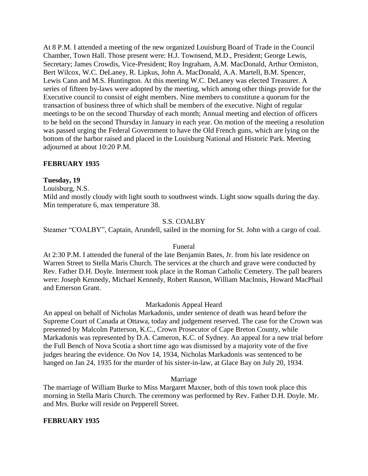At 8 P.M. I attended a meeting of the new organized Louisburg Board of Trade in the Council Chamber, Town Hall. Those present were: H.J. Townsend, M.D., President; George Lewis, Secretary; James Crowdis, Vice-President; Roy Ingraham, A.M. MacDonald, Arthur Ormiston, Bert Wilcox, W.C. DeLaney, R. Lipkus, John A. MacDonald, A.A. Martell, B.M. Spencer, Lewis Cann and M.S. Huntington. At this meeting W.C. DeLaney was elected Treasurer. A series of fifteen by-laws were adopted by the meeting, which among other things provide for the Executive council to consist of eight members. Nine members to constitute a quorum for the transaction of business three of which shall be members of the executive. Night of regular meetings to be on the second Thursday of each month; Annual meeting and election of officers to be held on the second Thursday in January in each year. On motion of the meeting a resolution was passed urging the Federal Government to have the Old French guns, which are lying on the bottom of the harbor raised and placed in the Louisburg National and Historic Park. Meeting adjourned at about 10:20 P.M.

#### **FEBRUARY 1935**

#### **Tuesday, 19**

Louisburg, N.S.

Mild and mostly cloudy with light south to southwest winds. Light snow squalls during the day. Min temperature 6, max temperature 38.

## S.S. COALBY

Steamer "COALBY", Captain, Arundell, sailed in the morning for St. John with a cargo of coal.

#### Funeral

At 2:30 P.M. I attended the funeral of the late Benjamin Bates, Jr. from his late residence on Warren Street to Stella Maris Church. The services at the church and grave were conducted by Rev. Father D.H. Doyle. Interment took place in the Roman Catholic Cemetery. The pall bearers were: Joseph Kennedy, Michael Kennedy, Robert Rauson, William MacInnis, Howard MacPhail and Emerson Grant.

#### Markadonis Appeal Heard

An appeal on behalf of Nicholas Markadonis, under sentence of death was heard before the Supreme Court of Canada at Ottawa, today and judgement reserved. The case for the Crown was presented by Malcolm Patterson, K.C., Crown Prosecutor of Cape Breton County, while Markadonis was represented by D.A. Cameron, K.C. of Sydney. An appeal for a new trial before the Full Bench of Nova Scotia a short time ago was dismissed by a majority vote of the five judges hearing the evidence. On Nov 14, 1934, Nicholas Markadonis was sentenced to be hanged on Jan 24, 1935 for the murder of his sister-in-law, at Glace Bay on July 20, 1934.

#### Marriage

The marriage of William Burke to Miss Margaret Maxner, both of this town took place this morning in Stella Maris Church. The ceremony was performed by Rev. Father D.H. Doyle. Mr. and Mrs. Burke will reside on Pepperell Street.

#### **FEBRUARY 1935**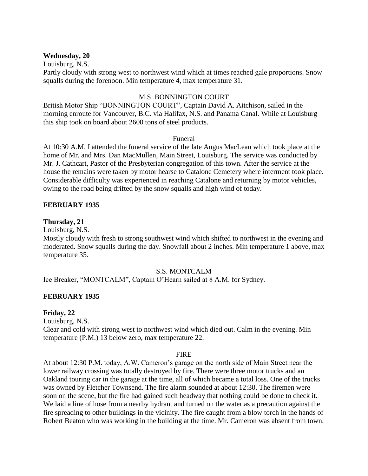#### **Wednesday, 20**

Louisburg, N.S.

Partly cloudy with strong west to northwest wind which at times reached gale proportions. Snow squalls during the forenoon. Min temperature 4, max temperature 31.

#### M.S. BONNINGTON COURT

British Motor Ship "BONNINGTON COURT", Captain David A. Aitchison, sailed in the morning enroute for Vancouver, B.C. via Halifax, N.S. and Panama Canal. While at Louisburg this ship took on board about 2600 tons of steel products.

#### Funeral

At 10:30 A.M. I attended the funeral service of the late Angus MacLean which took place at the home of Mr. and Mrs. Dan MacMullen, Main Street, Louisburg. The service was conducted by Mr. J. Cathcart, Pastor of the Presbyterian congregation of this town. After the service at the house the remains were taken by motor hearse to Catalone Cemetery where interment took place. Considerable difficulty was experienced in reaching Catalone and returning by motor vehicles, owing to the road being drifted by the snow squalls and high wind of today.

#### **FEBRUARY 1935**

#### **Thursday, 21**

Louisburg, N.S.

Mostly cloudy with fresh to strong southwest wind which shifted to northwest in the evening and moderated. Snow squalls during the day. Snowfall about 2 inches. Min temperature 1 above, max temperature 35.

#### S.S. MONTCALM

Ice Breaker, "MONTCALM", Captain O'Hearn sailed at 8 A.M. for Sydney.

#### **FEBRUARY 1935**

#### **Friday, 22**

Louisburg, N.S.

Clear and cold with strong west to northwest wind which died out. Calm in the evening. Min temperature (P.M.) 13 below zero, max temperature 22.

#### **FIRE**

At about 12:30 P.M. today, A.W. Cameron's garage on the north side of Main Street near the lower railway crossing was totally destroyed by fire. There were three motor trucks and an Oakland touring car in the garage at the time, all of which became a total loss. One of the trucks was owned by Fletcher Townsend. The fire alarm sounded at about 12:30. The firemen were soon on the scene, but the fire had gained such headway that nothing could be done to check it. We laid a line of hose from a nearby hydrant and turned on the water as a precaution against the fire spreading to other buildings in the vicinity. The fire caught from a blow torch in the hands of Robert Beaton who was working in the building at the time. Mr. Cameron was absent from town.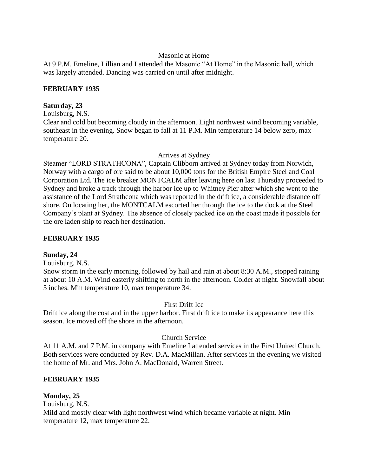## Masonic at Home

At 9 P.M. Emeline, Lillian and I attended the Masonic "At Home" in the Masonic hall, which was largely attended. Dancing was carried on until after midnight.

## **FEBRUARY 1935**

#### **Saturday, 23**

Louisburg, N.S.

Clear and cold but becoming cloudy in the afternoon. Light northwest wind becoming variable, southeast in the evening. Snow began to fall at 11 P.M. Min temperature 14 below zero, max temperature 20.

## Arrives at Sydney

Steamer "LORD STRATHCONA", Captain Clibborn arrived at Sydney today from Norwich, Norway with a cargo of ore said to be about 10,000 tons for the British Empire Steel and Coal Corporation Ltd. The ice breaker MONTCALM after leaving here on last Thursday proceeded to Sydney and broke a track through the harbor ice up to Whitney Pier after which she went to the assistance of the Lord Strathcona which was reported in the drift ice, a considerable distance off shore. On locating her, the MONTCALM escorted her through the ice to the dock at the Steel Company's plant at Sydney. The absence of closely packed ice on the coast made it possible for the ore laden ship to reach her destination.

## **FEBRUARY 1935**

#### **Sunday, 24**

Louisburg, N.S.

Snow storm in the early morning, followed by hail and rain at about 8:30 A.M., stopped raining at about 10 A.M. Wind easterly shifting to north in the afternoon. Colder at night. Snowfall about 5 inches. Min temperature 10, max temperature 34.

## First Drift Ice

Drift ice along the cost and in the upper harbor. First drift ice to make its appearance here this season. Ice moved off the shore in the afternoon.

## Church Service

At 11 A.M. and 7 P.M. in company with Emeline I attended services in the First United Church. Both services were conducted by Rev. D.A. MacMillan. After services in the evening we visited the home of Mr. and Mrs. John A. MacDonald, Warren Street.

## **FEBRUARY 1935**

## **Monday, 25**

Louisburg, N.S. Mild and mostly clear with light northwest wind which became variable at night. Min temperature 12, max temperature 22.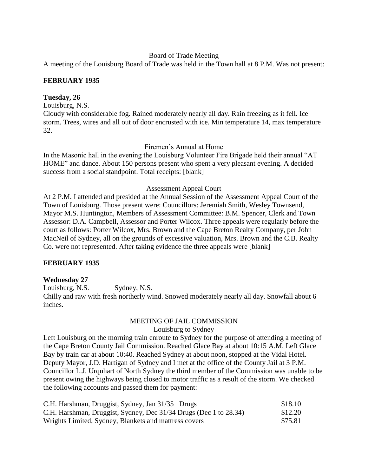#### Board of Trade Meeting

A meeting of the Louisburg Board of Trade was held in the Town hall at 8 P.M. Was not present:

## **FEBRUARY 1935**

#### **Tuesday, 26**

Louisburg, N.S.

Cloudy with considerable fog. Rained moderately nearly all day. Rain freezing as it fell. Ice storm. Trees, wires and all out of door encrusted with ice. Min temperature 14, max temperature 32.

Firemen's Annual at Home

In the Masonic hall in the evening the Louisburg Volunteer Fire Brigade held their annual "AT HOME" and dance. About 150 persons present who spent a very pleasant evening. A decided success from a social standpoint. Total receipts: [blank]

#### Assessment Appeal Court

At 2 P.M. I attended and presided at the Annual Session of the Assessment Appeal Court of the Town of Louisburg. Those present were: Councillors: Jeremiah Smith, Wesley Townsend, Mayor M.S. Huntington, Members of Assessment Committee: B.M. Spencer, Clerk and Town Assessor: D.A. Campbell, Assessor and Porter Wilcox. Three appeals were regularly before the court as follows: Porter Wilcox, Mrs. Brown and the Cape Breton Realty Company, per John MacNeil of Sydney, all on the grounds of excessive valuation, Mrs. Brown and the C.B. Realty Co. were not represented. After taking evidence the three appeals were [blank]

#### **FEBRUARY 1935**

#### **Wednesday 27**

Louisburg, N.S. Sydney, N.S. Chilly and raw with fresh northerly wind. Snowed moderately nearly all day. Snowfall about 6 inches.

#### MEETING OF JAIL COMMISSION Louisburg to Sydney

Left Louisburg on the morning train enroute to Sydney for the purpose of attending a meeting of the Cape Breton County Jail Commission. Reached Glace Bay at about 10:15 A.M. Left Glace Bay by train car at about 10:40. Reached Sydney at about noon, stopped at the Vidal Hotel. Deputy Mayor, J.D. Hartigan of Sydney and I met at the office of the County Jail at 3 P.M. Councillor L.J. Urquhart of North Sydney the third member of the Commission was unable to be present owing the highways being closed to motor traffic as a result of the storm. We checked the following accounts and passed them for payment:

| C.H. Harshman, Druggist, Sydney, Jan 31/35 Drugs                  | \$18.10            |
|-------------------------------------------------------------------|--------------------|
| C.H. Harshman, Druggist, Sydney, Dec 31/34 Drugs (Dec 1 to 28.34) | \$12.20<br>\$75.81 |
| Wrights Limited, Sydney, Blankets and mattress covers             |                    |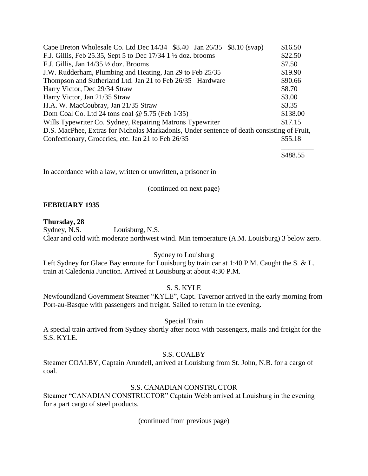| Cape Breton Wholesale Co. Ltd Dec 14/34 \$8.40 Jan 26/35 \$8.10 (svap)                     | \$16.50  |
|--------------------------------------------------------------------------------------------|----------|
| F.J. Gillis, Feb 25.35, Sept 5 to Dec $17/34$ 1 $\frac{1}{2}$ doz. brooms                  | \$22.50  |
| F.J. Gillis, Jan 14/35 1/2 doz. Brooms                                                     | \$7.50   |
| J.W. Rudderham, Plumbing and Heating, Jan 29 to Feb 25/35                                  | \$19.90  |
| Thompson and Sutherland Ltd. Jan 21 to Feb 26/35 Hardware                                  | \$90.66  |
| Harry Victor, Dec 29/34 Straw                                                              | \$8.70   |
| Harry Victor, Jan 21/35 Straw                                                              | \$3.00   |
| H.A. W. MacCoubray, Jan 21/35 Straw                                                        | \$3.35   |
| Dom Coal Co. Ltd 24 tons coal $@$ 5.75 (Feb 1/35)                                          | \$138.00 |
| Wills Typewriter Co. Sydney, Repairing Matrons Typewriter                                  | \$17.15  |
| D.S. MacPhee, Extras for Nicholas Markadonis, Under sentence of death consisting of Fruit, |          |
| Confectionary, Groceries, etc. Jan 21 to Feb 26/35                                         | \$55.18  |
|                                                                                            |          |

\$488.55

In accordance with a law, written or unwritten, a prisoner in

(continued on next page)

#### **FEBRUARY 1935**

**Thursday, 28** Louisburg, N.S. Clear and cold with moderate northwest wind. Min temperature (A.M. Louisburg) 3 below zero.

#### Sydney to Louisburg

Left Sydney for Glace Bay enroute for Louisburg by train car at 1:40 P.M. Caught the S. & L. train at Caledonia Junction. Arrived at Louisburg at about 4:30 P.M.

#### S. S. KYLE

Newfoundland Government Steamer "KYLE", Capt. Tavernor arrived in the early morning from Port-au-Basque with passengers and freight. Sailed to return in the evening.

#### Special Train

A special train arrived from Sydney shortly after noon with passengers, mails and freight for the S.S. KYLE.

#### S.S. COALBY

Steamer COALBY, Captain Arundell, arrived at Louisburg from St. John, N.B. for a cargo of coal.

#### S.S. CANADIAN CONSTRUCTOR

Steamer "CANADIAN CONSTRUCTOR" Captain Webb arrived at Louisburg in the evening for a part cargo of steel products.

(continued from previous page)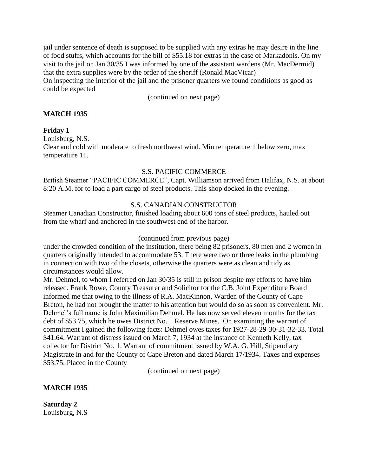jail under sentence of death is supposed to be supplied with any extras he may desire in the line of food stuffs, which accounts for the bill of \$55.18 for extras in the case of Markadonis. On my visit to the jail on Jan 30/35 I was informed by one of the assistant wardens (Mr. MacDermid) that the extra supplies were by the order of the sheriff (Ronald MacVicar) On inspecting the interior of the jail and the prisoner quarters we found conditions as good as could be expected

(continued on next page)

## **MARCH 1935**

#### **Friday 1**

Louisburg, N.S.

Clear and cold with moderate to fresh northwest wind. Min temperature 1 below zero, max temperature 11.

#### S.S. PACIFIC COMMERCE

British Steamer "PACIFIC COMMERCE", Capt. Williamson arrived from Halifax, N.S. at about 8:20 A.M. for to load a part cargo of steel products. This shop docked in the evening.

## S.S. CANADIAN CONSTRUCTOR

Steamer Canadian Constructor, finished loading about 600 tons of steel products, hauled out from the wharf and anchored in the southwest end of the harbor.

#### (continued from previous page)

under the crowded condition of the institution, there being 82 prisoners, 80 men and 2 women in quarters originally intended to accommodate 53. There were two or three leaks in the plumbing in connection with two of the closets, otherwise the quarters were as clean and tidy as circumstances would allow.

Mr. Dehmel, to whom I referred on Jan 30/35 is still in prison despite my efforts to have him released. Frank Rowe, County Treasurer and Solicitor for the C.B. Joint Expenditure Board informed me that owing to the illness of R.A. MacKinnon, Warden of the County of Cape Breton, he had not brought the matter to his attention but would do so as soon as convenient. Mr. Dehmel's full name is John Maximilian Dehmel. He has now served eleven months for the tax debt of \$53.75, which he owes District No. 1 Reserve Mines. On examining the warrant of commitment I gained the following facts: Dehmel owes taxes for 1927-28-29-30-31-32-33. Total \$41.64. Warrant of distress issued on March 7, 1934 at the instance of Kenneth Kelly, tax collector for District No. 1. Warrant of commitment issued by W.A. G. Hill, Stipendiary Magistrate in and for the County of Cape Breton and dated March 17/1934. Taxes and expenses \$53.75. Placed in the County

(continued on next page)

#### **MARCH 1935**

**Saturday 2** Louisburg, N.S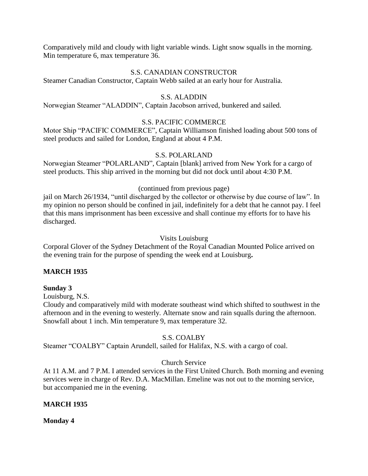Comparatively mild and cloudy with light variable winds. Light snow squalls in the morning. Min temperature 6, max temperature 36.

#### S.S. CANADIAN CONSTRUCTOR

Steamer Canadian Constructor, Captain Webb sailed at an early hour for Australia.

## S.S. ALADDIN

Norwegian Steamer "ALADDIN", Captain Jacobson arrived, bunkered and sailed.

## S.S. PACIFIC COMMERCE

Motor Ship "PACIFIC COMMERCE", Captain Williamson finished loading about 500 tons of steel products and sailed for London, England at about 4 P.M.

## S.S. POLARLAND

Norwegian Steamer "POLARLAND", Captain [blank] arrived from New York for a cargo of steel products. This ship arrived in the morning but did not dock until about 4:30 P.M.

## (continued from previous page)

jail on March 26/1934, "until discharged by the collector or otherwise by due course of law". In my opinion no person should be confined in jail, indefinitely for a debt that he cannot pay. I feel that this mans imprisonment has been excessive and shall continue my efforts for to have his discharged.

#### Visits Louisburg

Corporal Glover of the Sydney Detachment of the Royal Canadian Mounted Police arrived on the evening train for the purpose of spending the week end at Louisburg**.**

## **MARCH 1935**

#### **Sunday 3**

Louisburg, N.S.

Cloudy and comparatively mild with moderate southeast wind which shifted to southwest in the afternoon and in the evening to westerly. Alternate snow and rain squalls during the afternoon. Snowfall about 1 inch. Min temperature 9, max temperature 32.

## S.S. COALBY

Steamer "COALBY" Captain Arundell, sailed for Halifax, N.S. with a cargo of coal.

## Church Service

At 11 A.M. and 7 P.M. I attended services in the First United Church. Both morning and evening services were in charge of Rev. D.A. MacMillan. Emeline was not out to the morning service, but accompanied me in the evening.

## **MARCH 1935**

**Monday 4**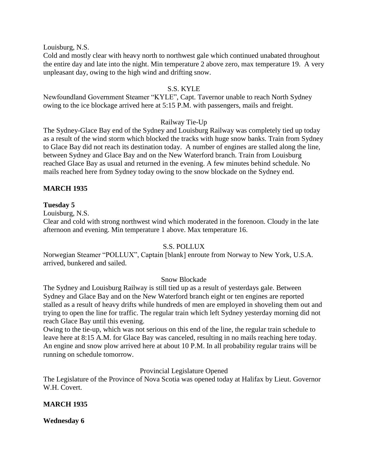Louisburg, N.S.

Cold and mostly clear with heavy north to northwest gale which continued unabated throughout the entire day and late into the night. Min temperature 2 above zero, max temperature 19. A very unpleasant day, owing to the high wind and drifting snow.

## S.S. KYLE

Newfoundland Government Steamer "KYLE", Capt. Tavernor unable to reach North Sydney owing to the ice blockage arrived here at 5:15 P.M. with passengers, mails and freight.

#### Railway Tie-Up

The Sydney-Glace Bay end of the Sydney and Louisburg Railway was completely tied up today as a result of the wind storm which blocked the tracks with huge snow banks. Train from Sydney to Glace Bay did not reach its destination today. A number of engines are stalled along the line, between Sydney and Glace Bay and on the New Waterford branch. Train from Louisburg reached Glace Bay as usual and returned in the evening. A few minutes behind schedule. No mails reached here from Sydney today owing to the snow blockade on the Sydney end.

## **MARCH 1935**

## **Tuesday 5**

Louisburg, N.S.

Clear and cold with strong northwest wind which moderated in the forenoon. Cloudy in the late afternoon and evening. Min temperature 1 above. Max temperature 16.

#### S.S. POLLUX

Norwegian Steamer "POLLUX", Captain [blank] enroute from Norway to New York, U.S.A. arrived, bunkered and sailed.

#### Snow Blockade

The Sydney and Louisburg Railway is still tied up as a result of yesterdays gale. Between Sydney and Glace Bay and on the New Waterford branch eight or ten engines are reported stalled as a result of heavy drifts while hundreds of men are employed in shoveling them out and trying to open the line for traffic. The regular train which left Sydney yesterday morning did not reach Glace Bay until this evening.

Owing to the tie-up, which was not serious on this end of the line, the regular train schedule to leave here at 8:15 A.M. for Glace Bay was canceled, resulting in no mails reaching here today. An engine and snow plow arrived here at about 10 P.M. In all probability regular trains will be running on schedule tomorrow.

#### Provincial Legislature Opened

The Legislature of the Province of Nova Scotia was opened today at Halifax by Lieut. Governor W.H. Covert.

## **MARCH 1935**

#### **Wednesday 6**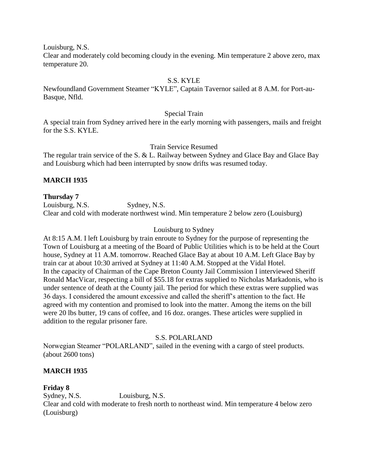Louisburg, N.S.

Clear and moderately cold becoming cloudy in the evening. Min temperature 2 above zero, max temperature 20.

## S.S. KYLE

Newfoundland Government Steamer "KYLE", Captain Tavernor sailed at 8 A.M. for Port-au-Basque, Nfld.

#### Special Train

A special train from Sydney arrived here in the early morning with passengers, mails and freight for the S.S. KYLE.

Train Service Resumed

The regular train service of the S. & L. Railway between Sydney and Glace Bay and Glace Bay and Louisburg which had been interrupted by snow drifts was resumed today.

## **MARCH 1935**

#### **Thursday 7**

Louisburg, N.S. Sydney, N.S. Clear and cold with moderate northwest wind. Min temperature 2 below zero (Louisburg)

#### Louisburg to Sydney

At 8:15 A.M. I left Louisburg by train enroute to Sydney for the purpose of representing the Town of Louisburg at a meeting of the Board of Public Utilities which is to be held at the Court house, Sydney at 11 A.M. tomorrow. Reached Glace Bay at about 10 A.M. Left Glace Bay by train car at about 10:30 arrived at Sydney at 11:40 A.M. Stopped at the Vidal Hotel. In the capacity of Chairman of the Cape Breton County Jail Commission I interviewed Sheriff Ronald MacVicar, respecting a bill of \$55.18 for extras supplied to Nicholas Markadonis, who is under sentence of death at the County jail. The period for which these extras were supplied was 36 days. I considered the amount excessive and called the sheriff's attention to the fact. He agreed with my contention and promised to look into the matter. Among the items on the bill were 20 lbs butter, 19 cans of coffee, and 16 doz. oranges. These articles were supplied in addition to the regular prisoner fare.

#### S.S. POLARLAND

Norwegian Steamer "POLARLAND", sailed in the evening with a cargo of steel products. (about 2600 tons)

#### **MARCH 1935**

#### **Friday 8**

Sydney, N.S. Louisburg, N.S. Clear and cold with moderate to fresh north to northeast wind. Min temperature 4 below zero (Louisburg)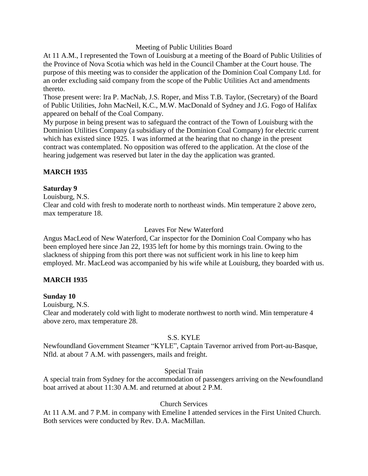## Meeting of Public Utilities Board

At 11 A.M., I represented the Town of Louisburg at a meeting of the Board of Public Utilities of the Province of Nova Scotia which was held in the Council Chamber at the Court house. The purpose of this meeting was to consider the application of the Dominion Coal Company Ltd. for an order excluding said company from the scope of the Public Utilities Act and amendments thereto.

Those present were: Ira P. MacNab, J.S. Roper, and Miss T.B. Taylor, (Secretary) of the Board of Public Utilities, John MacNeil, K.C., M.W. MacDonald of Sydney and J.G. Fogo of Halifax appeared on behalf of the Coal Company.

My purpose in being present was to safeguard the contract of the Town of Louisburg with the Dominion Utilities Company (a subsidiary of the Dominion Coal Company) for electric current which has existed since 1925. I was informed at the hearing that no change in the present contract was contemplated. No opposition was offered to the application. At the close of the hearing judgement was reserved but later in the day the application was granted.

## **MARCH 1935**

#### **Saturday 9**

Louisburg, N.S.

Clear and cold with fresh to moderate north to northeast winds. Min temperature 2 above zero, max temperature 18.

#### Leaves For New Waterford

Angus MacLeod of New Waterford, Car inspector for the Dominion Coal Company who has been employed here since Jan 22, 1935 left for home by this mornings train. Owing to the slackness of shipping from this port there was not sufficient work in his line to keep him employed. Mr. MacLeod was accompanied by his wife while at Louisburg, they boarded with us.

#### **MARCH 1935**

#### **Sunday 10**

Louisburg, N.S.

Clear and moderately cold with light to moderate northwest to north wind. Min temperature 4 above zero, max temperature 28.

#### S.S. KYLE

Newfoundland Government Steamer "KYLE", Captain Tavernor arrived from Port-au-Basque, Nfld. at about 7 A.M. with passengers, mails and freight.

#### Special Train

A special train from Sydney for the accommodation of passengers arriving on the Newfoundland boat arrived at about 11:30 A.M. and returned at about 2 P.M.

#### Church Services

At 11 A.M. and 7 P.M. in company with Emeline I attended services in the First United Church. Both services were conducted by Rev. D.A. MacMillan.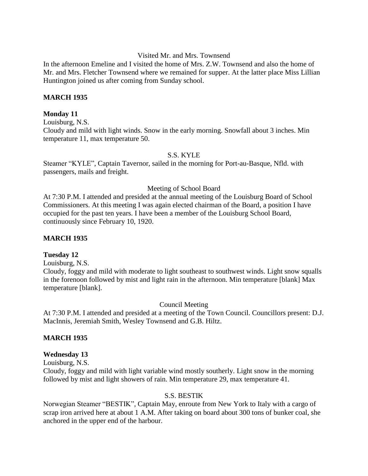#### Visited Mr. and Mrs. Townsend

In the afternoon Emeline and I visited the home of Mrs. Z.W. Townsend and also the home of Mr. and Mrs. Fletcher Townsend where we remained for supper. At the latter place Miss Lillian Huntington joined us after coming from Sunday school.

#### **MARCH 1935**

#### **Monday 11**

Louisburg, N.S. Cloudy and mild with light winds. Snow in the early morning. Snowfall about 3 inches. Min temperature 11, max temperature 50.

#### S.S. KYLE

Steamer "KYLE", Captain Tavernor, sailed in the morning for Port-au-Basque, Nfld. with passengers, mails and freight.

#### Meeting of School Board

At 7:30 P.M. I attended and presided at the annual meeting of the Louisburg Board of School Commissioners. At this meeting I was again elected chairman of the Board, a position I have occupied for the past ten years. I have been a member of the Louisburg School Board, continuously since February 10, 1920.

#### **MARCH 1935**

#### **Tuesday 12**

Louisburg, N.S.

Cloudy, foggy and mild with moderate to light southeast to southwest winds. Light snow squalls in the forenoon followed by mist and light rain in the afternoon. Min temperature [blank] Max temperature [blank].

Council Meeting

At 7:30 P.M. I attended and presided at a meeting of the Town Council. Councillors present: D.J. MacInnis, Jeremiah Smith, Wesley Townsend and G.B. Hiltz.

#### **MARCH 1935**

#### **Wednesday 13**

Louisburg, N.S.

Cloudy, foggy and mild with light variable wind mostly southerly. Light snow in the morning followed by mist and light showers of rain. Min temperature 29, max temperature 41.

#### S.S. BESTIK

Norwegian Steamer "BESTIK", Captain May, enroute from New York to Italy with a cargo of scrap iron arrived here at about 1 A.M. After taking on board about 300 tons of bunker coal, she anchored in the upper end of the harbour.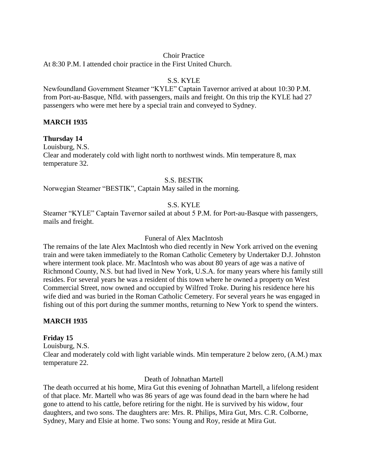#### Choir Practice

At 8:30 P.M. I attended choir practice in the First United Church.

#### S.S. KYLE

Newfoundland Government Steamer "KYLE" Captain Tavernor arrived at about 10:30 P.M. from Port-au-Basque, Nfld. with passengers, mails and freight. On this trip the KYLE had 27 passengers who were met here by a special train and conveyed to Sydney.

#### **MARCH 1935**

**Thursday 14**

Louisburg, N.S.

Clear and moderately cold with light north to northwest winds. Min temperature 8, max temperature 32.

## S.S. BESTIK

Norwegian Steamer "BESTIK", Captain May sailed in the morning.

## S.S. KYLE

Steamer "KYLE" Captain Tavernor sailed at about 5 P.M. for Port-au-Basque with passengers, mails and freight.

#### Funeral of Alex MacIntosh

The remains of the late Alex MacIntosh who died recently in New York arrived on the evening train and were taken immediately to the Roman Catholic Cemetery by Undertaker D.J. Johnston where interment took place. Mr. MacIntosh who was about 80 years of age was a native of Richmond County, N.S. but had lived in New York, U.S.A. for many years where his family still resides. For several years he was a resident of this town where he owned a property on West Commercial Street, now owned and occupied by Wilfred Troke. During his residence here his wife died and was buried in the Roman Catholic Cemetery. For several years he was engaged in fishing out of this port during the summer months, returning to New York to spend the winters.

## **MARCH 1935**

## **Friday 15**

Louisburg, N.S.

Clear and moderately cold with light variable winds. Min temperature 2 below zero, (A.M.) max temperature 22.

Death of Johnathan Martell

The death occurred at his home, Mira Gut this evening of Johnathan Martell, a lifelong resident of that place. Mr. Martell who was 86 years of age was found dead in the barn where he had gone to attend to his cattle, before retiring for the night. He is survived by his widow, four daughters, and two sons. The daughters are: Mrs. R. Philips, Mira Gut, Mrs. C.R. Colborne, Sydney, Mary and Elsie at home. Two sons: Young and Roy, reside at Mira Gut.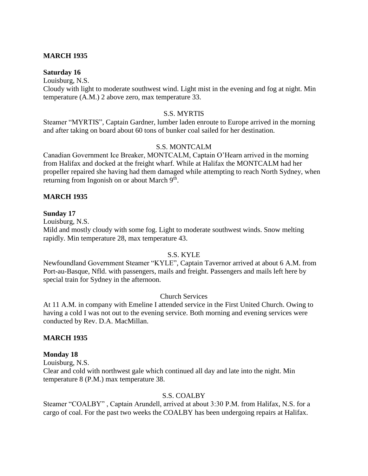#### **MARCH 1935**

#### **Saturday 16**

Louisburg, N.S.

Cloudy with light to moderate southwest wind. Light mist in the evening and fog at night. Min temperature (A.M.) 2 above zero, max temperature 33.

#### S.S. MYRTIS

Steamer "MYRTIS", Captain Gardner, lumber laden enroute to Europe arrived in the morning and after taking on board about 60 tons of bunker coal sailed for her destination.

#### S.S. MONTCALM

Canadian Government Ice Breaker, MONTCALM, Captain O'Hearn arrived in the morning from Halifax and docked at the freight wharf. While at Halifax the MONTCALM had her propeller repaired she having had them damaged while attempting to reach North Sydney, when returning from Ingonish on or about March 9<sup>th</sup>.

#### **MARCH 1935**

#### **Sunday 17**

Louisburg, N.S.

Mild and mostly cloudy with some fog. Light to moderate southwest winds. Snow melting rapidly. Min temperature 28, max temperature 43.

#### S.S. KYLE

Newfoundland Government Steamer "KYLE", Captain Tavernor arrived at about 6 A.M. from Port-au-Basque, Nfld. with passengers, mails and freight. Passengers and mails left here by special train for Sydney in the afternoon.

#### Church Services

At 11 A.M. in company with Emeline I attended service in the First United Church. Owing to having a cold I was not out to the evening service. Both morning and evening services were conducted by Rev. D.A. MacMillan.

#### **MARCH 1935**

#### **Monday 18**

Louisburg, N.S.

Clear and cold with northwest gale which continued all day and late into the night. Min temperature 8 (P.M.) max temperature 38.

#### S.S. COALBY

Steamer "COALBY" , Captain Arundell, arrived at about 3:30 P.M. from Halifax, N.S. for a cargo of coal. For the past two weeks the COALBY has been undergoing repairs at Halifax.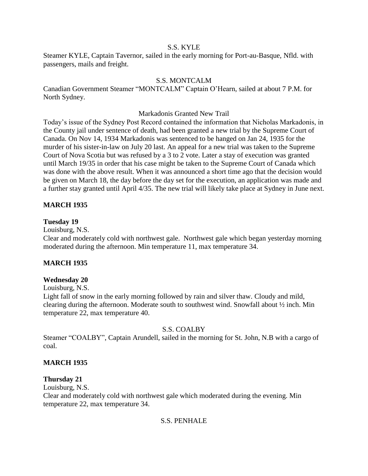#### S.S. KYLE

Steamer KYLE, Captain Tavernor, sailed in the early morning for Port-au-Basque, Nfld. with passengers, mails and freight.

### S.S. MONTCALM

Canadian Government Steamer "MONTCALM" Captain O'Hearn, sailed at about 7 P.M. for North Sydney.

#### Markadonis Granted New Trail

Today's issue of the Sydney Post Record contained the information that Nicholas Markadonis, in the County jail under sentence of death, had been granted a new trial by the Supreme Court of Canada. On Nov 14, 1934 Markadonis was sentenced to be hanged on Jan 24, 1935 for the murder of his sister-in-law on July 20 last. An appeal for a new trial was taken to the Supreme Court of Nova Scotia but was refused by a 3 to 2 vote. Later a stay of execution was granted until March 19/35 in order that his case might be taken to the Supreme Court of Canada which was done with the above result. When it was announced a short time ago that the decision would be given on March 18, the day before the day set for the execution, an application was made and a further stay granted until April 4/35. The new trial will likely take place at Sydney in June next.

### **MARCH 1935**

#### **Tuesday 19**

Louisburg, N.S.

Clear and moderately cold with northwest gale. Northwest gale which began yesterday morning moderated during the afternoon. Min temperature 11, max temperature 34.

### **MARCH 1935**

### **Wednesday 20**

Louisburg, N.S.

Light fall of snow in the early morning followed by rain and silver thaw. Cloudy and mild, clearing during the afternoon. Moderate south to southwest wind. Snowfall about ½ inch. Min temperature 22, max temperature 40.

#### S.S. COALBY

Steamer "COALBY", Captain Arundell, sailed in the morning for St. John, N.B with a cargo of coal.

### **MARCH 1935**

#### **Thursday 21**

Louisburg, N.S.

Clear and moderately cold with northwest gale which moderated during the evening. Min temperature 22, max temperature 34.

### S.S. PENHALE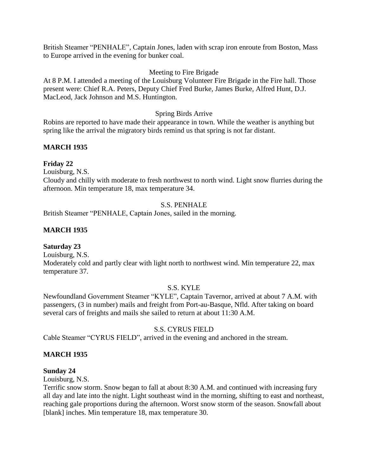British Steamer "PENHALE", Captain Jones, laden with scrap iron enroute from Boston, Mass to Europe arrived in the evening for bunker coal.

## Meeting to Fire Brigade

At 8 P.M. I attended a meeting of the Louisburg Volunteer Fire Brigade in the Fire hall. Those present were: Chief R.A. Peters, Deputy Chief Fred Burke, James Burke, Alfred Hunt, D.J. MacLeod, Jack Johnson and M.S. Huntington.

## Spring Birds Arrive

Robins are reported to have made their appearance in town. While the weather is anything but spring like the arrival the migratory birds remind us that spring is not far distant.

## **MARCH 1935**

## **Friday 22**

Louisburg, N.S.

Cloudy and chilly with moderate to fresh northwest to north wind. Light snow flurries during the afternoon. Min temperature 18, max temperature 34.

## S.S. PENHALE

British Steamer "PENHALE, Captain Jones, sailed in the morning.

## **MARCH 1935**

### **Saturday 23**

Louisburg, N.S.

Moderately cold and partly clear with light north to northwest wind. Min temperature 22, max temperature 37.

### S.S. KYLE

Newfoundland Government Steamer "KYLE", Captain Tavernor, arrived at about 7 A.M. with passengers, (3 in number) mails and freight from Port-au-Basque, Nfld. After taking on board several cars of freights and mails she sailed to return at about 11:30 A.M.

### S.S. CYRUS FIELD

Cable Steamer "CYRUS FIELD", arrived in the evening and anchored in the stream.

### **MARCH 1935**

### **Sunday 24**

Louisburg, N.S.

Terrific snow storm. Snow began to fall at about 8:30 A.M. and continued with increasing fury all day and late into the night. Light southeast wind in the morning, shifting to east and northeast, reaching gale proportions during the afternoon. Worst snow storm of the season. Snowfall about [blank] inches. Min temperature 18, max temperature 30.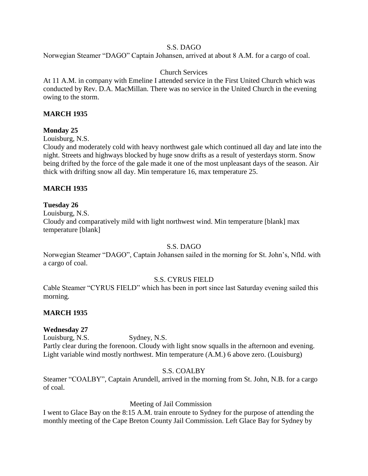## S.S. DAGO

Norwegian Steamer "DAGO" Captain Johansen, arrived at about 8 A.M. for a cargo of coal.

## Church Services

At 11 A.M. in company with Emeline I attended service in the First United Church which was conducted by Rev. D.A. MacMillan. There was no service in the United Church in the evening owing to the storm.

## **MARCH 1935**

### **Monday 25**

Louisburg, N.S.

Cloudy and moderately cold with heavy northwest gale which continued all day and late into the night. Streets and highways blocked by huge snow drifts as a result of yesterdays storm. Snow being drifted by the force of the gale made it one of the most unpleasant days of the season. Air thick with drifting snow all day. Min temperature 16, max temperature 25.

## **MARCH 1935**

### **Tuesday 26**

Louisburg, N.S.

Cloudy and comparatively mild with light northwest wind. Min temperature [blank] max temperature [blank]

### S.S. DAGO

Norwegian Steamer "DAGO", Captain Johansen sailed in the morning for St. John's, Nfld. with a cargo of coal.

### S.S. CYRUS FIELD

Cable Steamer "CYRUS FIELD" which has been in port since last Saturday evening sailed this morning.

## **MARCH 1935**

### **Wednesday 27**

Louisburg, N.S. Sydney, N.S. Partly clear during the forenoon. Cloudy with light snow squalls in the afternoon and evening. Light variable wind mostly northwest. Min temperature (A.M.) 6 above zero. (Louisburg)

### S.S. COALBY

Steamer "COALBY", Captain Arundell, arrived in the morning from St. John, N.B. for a cargo of coal.

### Meeting of Jail Commission

I went to Glace Bay on the 8:15 A.M. train enroute to Sydney for the purpose of attending the monthly meeting of the Cape Breton County Jail Commission. Left Glace Bay for Sydney by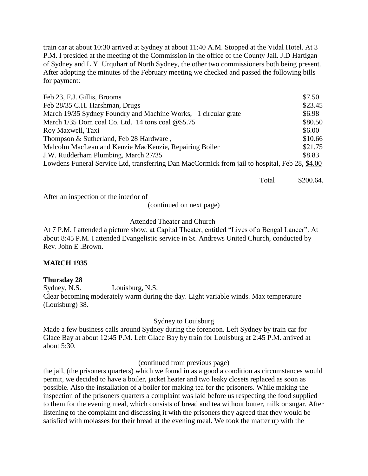train car at about 10:30 arrived at Sydney at about 11:40 A.M. Stopped at the Vidal Hotel. At 3 P.M. I presided at the meeting of the Commission in the office of the County Jail. J.D Hartigan of Sydney and L.Y. Urquhart of North Sydney, the other two commissioners both being present. After adopting the minutes of the February meeting we checked and passed the following bills for payment:

| Feb 23, F.J. Gillis, Brooms                                                                    | \$7.50  |
|------------------------------------------------------------------------------------------------|---------|
| Feb 28/35 C.H. Harshman, Drugs                                                                 | \$23.45 |
| March 19/35 Sydney Foundry and Machine Works, 1 circular grate                                 | \$6.98  |
| March 1/35 Dom coal Co. Ltd. 14 tons coal @\$5.75                                              | \$80.50 |
| Roy Maxwell, Taxi                                                                              | \$6.00  |
| Thompson & Sutherland, Feb 28 Hardware,                                                        | \$10.66 |
| Malcolm MacLean and Kenzie MacKenzie, Repairing Boiler                                         | \$21.75 |
| J.W. Rudderham Plumbing, March 27/35                                                           | \$8.83  |
| Lowdens Funeral Service Ltd, transferring Dan MacCormick from jail to hospital, Feb 28, \$4.00 |         |
|                                                                                                |         |

Total \$200.64.

After an inspection of the interior of

(continued on next page)

### Attended Theater and Church

At 7 P.M. I attended a picture show, at Capital Theater, entitled "Lives of a Bengal Lancer". At about 8:45 P.M. I attended Evangelistic service in St. Andrews United Church, conducted by Rev. John E .Brown.

### **MARCH 1935**

### **Thursday 28**

Sydney, N.S. Louisburg, N.S. Clear becoming moderately warm during the day. Light variable winds. Max temperature (Louisburg) 38.

Sydney to Louisburg

Made a few business calls around Sydney during the forenoon. Left Sydney by train car for Glace Bay at about 12:45 P.M. Left Glace Bay by train for Louisburg at 2:45 P.M. arrived at about 5:30.

(continued from previous page)

the jail, (the prisoners quarters) which we found in as a good a condition as circumstances would permit, we decided to have a boiler, jacket heater and two leaky closets replaced as soon as possible. Also the installation of a boiler for making tea for the prisoners. While making the inspection of the prisoners quarters a complaint was laid before us respecting the food supplied to them for the evening meal, which consists of bread and tea without butter, milk or sugar. After listening to the complaint and discussing it with the prisoners they agreed that they would be satisfied with molasses for their bread at the evening meal. We took the matter up with the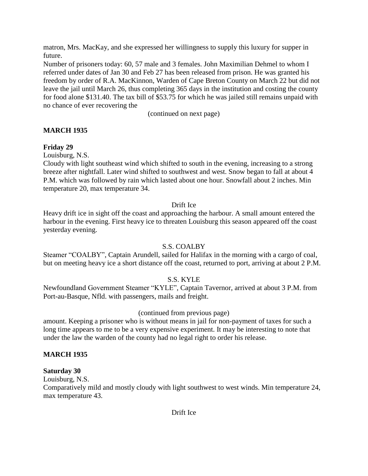matron, Mrs. MacKay, and she expressed her willingness to supply this luxury for supper in future.

Number of prisoners today: 60, 57 male and 3 females. John Maximilian Dehmel to whom I referred under dates of Jan 30 and Feb 27 has been released from prison. He was granted his freedom by order of R.A. MacKinnon, Warden of Cape Breton County on March 22 but did not leave the jail until March 26, thus completing 365 days in the institution and costing the county for food alone \$131.40. The tax bill of \$53.75 for which he was jailed still remains unpaid with no chance of ever recovering the

(continued on next page)

## **MARCH 1935**

## **Friday 29**

Louisburg, N.S.

Cloudy with light southeast wind which shifted to south in the evening, increasing to a strong breeze after nightfall. Later wind shifted to southwest and west. Snow began to fall at about 4 P.M. which was followed by rain which lasted about one hour. Snowfall about 2 inches. Min temperature 20, max temperature 34.

## Drift Ice

Heavy drift ice in sight off the coast and approaching the harbour. A small amount entered the harbour in the evening. First heavy ice to threaten Louisburg this season appeared off the coast yesterday evening.

## S.S. COALBY

Steamer "COALBY", Captain Arundell, sailed for Halifax in the morning with a cargo of coal, but on meeting heavy ice a short distance off the coast, returned to port, arriving at about 2 P.M.

## S.S. KYLE

Newfoundland Government Steamer "KYLE", Captain Tavernor, arrived at about 3 P.M. from Port-au-Basque, Nfld. with passengers, mails and freight.

### (continued from previous page)

amount. Keeping a prisoner who is without means in jail for non-payment of taxes for such a long time appears to me to be a very expensive experiment. It may be interesting to note that under the law the warden of the county had no legal right to order his release.

### **MARCH 1935**

### **Saturday 30**

Louisburg, N.S.

Comparatively mild and mostly cloudy with light southwest to west winds. Min temperature 24, max temperature 43.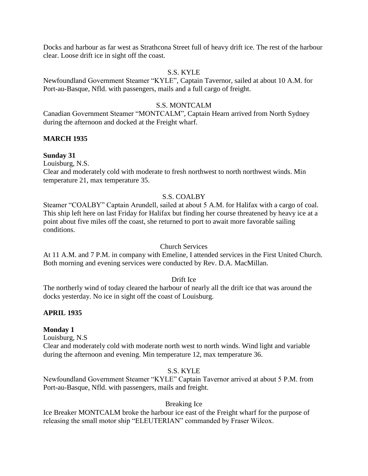Docks and harbour as far west as Strathcona Street full of heavy drift ice. The rest of the harbour clear. Loose drift ice in sight off the coast.

### S.S. KYLE

Newfoundland Government Steamer "KYLE", Captain Tavernor, sailed at about 10 A.M. for Port-au-Basque, Nfld. with passengers, mails and a full cargo of freight.

#### S.S. MONTCALM

Canadian Government Steamer "MONTCALM", Captain Hearn arrived from North Sydney during the afternoon and docked at the Freight wharf.

### **MARCH 1935**

#### **Sunday 31**

Louisburg, N.S.

Clear and moderately cold with moderate to fresh northwest to north northwest winds. Min temperature 21, max temperature 35.

#### S.S. COALBY

Steamer "COALBY" Captain Arundell, sailed at about 5 A.M. for Halifax with a cargo of coal. This ship left here on last Friday for Halifax but finding her course threatened by heavy ice at a point about five miles off the coast, she returned to port to await more favorable sailing conditions.

#### Church Services

At 11 A.M. and 7 P.M. in company with Emeline, I attended services in the First United Church. Both morning and evening services were conducted by Rev. D.A. MacMillan.

#### Drift Ice

The northerly wind of today cleared the harbour of nearly all the drift ice that was around the docks yesterday. No ice in sight off the coast of Louisburg.

#### **APRIL 1935**

#### **Monday 1**

Louisburg, N.S

Clear and moderately cold with moderate north west to north winds. Wind light and variable during the afternoon and evening. Min temperature 12, max temperature 36.

## S.S. KYLE

Newfoundland Government Steamer "KYLE" Captain Tavernor arrived at about 5 P.M. from Port-au-Basque, Nfld. with passengers, mails and freight.

#### Breaking Ice

Ice Breaker MONTCALM broke the harbour ice east of the Freight wharf for the purpose of releasing the small motor ship "ELEUTERIAN" commanded by Fraser Wilcox.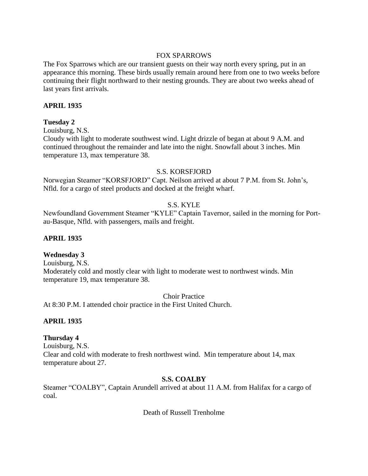### FOX SPARROWS

The Fox Sparrows which are our transient guests on their way north every spring, put in an appearance this morning. These birds usually remain around here from one to two weeks before continuing their flight northward to their nesting grounds. They are about two weeks ahead of last years first arrivals.

## **APRIL 1935**

## **Tuesday 2**

Louisburg, N.S.

Cloudy with light to moderate southwest wind. Light drizzle of began at about 9 A.M. and continued throughout the remainder and late into the night. Snowfall about 3 inches. Min temperature 13, max temperature 38.

## S.S. KORSFJORD

Norwegian Steamer "KORSFJORD" Capt. Neilson arrived at about 7 P.M. from St. John's, Nfld. for a cargo of steel products and docked at the freight wharf.

## S.S. KYLE

Newfoundland Government Steamer "KYLE" Captain Tavernor, sailed in the morning for Portau-Basque, Nfld. with passengers, mails and freight.

## **APRIL 1935**

## **Wednesday 3**

Louisburg, N.S. Moderately cold and mostly clear with light to moderate west to northwest winds. Min temperature 19, max temperature 38.

Choir Practice

At 8:30 P.M. I attended choir practice in the First United Church.

## **APRIL 1935**

## **Thursday 4**

Louisburg, N.S. Clear and cold with moderate to fresh northwest wind. Min temperature about 14, max temperature about 27.

## **S.S. COALBY**

Steamer "COALBY", Captain Arundell arrived at about 11 A.M. from Halifax for a cargo of coal.

Death of Russell Trenholme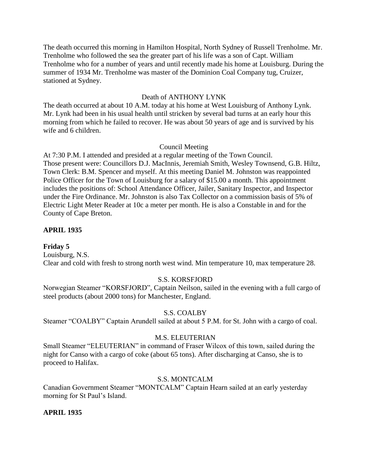The death occurred this morning in Hamilton Hospital, North Sydney of Russell Trenholme. Mr. Trenholme who followed the sea the greater part of his life was a son of Capt. William Trenholme who for a number of years and until recently made his home at Louisburg. During the summer of 1934 Mr. Trenholme was master of the Dominion Coal Company tug, Cruizer, stationed at Sydney.

## Death of ANTHONY LYNK

The death occurred at about 10 A.M. today at his home at West Louisburg of Anthony Lynk. Mr. Lynk had been in his usual health until stricken by several bad turns at an early hour this morning from which he failed to recover. He was about 50 years of age and is survived by his wife and 6 children.

## Council Meeting

At 7:30 P.M. I attended and presided at a regular meeting of the Town Council. Those present were: Councillors D.J. MacInnis, Jeremiah Smith, Wesley Townsend, G.B. Hiltz, Town Clerk: B.M. Spencer and myself. At this meeting Daniel M. Johnston was reappointed Police Officer for the Town of Louisburg for a salary of \$15.00 a month. This appointment includes the positions of: School Attendance Officer, Jailer, Sanitary Inspector, and Inspector under the Fire Ordinance. Mr. Johnston is also Tax Collector on a commission basis of 5% of Electric Light Meter Reader at 10c a meter per month. He is also a Constable in and for the County of Cape Breton.

## **APRIL 1935**

### **Friday 5**

Louisburg, N.S. Clear and cold with fresh to strong north west wind. Min temperature 10, max temperature 28.

## S.S. KORSFJORD

Norwegian Steamer "KORSFJORD", Captain Neilson, sailed in the evening with a full cargo of steel products (about 2000 tons) for Manchester, England.

### S.S. COALBY

Steamer "COALBY" Captain Arundell sailed at about 5 P.M. for St. John with a cargo of coal.

### M.S. ELEUTERIAN

Small Steamer "ELEUTERIAN" in command of Fraser Wilcox of this town, sailed during the night for Canso with a cargo of coke (about 65 tons). After discharging at Canso, she is to proceed to Halifax.

### S.S. MONTCALM

Canadian Government Steamer "MONTCALM" Captain Hearn sailed at an early yesterday morning for St Paul's Island.

### **APRIL 1935**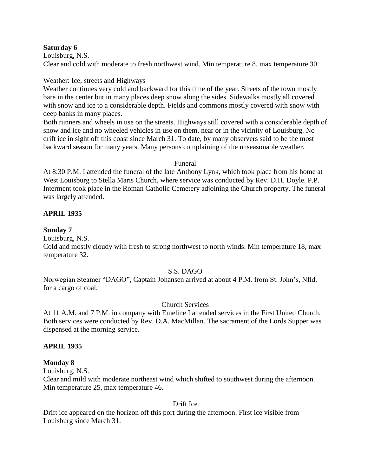#### **Saturday 6**

Louisburg, N.S. Clear and cold with moderate to fresh northwest wind. Min temperature 8, max temperature 30.

### Weather: Ice, streets and Highways

Weather continues very cold and backward for this time of the year. Streets of the town mostly bare in the center but in many places deep snow along the sides. Sidewalks mostly all covered with snow and ice to a considerable depth. Fields and commons mostly covered with snow with deep banks in many places.

Both runners and wheels in use on the streets. Highways still covered with a considerable depth of snow and ice and no wheeled vehicles in use on them, near or in the vicinity of Louisburg. No drift ice in sight off this coast since March 31. To date, by many observers said to be the most backward season for many years. Many persons complaining of the unseasonable weather.

#### Funeral

At 8:30 P.M. I attended the funeral of the late Anthony Lynk, which took place from his home at West Louisburg to Stella Maris Church, where service was conducted by Rev. D.H. Doyle. P.P. Interment took place in the Roman Catholic Cemetery adjoining the Church property. The funeral was largely attended.

## **APRIL 1935**

### **Sunday 7**

Louisburg, N.S.

Cold and mostly cloudy with fresh to strong northwest to north winds. Min temperature 18, max temperature 32.

### S.S. DAGO

Norwegian Steamer "DAGO", Captain Johansen arrived at about 4 P.M. from St. John's, Nfld. for a cargo of coal.

### Church Services

At 11 A.M. and 7 P.M. in company with Emeline I attended services in the First United Church. Both services were conducted by Rev. D.A. MacMillan. The sacrament of the Lords Supper was dispensed at the morning service.

### **APRIL 1935**

#### **Monday 8**

Louisburg, N.S.

Clear and mild with moderate northeast wind which shifted to southwest during the afternoon. Min temperature 25, max temperature 46.

Drift Ice

Drift ice appeared on the horizon off this port during the afternoon. First ice visible from Louisburg since March 31.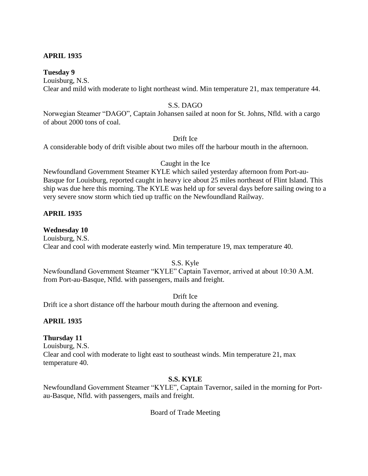## **APRIL 1935**

#### **Tuesday 9**

Louisburg, N.S. Clear and mild with moderate to light northeast wind. Min temperature 21, max temperature 44.

#### S.S. DAGO

Norwegian Steamer "DAGO", Captain Johansen sailed at noon for St. Johns, Nfld. with a cargo of about 2000 tons of coal.

Drift Ice

A considerable body of drift visible about two miles off the harbour mouth in the afternoon.

Caught in the Ice

Newfoundland Government Steamer KYLE which sailed yesterday afternoon from Port-au-Basque for Louisburg, reported caught in heavy ice about 25 miles northeast of Flint Island. This ship was due here this morning. The KYLE was held up for several days before sailing owing to a very severe snow storm which tied up traffic on the Newfoundland Railway.

#### **APRIL 1935**

#### **Wednesday 10**

Louisburg, N.S. Clear and cool with moderate easterly wind. Min temperature 19, max temperature 40.

S.S. Kyle

Newfoundland Government Steamer "KYLE" Captain Tavernor, arrived at about 10:30 A.M. from Port-au-Basque, Nfld. with passengers, mails and freight.

Drift Ice

Drift ice a short distance off the harbour mouth during the afternoon and evening.

#### **APRIL 1935**

### **Thursday 11**

Louisburg, N.S. Clear and cool with moderate to light east to southeast winds. Min temperature 21, max temperature 40.

#### **S.S. KYLE**

Newfoundland Government Steamer "KYLE", Captain Tavernor, sailed in the morning for Portau-Basque, Nfld. with passengers, mails and freight.

Board of Trade Meeting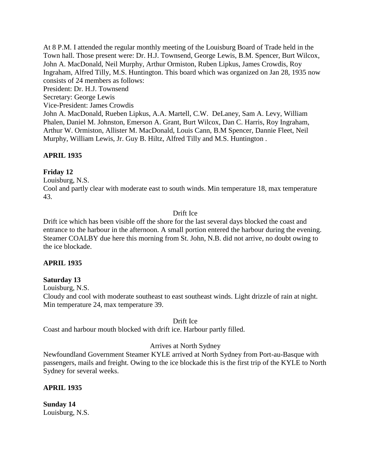At 8 P.M. I attended the regular monthly meeting of the Louisburg Board of Trade held in the Town hall. Those present were: Dr. H.J. Townsend, George Lewis, B.M. Spencer, Burt Wilcox, John A. MacDonald, Neil Murphy, Arthur Ormiston, Ruben Lipkus, James Crowdis, Roy Ingraham, Alfred Tilly, M.S. Huntington. This board which was organized on Jan 28, 1935 now consists of 24 members as follows:

President: Dr. H.J. Townsend

Secretary: George Lewis

Vice-President: James Crowdis

John A. MacDonald, Rueben Lipkus, A.A. Martell, C.W. DeLaney, Sam A. Levy, William Phalen, Daniel M. Johnston, Emerson A. Grant, Burt Wilcox, Dan C. Harris, Roy Ingraham, Arthur W. Ormiston, Allister M. MacDonald, Louis Cann, B.M Spencer, Dannie Fleet, Neil Murphy, William Lewis, Jr. Guy B. Hiltz, Alfred Tilly and M.S. Huntington .

## **APRIL 1935**

## **Friday 12**

Louisburg, N.S.

Cool and partly clear with moderate east to south winds. Min temperature 18, max temperature 43.

## Drift Ice

Drift ice which has been visible off the shore for the last several days blocked the coast and entrance to the harbour in the afternoon. A small portion entered the harbour during the evening. Steamer COALBY due here this morning from St. John, N.B. did not arrive, no doubt owing to the ice blockade.

## **APRIL 1935**

## **Saturday 13**

Louisburg, N.S.

Cloudy and cool with moderate southeast to east southeast winds. Light drizzle of rain at night. Min temperature 24, max temperature 39.

### Drift Ice

Coast and harbour mouth blocked with drift ice. Harbour partly filled.

### Arrives at North Sydney

Newfoundland Government Steamer KYLE arrived at North Sydney from Port-au-Basque with passengers, mails and freight. Owing to the ice blockade this is the first trip of the KYLE to North Sydney for several weeks.

## **APRIL 1935**

**Sunday 14** Louisburg, N.S.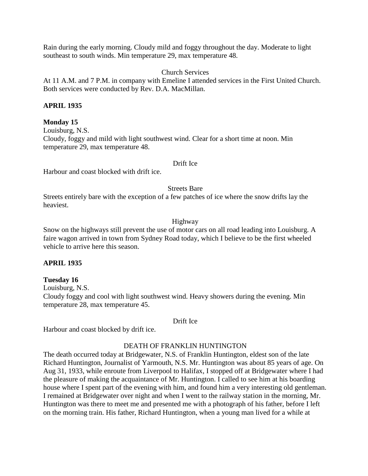Rain during the early morning. Cloudy mild and foggy throughout the day. Moderate to light southeast to south winds. Min temperature 29, max temperature 48.

Church Services

At 11 A.M. and 7 P.M. in company with Emeline I attended services in the First United Church. Both services were conducted by Rev. D.A. MacMillan.

## **APRIL 1935**

### **Monday 15**

Louisburg, N.S. Cloudy, foggy and mild with light southwest wind. Clear for a short time at noon. Min temperature 29, max temperature 48.

#### Drift Ice

Harbour and coast blocked with drift ice.

Streets Bare

Streets entirely bare with the exception of a few patches of ice where the snow drifts lay the heaviest.

### Highway

Snow on the highways still prevent the use of motor cars on all road leading into Louisburg. A faire wagon arrived in town from Sydney Road today, which I believe to be the first wheeled vehicle to arrive here this season.

### **APRIL 1935**

#### **Tuesday 16**

Louisburg, N.S.

Cloudy foggy and cool with light southwest wind. Heavy showers during the evening. Min temperature 28, max temperature 45.

Drift Ice

Harbour and coast blocked by drift ice.

#### DEATH OF FRANKLIN HUNTINGTON

The death occurred today at Bridgewater, N.S. of Franklin Huntington, eldest son of the late Richard Huntington, Journalist of Yarmouth, N.S. Mr. Huntington was about 85 years of age. On Aug 31, 1933, while enroute from Liverpool to Halifax, I stopped off at Bridgewater where I had the pleasure of making the acquaintance of Mr. Huntington. I called to see him at his boarding house where I spent part of the evening with him, and found him a very interesting old gentleman. I remained at Bridgewater over night and when I went to the railway station in the morning, Mr. Huntington was there to meet me and presented me with a photograph of his father, before I left on the morning train. His father, Richard Huntington, when a young man lived for a while at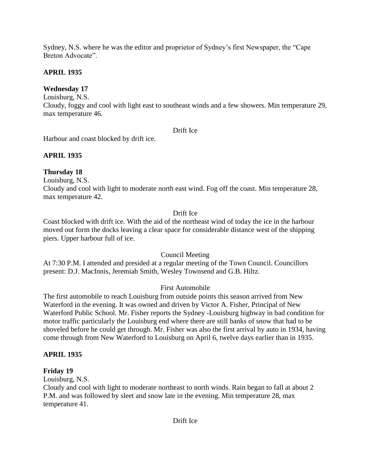Sydney, N.S. where he was the editor and proprietor of Sydney's first Newspaper, the "Cape Breton Advocate".

## **APRIL 1935**

## **Wednesday 17**

Louisburg, N.S.

Cloudy, foggy and cool with light east to southeast winds and a few showers. Min temperature 29, max temperature 46.

## Drift Ice

Harbour and coast blocked by drift ice.

## **APRIL 1935**

## **Thursday 18**

Louisburg, N.S.

Cloudy and cool with light to moderate north east wind. Fog off the coast. Min temperature 28, max temperature 42.

## Drift Ice

Coast blocked with drift ice. With the aid of the northeast wind of today the ice in the harbour moved out form the docks leaving a clear space for considerable distance west of the shipping piers. Upper harbour full of ice.

## Council Meeting

At 7:30 P.M. I attended and presided at a regular meeting of the Town Council. Councillors present: D.J. MacInnis, Jeremiah Smith, Wesley Townsend and G.B. Hiltz.

## First Automobile

The first automobile to reach Louisburg from outside points this season arrived from New Waterford in the evening. It was owned and driven by Victor A. Fisher, Principal of New Waterford Public School. Mr. Fisher reports the Sydney -Louisburg highway in bad condition for motor traffic particularly the Louisburg end where there are still banks of snow that had to be shoveled before he could get through. Mr. Fisher was also the first arrival by auto in 1934, having come through from New Waterford to Louisburg on April 6, twelve days earlier than in 1935.

## **APRIL 1935**

## **Friday 19**

Louisburg, N.S.

Cloudy and cool with light to moderate northeast to north winds. Rain began to fall at about 2 P.M. and was followed by sleet and snow late in the evening. Min temperature 28, max temperature 41.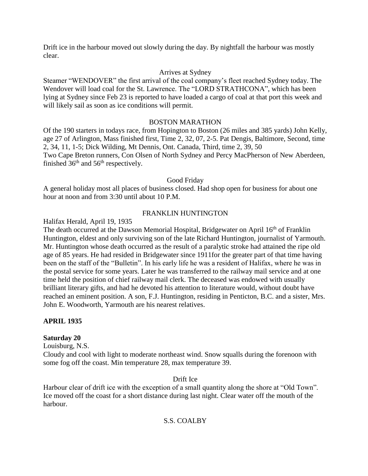Drift ice in the harbour moved out slowly during the day. By nightfall the harbour was mostly clear.

## Arrives at Sydney

Steamer "WENDOVER" the first arrival of the coal company's fleet reached Sydney today. The Wendover will load coal for the St. Lawrence. The "LORD STRATHCONA", which has been lying at Sydney since Feb 23 is reported to have loaded a cargo of coal at that port this week and will likely sail as soon as ice conditions will permit.

### BOSTON MARATHON

Of the 190 starters in todays race, from Hopington to Boston (26 miles and 385 yards) John Kelly, age 27 of Arlington, Mass finished first, Time 2, 32, 07, 2-5. Pat Dengis, Baltimore, Second, time 2, 34, 11, 1-5; Dick Wilding, Mt Dennis, Ont. Canada, Third, time 2, 39, 50 Two Cape Breton runners, Con Olsen of North Sydney and Percy MacPherson of New Aberdeen, finished  $36<sup>th</sup>$  and  $56<sup>th</sup>$  respectively.

### Good Friday

A general holiday most all places of business closed. Had shop open for business for about one hour at noon and from 3:30 until about 10 P.M.

### FRANKLIN HUNTINGTON

Halifax Herald, April 19, 1935

The death occurred at the Dawson Memorial Hospital, Bridgewater on April 16<sup>th</sup> of Franklin Huntington, eldest and only surviving son of the late Richard Huntington, journalist of Yarmouth. Mr. Huntington whose death occurred as the result of a paralytic stroke had attained the ripe old age of 85 years. He had resided in Bridgewater since 1911for the greater part of that time having been on the staff of the "Bulletin". In his early life he was a resident of Halifax, where he was in the postal service for some years. Later he was transferred to the railway mail service and at one time held the position of chief railway mail clerk. The deceased was endowed with usually brilliant literary gifts, and had he devoted his attention to literature would, without doubt have reached an eminent position. A son, F.J. Huntington, residing in Penticton, B.C. and a sister, Mrs. John E. Woodworth, Yarmouth are his nearest relatives.

### **APRIL 1935**

### **Saturday 20**

Louisburg, N.S.

Cloudy and cool with light to moderate northeast wind. Snow squalls during the forenoon with some fog off the coast. Min temperature 28, max temperature 39.

### Drift Ice

Harbour clear of drift ice with the exception of a small quantity along the shore at "Old Town". Ice moved off the coast for a short distance during last night. Clear water off the mouth of the harbour.

## S.S. COALBY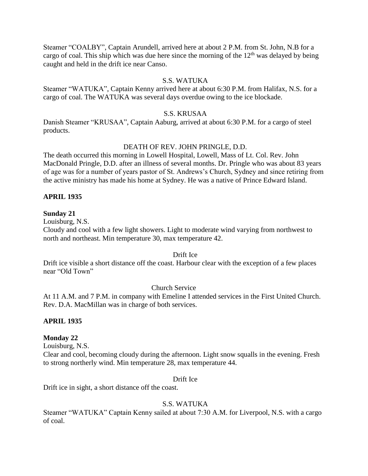Steamer "COALBY", Captain Arundell, arrived here at about 2 P.M. from St. John, N.B for a cargo of coal. This ship which was due here since the morning of the  $12<sup>th</sup>$  was delayed by being caught and held in the drift ice near Canso.

### S.S. WATUKA

Steamer "WATUKA", Captain Kenny arrived here at about 6:30 P.M. from Halifax, N.S. for a cargo of coal. The WATUKA was several days overdue owing to the ice blockade.

### S.S. KRUSAA

Danish Steamer "KRUSAA", Captain Aaburg, arrived at about 6:30 P.M. for a cargo of steel products.

## DEATH OF REV. JOHN PRINGLE, D.D.

The death occurred this morning in Lowell Hospital, Lowell, Mass of Lt. Col. Rev. John MacDonald Pringle, D.D. after an illness of several months. Dr. Pringle who was about 83 years of age was for a number of years pastor of St. Andrews's Church, Sydney and since retiring from the active ministry has made his home at Sydney. He was a native of Prince Edward Island.

## **APRIL 1935**

### **Sunday 21**

Louisburg, N.S.

Cloudy and cool with a few light showers. Light to moderate wind varying from northwest to north and northeast. Min temperature 30, max temperature 42.

### Drift Ice

Drift ice visible a short distance off the coast. Harbour clear with the exception of a few places near "Old Town"

### Church Service

At 11 A.M. and 7 P.M. in company with Emeline I attended services in the First United Church. Rev. D.A. MacMillan was in charge of both services.

### **APRIL 1935**

### **Monday 22**

Louisburg, N.S.

Clear and cool, becoming cloudy during the afternoon. Light snow squalls in the evening. Fresh to strong northerly wind. Min temperature 28, max temperature 44.

#### Drift Ice

Drift ice in sight, a short distance off the coast.

## S.S. WATUKA

Steamer "WATUKA" Captain Kenny sailed at about 7:30 A.M. for Liverpool, N.S. with a cargo of coal.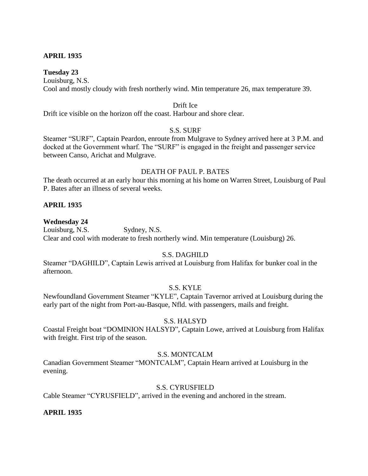## **APRIL 1935**

#### **Tuesday 23**

Louisburg, N.S. Cool and mostly cloudy with fresh northerly wind. Min temperature 26, max temperature 39.

#### Drift Ice

Drift ice visible on the horizon off the coast. Harbour and shore clear.

### S.S. SURF

Steamer "SURF", Captain Peardon, enroute from Mulgrave to Sydney arrived here at 3 P.M. and docked at the Government wharf. The "SURF" is engaged in the freight and passenger service between Canso, Arichat and Mulgrave.

#### DEATH OF PAUL P. BATES

The death occurred at an early hour this morning at his home on Warren Street, Louisburg of Paul P. Bates after an illness of several weeks.

### **APRIL 1935**

#### **Wednesday 24**

Louisburg, N.S. Sydney, N.S. Clear and cool with moderate to fresh northerly wind. Min temperature (Louisburg) 26.

### S.S. DAGHILD

Steamer "DAGHILD", Captain Lewis arrived at Louisburg from Halifax for bunker coal in the afternoon.

### S.S. KYLE

Newfoundland Government Steamer "KYLE", Captain Tavernor arrived at Louisburg during the early part of the night from Port-au-Basque, Nfld. with passengers, mails and freight.

#### S.S. HALSYD

Coastal Freight boat "DOMINION HALSYD", Captain Lowe, arrived at Louisburg from Halifax with freight. First trip of the season.

#### S.S. MONTCALM

Canadian Government Steamer "MONTCALM", Captain Hearn arrived at Louisburg in the evening.

### S.S. CYRUSFIELD

Cable Steamer "CYRUSFIELD", arrived in the evening and anchored in the stream.

### **APRIL 1935**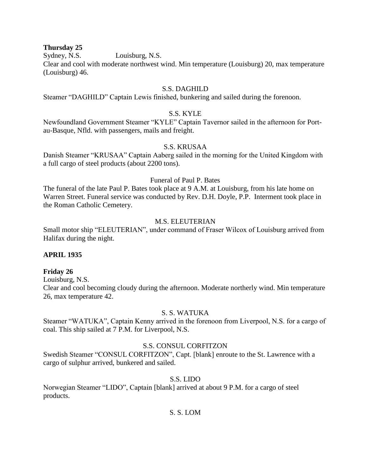#### **Thursday 25**

Sydney, N.S. Louisburg, N.S.

Clear and cool with moderate northwest wind. Min temperature (Louisburg) 20, max temperature (Louisburg) 46.

### S.S. DAGHILD

Steamer "DAGHILD" Captain Lewis finished, bunkering and sailed during the forenoon.

## S.S. KYLE

Newfoundland Government Steamer "KYLE" Captain Tavernor sailed in the afternoon for Portau-Basque, Nfld. with passengers, mails and freight.

### S.S. KRUSAA

Danish Steamer "KRUSAA" Captain Aaberg sailed in the morning for the United Kingdom with a full cargo of steel products (about 2200 tons).

#### Funeral of Paul P. Bates

The funeral of the late Paul P. Bates took place at 9 A.M. at Louisburg, from his late home on Warren Street. Funeral service was conducted by Rev. D.H. Doyle, P.P. Interment took place in the Roman Catholic Cemetery.

#### M.S. ELEUTERIAN

Small motor ship "ELEUTERIAN", under command of Fraser Wilcox of Louisburg arrived from Halifax during the night.

### **APRIL 1935**

#### **Friday 26**

Louisburg, N.S.

Clear and cool becoming cloudy during the afternoon. Moderate northerly wind. Min temperature 26, max temperature 42.

### S. S. WATUKA

Steamer "WATUKA", Captain Kenny arrived in the forenoon from Liverpool, N.S. for a cargo of coal. This ship sailed at 7 P.M. for Liverpool, N.S.

#### S.S. CONSUL CORFITZON

Swedish Steamer "CONSUL CORFITZON", Capt. [blank] enroute to the St. Lawrence with a cargo of sulphur arrived, bunkered and sailed.

#### S.S. LIDO

Norwegian Steamer "LIDO", Captain [blank] arrived at about 9 P.M. for a cargo of steel products.

### S. S. LOM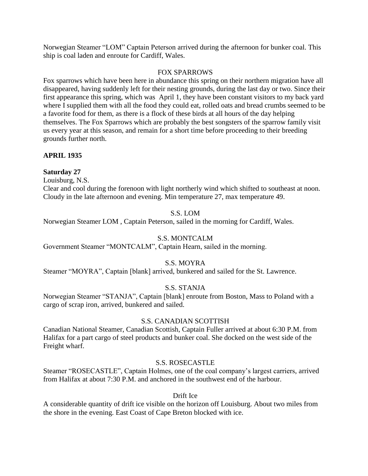Norwegian Steamer "LOM" Captain Peterson arrived during the afternoon for bunker coal. This ship is coal laden and enroute for Cardiff, Wales.

#### FOX SPARROWS

Fox sparrows which have been here in abundance this spring on their northern migration have all disappeared, having suddenly left for their nesting grounds, during the last day or two. Since their first appearance this spring, which was April 1, they have been constant visitors to my back yard where I supplied them with all the food they could eat, rolled oats and bread crumbs seemed to be a favorite food for them, as there is a flock of these birds at all hours of the day helping themselves. The Fox Sparrows which are probably the best songsters of the sparrow family visit us every year at this season, and remain for a short time before proceeding to their breeding grounds further north.

## **APRIL 1935**

### **Saturday 27**

Louisburg, N.S.

Clear and cool during the forenoon with light northerly wind which shifted to southeast at noon. Cloudy in the late afternoon and evening. Min temperature 27, max temperature 49.

## S.S. LOM

Norwegian Steamer LOM , Captain Peterson, sailed in the morning for Cardiff, Wales.

### S.S. MONTCALM

Government Steamer "MONTCALM", Captain Hearn, sailed in the morning.

### S.S. MOYRA

Steamer "MOYRA", Captain [blank] arrived, bunkered and sailed for the St. Lawrence.

### S.S. STANJA

Norwegian Steamer "STANJA", Captain [blank] enroute from Boston, Mass to Poland with a cargo of scrap iron, arrived, bunkered and sailed.

### S.S. CANADIAN SCOTTISH

Canadian National Steamer, Canadian Scottish, Captain Fuller arrived at about 6:30 P.M. from Halifax for a part cargo of steel products and bunker coal. She docked on the west side of the Freight wharf.

### S.S. ROSECASTLE

Steamer "ROSECASTLE", Captain Holmes, one of the coal company's largest carriers, arrived from Halifax at about 7:30 P.M. and anchored in the southwest end of the harbour.

Drift Ice

A considerable quantity of drift ice visible on the horizon off Louisburg. About two miles from the shore in the evening. East Coast of Cape Breton blocked with ice.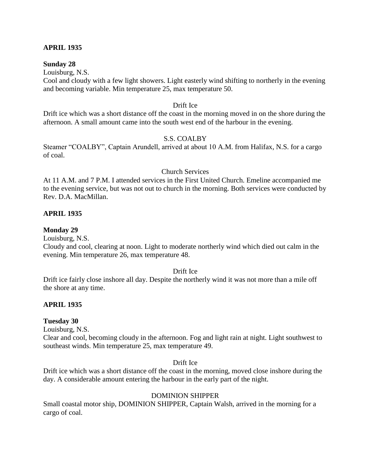#### **APRIL 1935**

#### **Sunday 28**

Louisburg, N.S.

Cool and cloudy with a few light showers. Light easterly wind shifting to northerly in the evening and becoming variable. Min temperature 25, max temperature 50.

#### Drift Ice

Drift ice which was a short distance off the coast in the morning moved in on the shore during the afternoon. A small amount came into the south west end of the harbour in the evening.

### S.S. COALBY

Steamer "COALBY", Captain Arundell, arrived at about 10 A.M. from Halifax, N.S. for a cargo of coal.

#### Church Services

At 11 A.M. and 7 P.M. I attended services in the First United Church. Emeline accompanied me to the evening service, but was not out to church in the morning. Both services were conducted by Rev. D.A. MacMillan.

#### **APRIL 1935**

#### **Monday 29**

Louisburg, N.S.

Cloudy and cool, clearing at noon. Light to moderate northerly wind which died out calm in the evening. Min temperature 26, max temperature 48.

#### Drift Ice

Drift ice fairly close inshore all day. Despite the northerly wind it was not more than a mile off the shore at any time.

#### **APRIL 1935**

#### **Tuesday 30**

Louisburg, N.S.

Clear and cool, becoming cloudy in the afternoon. Fog and light rain at night. Light southwest to southeast winds. Min temperature 25, max temperature 49.

#### Drift Ice

Drift ice which was a short distance off the coast in the morning, moved close inshore during the day. A considerable amount entering the harbour in the early part of the night.

#### DOMINION SHIPPER

Small coastal motor ship, DOMINION SHIPPER, Captain Walsh, arrived in the morning for a cargo of coal.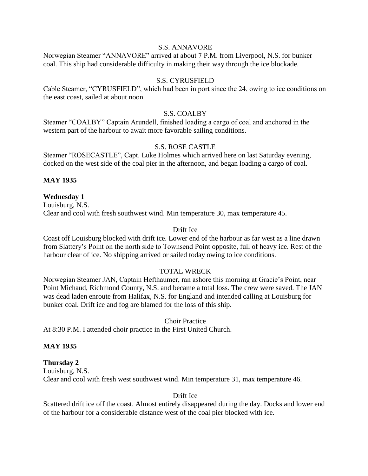#### S.S. ANNAVORE

Norwegian Steamer "ANNAVORE" arrived at about 7 P.M. from Liverpool, N.S. for bunker coal. This ship had considerable difficulty in making their way through the ice blockade.

#### S.S. CYRUSFIELD

Cable Steamer, "CYRUSFIELD", which had been in port since the 24, owing to ice conditions on the east coast, sailed at about noon.

#### S.S. COALBY

Steamer "COALBY" Captain Arundell, finished loading a cargo of coal and anchored in the western part of the harbour to await more favorable sailing conditions.

### S.S. ROSE CASTLE

Steamer "ROSECASTLE", Capt. Luke Holmes which arrived here on last Saturday evening, docked on the west side of the coal pier in the afternoon, and began loading a cargo of coal.

#### **MAY 1935**

#### **Wednesday 1**

Louisburg, N.S. Clear and cool with fresh southwest wind. Min temperature 30, max temperature 45.

#### Drift Ice

Coast off Louisburg blocked with drift ice. Lower end of the harbour as far west as a line drawn from Slattery's Point on the north side to Townsend Point opposite, full of heavy ice. Rest of the harbour clear of ice. No shipping arrived or sailed today owing to ice conditions.

#### TOTAL WRECK

Norwegian Steamer JAN, Captain Hefthaumer, ran ashore this morning at Gracie's Point, near Point Michaud, Richmond County, N.S. and became a total loss. The crew were saved. The JAN was dead laden enroute from Halifax, N.S. for England and intended calling at Louisburg for bunker coal. Drift ice and fog are blamed for the loss of this ship.

#### Choir Practice

At 8:30 P.M. I attended choir practice in the First United Church.

#### **MAY 1935**

#### **Thursday 2**

Louisburg, N.S. Clear and cool with fresh west southwest wind. Min temperature 31, max temperature 46.

#### Drift Ice

Scattered drift ice off the coast. Almost entirely disappeared during the day. Docks and lower end of the harbour for a considerable distance west of the coal pier blocked with ice.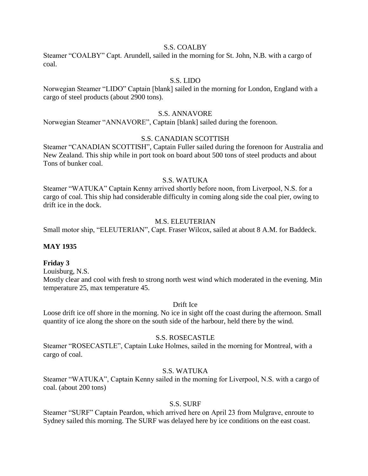#### S.S. COALBY

Steamer "COALBY" Capt. Arundell, sailed in the morning for St. John, N.B. with a cargo of coal.

## S.S. LIDO

Norwegian Steamer "LIDO" Captain [blank] sailed in the morning for London, England with a cargo of steel products (about 2900 tons).

#### S.S. ANNAVORE

Norwegian Steamer "ANNAVORE", Captain [blank] sailed during the forenoon.

### S.S. CANADIAN SCOTTISH

Steamer "CANADIAN SCOTTISH", Captain Fuller sailed during the forenoon for Australia and New Zealand. This ship while in port took on board about 500 tons of steel products and about Tons of bunker coal.

## S.S. WATUKA

Steamer "WATUKA" Captain Kenny arrived shortly before noon, from Liverpool, N.S. for a cargo of coal. This ship had considerable difficulty in coming along side the coal pier, owing to drift ice in the dock.

#### M.S. ELEUTERIAN

Small motor ship, "ELEUTERIAN", Capt. Fraser Wilcox, sailed at about 8 A.M. for Baddeck.

#### **MAY 1935**

#### **Friday 3**

Louisburg, N.S.

Mostly clear and cool with fresh to strong north west wind which moderated in the evening. Min temperature 25, max temperature 45.

#### Drift Ice

Loose drift ice off shore in the morning. No ice in sight off the coast during the afternoon. Small quantity of ice along the shore on the south side of the harbour, held there by the wind.

#### S.S. ROSECASTLE

Steamer "ROSECASTLE", Captain Luke Holmes, sailed in the morning for Montreal, with a cargo of coal.

### S.S. WATUKA

Steamer "WATUKA", Captain Kenny sailed in the morning for Liverpool, N.S. with a cargo of coal. (about 200 tons)

#### S.S. SURF

Steamer "SURF" Captain Peardon, which arrived here on April 23 from Mulgrave, enroute to Sydney sailed this morning. The SURF was delayed here by ice conditions on the east coast.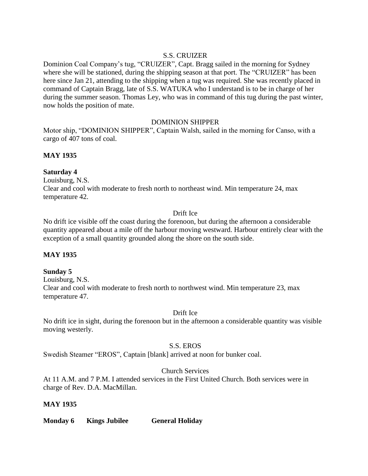## S.S. CRUIZER

Dominion Coal Company's tug, "CRUIZER", Capt. Bragg sailed in the morning for Sydney where she will be stationed, during the shipping season at that port. The "CRUIZER" has been here since Jan 21, attending to the shipping when a tug was required. She was recently placed in command of Captain Bragg, late of S.S. WATUKA who I understand is to be in charge of her during the summer season. Thomas Ley, who was in command of this tug during the past winter, now holds the position of mate.

### DOMINION SHIPPER

Motor ship, "DOMINION SHIPPER", Captain Walsh, sailed in the morning for Canso, with a cargo of 407 tons of coal.

## **MAY 1935**

### **Saturday 4**

Louisburg, N.S. Clear and cool with moderate to fresh north to northeast wind. Min temperature 24, max temperature 42.

### Drift Ice

No drift ice visible off the coast during the forenoon, but during the afternoon a considerable quantity appeared about a mile off the harbour moving westward. Harbour entirely clear with the exception of a small quantity grounded along the shore on the south side.

## **MAY 1935**

### **Sunday 5**

Louisburg, N.S. Clear and cool with moderate to fresh north to northwest wind. Min temperature 23, max temperature 47.

### Drift Ice

No drift ice in sight, during the forenoon but in the afternoon a considerable quantity was visible moving westerly.

### S.S. EROS

Swedish Steamer "EROS", Captain [blank] arrived at noon for bunker coal.

### Church Services

At 11 A.M. and 7 P.M. I attended services in the First United Church. Both services were in charge of Rev. D.A. MacMillan.

### **MAY 1935**

**Monday 6 Kings Jubilee General Holiday**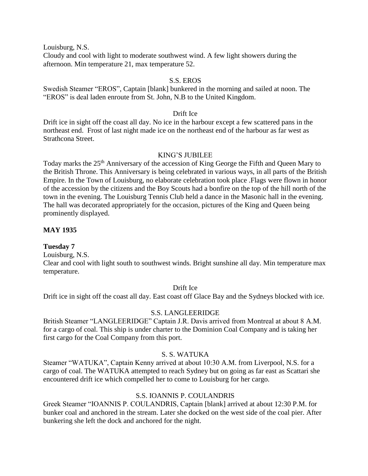Louisburg, N.S.

Cloudy and cool with light to moderate southwest wind. A few light showers during the afternoon. Min temperature 21, max temperature 52.

### S.S. EROS

Swedish Steamer "EROS", Captain [blank] bunkered in the morning and sailed at noon. The "EROS" is deal laden enroute from St. John, N.B to the United Kingdom.

### Drift Ice

Drift ice in sight off the coast all day. No ice in the harbour except a few scattered pans in the northeast end. Frost of last night made ice on the northeast end of the harbour as far west as Strathcona Street.

### KING'S JUBILEE

Today marks the 25<sup>th</sup> Anniversary of the accession of King George the Fifth and Queen Mary to the British Throne. This Anniversary is being celebrated in various ways, in all parts of the British Empire. In the Town of Louisburg, no elaborate celebration took place .Flags were flown in honor of the accession by the citizens and the Boy Scouts had a bonfire on the top of the hill north of the town in the evening. The Louisburg Tennis Club held a dance in the Masonic hall in the evening. The hall was decorated appropriately for the occasion, pictures of the King and Queen being prominently displayed.

## **MAY 1935**

### **Tuesday 7**

Louisburg, N.S.

Clear and cool with light south to southwest winds. Bright sunshine all day. Min temperature max temperature.

### Drift Ice

Drift ice in sight off the coast all day. East coast off Glace Bay and the Sydneys blocked with ice.

### S.S. LANGLEERIDGE

British Steamer "LANGLEERIDGE" Captain J.R. Davis arrived from Montreal at about 8 A.M. for a cargo of coal. This ship is under charter to the Dominion Coal Company and is taking her first cargo for the Coal Company from this port.

### S. S. WATUKA

Steamer "WATUKA", Captain Kenny arrived at about 10:30 A.M. from Liverpool, N.S. for a cargo of coal. The WATUKA attempted to reach Sydney but on going as far east as Scattari she encountered drift ice which compelled her to come to Louisburg for her cargo.

### S.S. IOANNIS P. COULANDRIS

Greek Steamer "IOANNIS P. COULANDRIS, Captain [blank] arrived at about 12:30 P.M. for bunker coal and anchored in the stream. Later she docked on the west side of the coal pier. After bunkering she left the dock and anchored for the night.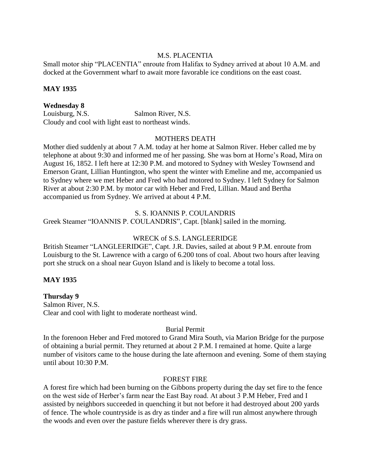### M.S. PLACENTIA

Small motor ship "PLACENTIA" enroute from Halifax to Sydney arrived at about 10 A.M. and docked at the Government wharf to await more favorable ice conditions on the east coast.

#### **MAY 1935**

#### **Wednesday 8**

Louisburg, N.S. Salmon River, N.S. Cloudy and cool with light east to northeast winds.

### MOTHERS DEATH

Mother died suddenly at about 7 A.M. today at her home at Salmon River. Heber called me by telephone at about 9:30 and informed me of her passing. She was born at Horne's Road, Mira on August 16, 1852. I left here at 12:30 P.M. and motored to Sydney with Wesley Townsend and Emerson Grant, Lillian Huntington, who spent the winter with Emeline and me, accompanied us to Sydney where we met Heber and Fred who had motored to Sydney. I left Sydney for Salmon River at about 2:30 P.M. by motor car with Heber and Fred, Lillian. Maud and Bertha accompanied us from Sydney. We arrived at about 4 P.M.

#### S. S. IOANNIS P. COULANDRIS

Greek Steamer "IOANNIS P. COULANDRIS", Capt. [blank] sailed in the morning.

#### WRECK of S.S. LANGLEERIDGE

British Steamer "LANGLEERIDGE", Capt. J.R. Davies, sailed at about 9 P.M. enroute from Louisburg to the St. Lawrence with a cargo of 6.200 tons of coal. About two hours after leaving port she struck on a shoal near Guyon Island and is likely to become a total loss.

#### **MAY 1935**

**Thursday 9** Salmon River, N.S. Clear and cool with light to moderate northeast wind.

### Burial Permit

In the forenoon Heber and Fred motored to Grand Mira South, via Marion Bridge for the purpose of obtaining a burial permit. They returned at about 2 P.M. I remained at home. Quite a large number of visitors came to the house during the late afternoon and evening. Some of them staying until about 10:30 P.M.

#### FOREST FIRE

A forest fire which had been burning on the Gibbons property during the day set fire to the fence on the west side of Herber's farm near the East Bay road. At about 3 P.M Heber, Fred and I assisted by neighbors succeeded in quenching it but not before it had destroyed about 200 yards of fence. The whole countryside is as dry as tinder and a fire will run almost anywhere through the woods and even over the pasture fields wherever there is dry grass.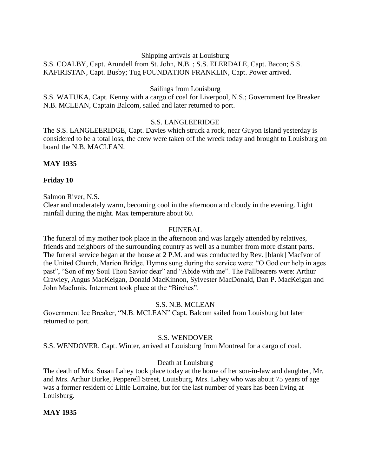#### Shipping arrivals at Louisburg

## S.S. COALBY, Capt. Arundell from St. John, N.B. ; S.S. ELERDALE, Capt. Bacon; S.S. KAFIRISTAN, Capt. Busby; Tug FOUNDATION FRANKLIN, Capt. Power arrived.

#### Sailings from Louisburg

S.S. WATUKA, Capt. Kenny with a cargo of coal for Liverpool, N.S.; Government Ice Breaker N.B. MCLEAN, Captain Balcom, sailed and later returned to port.

#### S.S. LANGLEERIDGE

The S.S. LANGLEERIDGE, Capt. Davies which struck a rock, near Guyon Island yesterday is considered to be a total loss, the crew were taken off the wreck today and brought to Louisburg on board the N.B. MACLEAN.

#### **MAY 1935**

#### **Friday 10**

#### Salmon River, N.S.

Clear and moderately warm, becoming cool in the afternoon and cloudy in the evening. Light rainfall during the night. Max temperature about 60.

#### FUNERAL

The funeral of my mother took place in the afternoon and was largely attended by relatives, friends and neighbors of the surrounding country as well as a number from more distant parts. The funeral service began at the house at 2 P.M. and was conducted by Rev. [blank] MacIvor of the United Church, Marion Bridge. Hymns sung during the service were: "O God our help in ages past", "Son of my Soul Thou Savior dear" and "Abide with me". The Pallbearers were: Arthur Crawley, Angus MacKeigan, Donald MacKinnon, Sylvester MacDonald, Dan P. MacKeigan and John MacInnis. Interment took place at the "Birches".

### S.S. N.B. MCLEAN

Government Ice Breaker, "N.B. MCLEAN" Capt. Balcom sailed from Louisburg but later returned to port.

### S.S. WENDOVER

S.S. WENDOVER, Capt. Winter, arrived at Louisburg from Montreal for a cargo of coal.

#### Death at Louisburg

The death of Mrs. Susan Lahey took place today at the home of her son-in-law and daughter, Mr. and Mrs. Arthur Burke, Pepperell Street, Louisburg. Mrs. Lahey who was about 75 years of age was a former resident of Little Lorraine, but for the last number of years has been living at Louisburg.

#### **MAY 1935**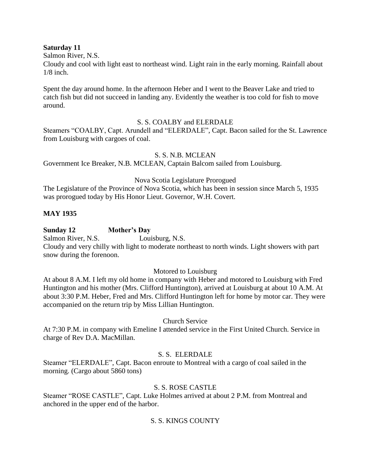### **Saturday 11**

Salmon River, N.S.

Cloudy and cool with light east to northeast wind. Light rain in the early morning. Rainfall about 1/8 inch.

Spent the day around home. In the afternoon Heber and I went to the Beaver Lake and tried to catch fish but did not succeed in landing any. Evidently the weather is too cold for fish to move around.

### S. S. COALBY and ELERDALE

Steamers "COALBY, Capt. Arundell and "ELERDALE", Capt. Bacon sailed for the St. Lawrence from Louisburg with cargoes of coal.

## S. S. N.B. MCLEAN

Government Ice Breaker, N.B. MCLEAN, Captain Balcom sailed from Louisburg.

## Nova Scotia Legislature Prorogued

The Legislature of the Province of Nova Scotia, which has been in session since March 5, 1935 was prorogued today by His Honor Lieut. Governor, W.H. Covert.

## **MAY 1935**

## **Sunday 12 Mother's Day**

Salmon River, N.S. Louisburg, N.S.

Cloudy and very chilly with light to moderate northeast to north winds. Light showers with part snow during the forenoon.

### Motored to Louisburg

At about 8 A.M. I left my old home in company with Heber and motored to Louisburg with Fred Huntington and his mother (Mrs. Clifford Huntington), arrived at Louisburg at about 10 A.M. At about 3:30 P.M. Heber, Fred and Mrs. Clifford Huntington left for home by motor car. They were accompanied on the return trip by Miss Lillian Huntington.

### Church Service

At 7:30 P.M. in company with Emeline I attended service in the First United Church. Service in charge of Rev D.A. MacMillan.

### S. S. ELERDALE

Steamer "ELERDALE", Capt. Bacon enroute to Montreal with a cargo of coal sailed in the morning. (Cargo about 5860 tons)

## S. S. ROSE CASTLE

Steamer "ROSE CASTLE", Capt. Luke Holmes arrived at about 2 P.M. from Montreal and anchored in the upper end of the harbor.

## S. S. KINGS COUNTY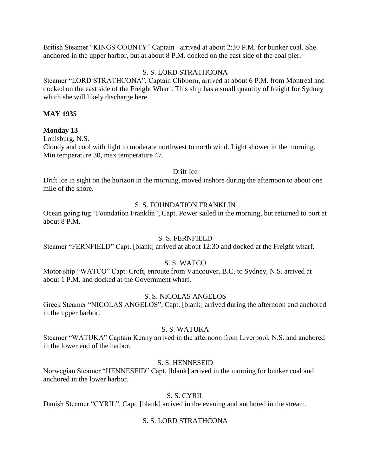British Steamer "KINGS COUNTY" Captain arrived at about 2:30 P.M. for bunker coal. She anchored in the upper harbor, but at about 8 P.M. docked on the east side of the coal pier.

### S. S. LORD STRATHCONA

Steamer "LORD STRATHCONA", Captain Clibborn, arrived at about 6 P.M. from Montreal and docked on the east side of the Freight Wharf. This ship has a small quantity of freight for Sydney which she will likely discharge here.

### **MAY 1935**

## **Monday 13**

Louisburg, N.S. Cloudy and cool with light to moderate northwest to north wind. Light shower in the morning. Min temperature 30, max temperature 47.

Drift Ice

Drift ice in sight on the horizon in the morning, moved inshore during the afternoon to about one mile of the shore.

## S. S. FOUNDATION FRANKLIN

Ocean going tug "Foundation Franklin", Capt. Power sailed in the morning, but returned to port at about 8 P.M.

### S. S. FERNFIELD

Steamer "FERNFIELD" Capt. [blank] arrived at about 12:30 and docked at the Freight wharf.

### S. S. WATCO

Motor ship "WATCO" Capt. Croft, enroute from Vancouver, B.C. to Sydney, N.S. arrived at about 1 P.M. and docked at the Government wharf.

### S. S. NICOLAS ANGELOS

Greek Steamer "NICOLAS ANGELOS", Capt. [blank] arrived during the afternoon and anchored in the upper harbor.

#### S. S. WATUKA

Steamer "WATUKA" Captain Kenny arrived in the afternoon from Liverpool, N.S. and anchored in the lower end of the harbor.

### S. S. HENNESEID

Norwegian Steamer "HENNESEID" Capt. [blank] arrived in the morning for bunker coal and anchored in the lower harbor.

### S. S. CYRIL

Danish Steamer "CYRIL", Capt. [blank] arrived in the evening and anchored in the stream.

### S. S. LORD STRATHCONA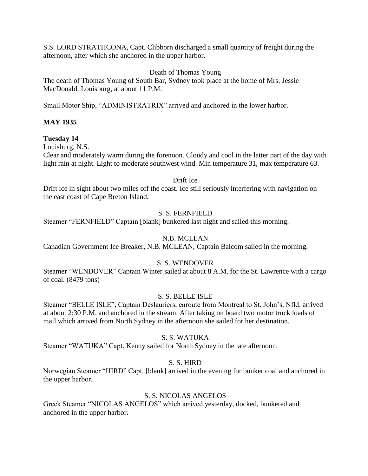S.S. LORD STRATHCONA, Capt. Clibborn discharged a small quantity of freight during the afternoon, after which she anchored in the upper harbor.

## Death of Thomas Young

The death of Thomas Young of South Bar, Sydney took place at the home of Mrs. Jessie MacDonald, Louisburg, at about 11 P.M.

Small Motor Ship, "ADMINISTRATRIX" arrived and anchored in the lower harbor.

### **MAY 1935**

## **Tuesday 14**

Louisburg, N.S.

Clear and moderately warm during the forenoon. Cloudy and cool in the latter part of the day with light rain at night. Light to moderate southwest wind. Min temperature 31, max temperature 63.

Drift Ice

Drift ice in sight about two miles off the coast. Ice still seriously interfering with navigation on the east coast of Cape Breton Island.

## S. S. FERNFIELD

Steamer "FERNFIELD" Captain [blank] bunkered last night and sailed this morning.

## N.B. MCLEAN

Canadian Government Ice Breaker, N.B. MCLEAN, Captain Balcom sailed in the morning.

### S. S. WENDOVER

Steamer "WENDOVER" Captain Winter sailed at about 8 A.M. for the St. Lawrence with a cargo of coal. (8479 tons)

### S. S. BELLE ISLE

Steamer "BELLE ISLE", Captain Deslauriers, enroute from Montreal to St. John's, Nfld. arrived at about 2:30 P.M. and anchored in the stream. After taking on board two motor truck loads of mail which arrived from North Sydney in the afternoon she sailed for her destination.

### S. S. WATUKA

Steamer "WATUKA" Capt. Kenny sailed for North Sydney in the late afternoon.

### S. S. HIRD

Norwegian Steamer "HIRD" Capt. [blank] arrived in the evening for bunker coal and anchored in the upper harbor.

### S. S. NICOLAS ANGELOS

Greek Steamer "NICOLAS ANGELOS" which arrived yesterday, docked, bunkered and anchored in the upper harbor.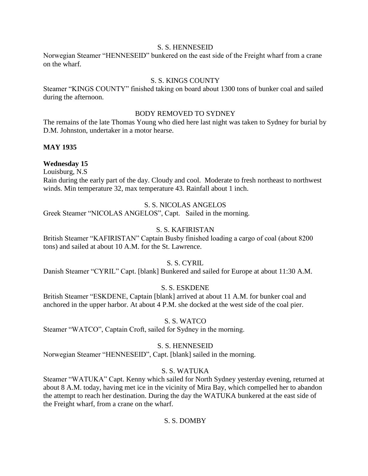#### S. S. HENNESEID

Norwegian Steamer "HENNESEID" bunkered on the east side of the Freight wharf from a crane on the wharf.

## S. S. KINGS COUNTY

Steamer "KINGS COUNTY" finished taking on board about 1300 tons of bunker coal and sailed during the afternoon.

### BODY REMOVED TO SYDNEY

The remains of the late Thomas Young who died here last night was taken to Sydney for burial by D.M. Johnston, undertaker in a motor hearse.

### **MAY 1935**

## **Wednesday 15**

Louisburg, N.S

Rain during the early part of the day. Cloudy and cool. Moderate to fresh northeast to northwest winds. Min temperature 32, max temperature 43. Rainfall about 1 inch.

## S. S. NICOLAS ANGELOS

Greek Steamer "NICOLAS ANGELOS", Capt. Sailed in the morning.

## S. S. KAFIRISTAN

British Steamer "KAFIRISTAN" Captain Busby finished loading a cargo of coal (about 8200 tons) and sailed at about 10 A.M. for the St. Lawrence.

### S. S. CYRIL

Danish Steamer "CYRIL" Capt. [blank] Bunkered and sailed for Europe at about 11:30 A.M.

## S. S. ESKDENE

British Steamer "ESKDENE, Captain [blank] arrived at about 11 A.M. for bunker coal and anchored in the upper harbor. At about 4 P.M. she docked at the west side of the coal pier.

### S. S. WATCO

Steamer "WATCO", Captain Croft, sailed for Sydney in the morning.

### S. S. HENNESEID

Norwegian Steamer "HENNESEID", Capt. [blank] sailed in the morning.

### S. S. WATUKA

Steamer "WATUKA" Capt. Kenny which sailed for North Sydney yesterday evening, returned at about 8 A.M. today, having met ice in the vicinity of Mira Bay, which compelled her to abandon the attempt to reach her destination. During the day the WATUKA bunkered at the east side of the Freight wharf, from a crane on the wharf.

### S. S. DOMBY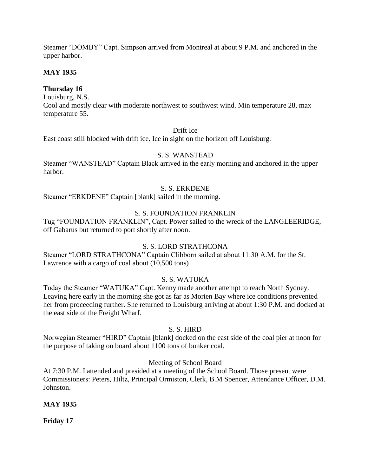Steamer "DOMBY" Capt. Simpson arrived from Montreal at about 9 P.M. and anchored in the upper harbor.

## **MAY 1935**

## **Thursday 16**

Louisburg, N.S.

Cool and mostly clear with moderate northwest to southwest wind. Min temperature 28, max temperature 55.

### Drift Ice

East coast still blocked with drift ice. Ice in sight on the horizon off Louisburg.

## S. S. WANSTEAD

Steamer "WANSTEAD" Captain Black arrived in the early morning and anchored in the upper harbor.

## S. S. ERKDENE

Steamer "ERKDENE" Captain [blank] sailed in the morning.

## S. S. FOUNDATION FRANKLIN

Tug "FOUNDATION FRANKLIN", Capt. Power sailed to the wreck of the LANGLEERIDGE, off Gabarus but returned to port shortly after noon.

### S. S. LORD STRATHCONA

Steamer "LORD STRATHCONA" Captain Clibborn sailed at about 11:30 A.M. for the St. Lawrence with a cargo of coal about (10,500 tons)

## S. S. WATUKA

Today the Steamer "WATUKA" Capt. Kenny made another attempt to reach North Sydney. Leaving here early in the morning she got as far as Morien Bay where ice conditions prevented her from proceeding further. She returned to Louisburg arriving at about 1:30 P.M. and docked at the east side of the Freight Wharf.

### S. S. HIRD

Norwegian Steamer "HIRD" Captain [blank] docked on the east side of the coal pier at noon for the purpose of taking on board about 1100 tons of bunker coal.

### Meeting of School Board

At 7:30 P.M. I attended and presided at a meeting of the School Board. Those present were Commissioners: Peters, Hiltz, Principal Ormiston, Clerk, B.M Spencer, Attendance Officer, D.M. Johnston.

### **MAY 1935**

**Friday 17**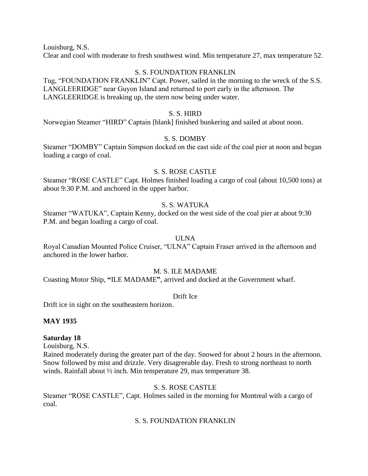Louisburg, N.S.

Clear and cool with moderate to fresh southwest wind. Min temperature 27, max temperature 52.

### S. S. FOUNDATION FRANKLIN

Tug, "FOUNDATION FRANKLIN" Capt. Power, sailed in the morning to the wreck of the S.S. LANGLEERIDGE" near Guyon Island and returned to port early in the afternoon. The LANGLEERIDGE is breaking up, the stern now being under water.

### S. S. HIRD

Norwegian Steamer "HIRD" Captain [blank] finished bunkering and sailed at about noon.

## S. S. DOMBY

Steamer "DOMBY" Captain Simpson docked on the east side of the coal pier at noon and began loading a cargo of coal.

### S. S. ROSE CASTLE

Steamer "ROSE CASTLE" Capt. Holmes finished loading a cargo of coal (about 10,500 tons) at about 9:30 P.M. and anchored in the upper harbor.

## S. S. WATUKA

Steamer "WATUKA", Captain Kenny, docked on the west side of the coal pier at about 9:30 P.M. and began loading a cargo of coal.

#### ULNA

Royal Canadian Mounted Police Cruiser, "ULNA" Captain Fraser arrived in the afternoon and anchored in the lower harbor.

### M. S. ILE MADAME

Coasting Motor Ship, **"**ILE MADAME**"**, arrived and docked at the Government wharf.

#### Drift Ice

Drift ice in sight on the southeastern horizon.

### **MAY 1935**

### **Saturday 18**

Louisburg, N.S.

Rained moderately during the greater part of the day. Snowed for about 2 hours in the afternoon. Snow followed by mist and drizzle. Very disagreeable day. Fresh to strong northeast to north winds. Rainfall about ½ inch. Min temperature 29, max temperature 38.

### S. S. ROSE CASTLE

Steamer "ROSE CASTLE", Capt. Holmes sailed in the morning for Montreal with a cargo of coal.

### S. S. FOUNDATION FRANKLIN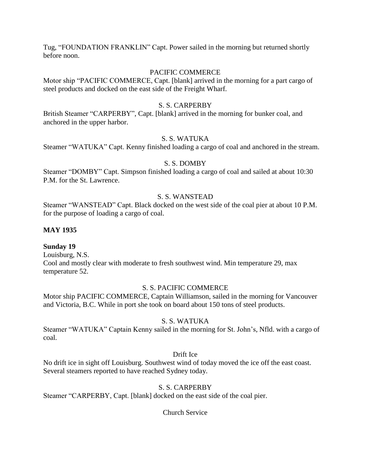Tug, "FOUNDATION FRANKLIN" Capt. Power sailed in the morning but returned shortly before noon.

#### PACIFIC COMMERCE

Motor ship "PACIFIC COMMERCE, Capt. [blank] arrived in the morning for a part cargo of steel products and docked on the east side of the Freight Wharf.

### S. S. CARPERBY

British Steamer "CARPERBY", Capt. [blank] arrived in the morning for bunker coal, and anchored in the upper harbor.

## S. S. WATUKA

Steamer "WATUKA" Capt. Kenny finished loading a cargo of coal and anchored in the stream.

#### S. S. DOMBY

Steamer "DOMBY" Capt. Simpson finished loading a cargo of coal and sailed at about 10:30 P.M. for the St. Lawrence.

#### S. S. WANSTEAD

Steamer "WANSTEAD" Capt. Black docked on the west side of the coal pier at about 10 P.M. for the purpose of loading a cargo of coal.

#### **MAY 1935**

### **Sunday 19**

Louisburg, N.S. Cool and mostly clear with moderate to fresh southwest wind. Min temperature 29, max temperature 52.

### S. S. PACIFIC COMMERCE

Motor ship PACIFIC COMMERCE, Captain Williamson, sailed in the morning for Vancouver and Victoria, B.C. While in port she took on board about 150 tons of steel products.

### S. S. WATUKA

Steamer "WATUKA" Captain Kenny sailed in the morning for St. John's, Nfld. with a cargo of coal.

### Drift Ice

No drift ice in sight off Louisburg. Southwest wind of today moved the ice off the east coast. Several steamers reported to have reached Sydney today.

### S. S. CARPERBY

Steamer "CARPERBY, Capt. [blank] docked on the east side of the coal pier.

Church Service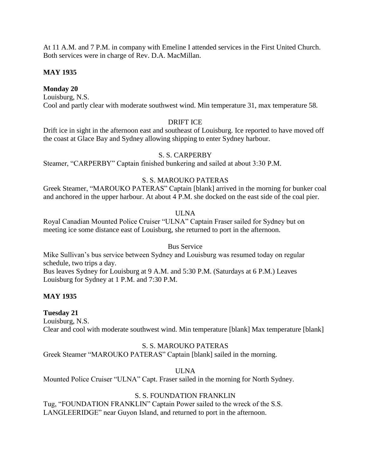At 11 A.M. and 7 P.M. in company with Emeline I attended services in the First United Church. Both services were in charge of Rev. D.A. MacMillan.

## **MAY 1935**

## **Monday 20**

Louisburg, N.S. Cool and partly clear with moderate southwest wind. Min temperature 31, max temperature 58.

## DRIFT ICE

Drift ice in sight in the afternoon east and southeast of Louisburg. Ice reported to have moved off the coast at Glace Bay and Sydney allowing shipping to enter Sydney harbour.

## S. S. CARPERBY

Steamer, "CARPERBY" Captain finished bunkering and sailed at about 3:30 P.M.

## S. S. MAROUKO PATERAS

Greek Steamer, "MAROUKO PATERAS" Captain [blank] arrived in the morning for bunker coal and anchored in the upper harbour. At about 4 P.M. she docked on the east side of the coal pier.

## ULNA

Royal Canadian Mounted Police Cruiser "ULNA" Captain Fraser sailed for Sydney but on meeting ice some distance east of Louisburg, she returned to port in the afternoon.

### Bus Service

Mike Sullivan's bus service between Sydney and Louisburg was resumed today on regular schedule, two trips a day.

Bus leaves Sydney for Louisburg at 9 A.M. and 5:30 P.M. (Saturdays at 6 P.M.) Leaves Louisburg for Sydney at 1 P.M. and 7:30 P.M.

### **MAY 1935**

## **Tuesday 21**

Louisburg, N.S. Clear and cool with moderate southwest wind. Min temperature [blank] Max temperature [blank]

### S. S. MAROUKO PATERAS

Greek Steamer "MAROUKO PATERAS" Captain [blank] sailed in the morning.

## ULNA

Mounted Police Cruiser "ULNA" Capt. Fraser sailed in the morning for North Sydney.

### S. S. FOUNDATION FRANKLIN

Tug, "FOUNDATION FRANKLIN" Captain Power sailed to the wreck of the S.S. LANGLEERIDGE" near Guyon Island, and returned to port in the afternoon.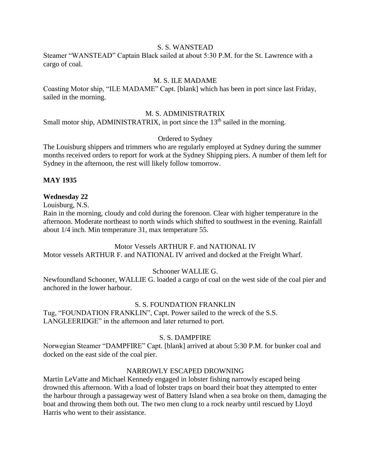#### S. S. WANSTEAD

Steamer "WANSTEAD" Captain Black sailed at about 5:30 P.M. for the St. Lawrence with a cargo of coal.

## M. S. ILE MADAME

Coasting Motor ship, "ILE MADAME" Capt. [blank] which has been in port since last Friday, sailed in the morning.

#### M. S. ADMINISTRATRIX

Small motor ship, ADMINISTRATRIX, in port since the 13<sup>th</sup> sailed in the morning.

### Ordered to Sydney

The Louisburg shippers and trimmers who are regularly employed at Sydney during the summer months received orders to report for work at the Sydney Shipping piers. A number of them left for Sydney in the afternoon, the rest will likely follow tomorrow.

### **MAY 1935**

#### **Wednesday 22**

Louisburg, N.S.

Rain in the morning, cloudy and cold during the forenoon. Clear with higher temperature in the afternoon. Moderate northeast to north winds which shifted to southwest in the evening. Rainfall about 1/4 inch. Min temperature 31, max temperature 55.

#### Motor Vessels ARTHUR F. and NATIONAL IV

Motor vessels ARTHUR F. and NATIONAL IV arrived and docked at the Freight Wharf.

#### Schooner WALLIE G.

Newfoundland Schooner, WALLIE G. loaded a cargo of coal on the west side of the coal pier and anchored in the lower harbour.

#### S. S. FOUNDATION FRANKLIN

Tug, "FOUNDATION FRANKLIN", Capt. Power sailed to the wreck of the S.S. LANGLEERIDGE" in the afternoon and later returned to port.

### S. S. DAMPFIRE

Norwegian Steamer "DAMPFIRE" Capt. [blank] arrived at about 5:30 P.M. for bunker coal and docked on the east side of the coal pier.

#### NARROWLY ESCAPED DROWNING

Martin LeVatte and Michael Kennedy engaged in lobster fishing narrowly escaped being drowned this afternoon. With a load of lobster traps on board their boat they attempted to enter the harbour through a passageway west of Battery Island when a sea broke on them, damaging the boat and throwing them both out. The two men clung to a rock nearby until rescued by Lloyd Harris who went to their assistance.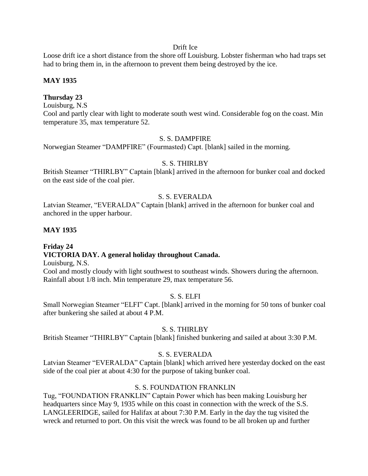#### Drift Ice

Loose drift ice a short distance from the shore off Louisburg. Lobster fisherman who had traps set had to bring them in, in the afternoon to prevent them being destroyed by the ice.

## **MAY 1935**

## **Thursday 23**

Louisburg, N.S

Cool and partly clear with light to moderate south west wind. Considerable fog on the coast. Min temperature 35, max temperature 52.

### S. S. DAMPFIRE

Norwegian Steamer "DAMPFIRE" (Fourmasted) Capt. [blank] sailed in the morning.

## S. S. THIRLBY

British Steamer "THIRLBY" Captain [blank] arrived in the afternoon for bunker coal and docked on the east side of the coal pier.

## S. S. EVERALDA

Latvian Steamer, "EVERALDA" Captain [blank] arrived in the afternoon for bunker coal and anchored in the upper harbour.

### **MAY 1935**

# **Friday 24 VICTORIA DAY. A general holiday throughout Canada.**

Louisburg, N.S.

Cool and mostly cloudy with light southwest to southeast winds. Showers during the afternoon. Rainfall about 1/8 inch. Min temperature 29, max temperature 56.

### S. S. ELFI

Small Norwegian Steamer "ELFI" Capt. [blank] arrived in the morning for 50 tons of bunker coal after bunkering she sailed at about 4 P.M.

### S. S. THIRLBY

British Steamer "THIRLBY" Captain [blank] finished bunkering and sailed at about 3:30 P.M.

## S. S. EVERALDA

Latvian Steamer "EVERALDA" Captain [blank] which arrived here yesterday docked on the east side of the coal pier at about 4:30 for the purpose of taking bunker coal.

### S. S. FOUNDATION FRANKLIN

Tug, "FOUNDATION FRANKLIN" Captain Power which has been making Louisburg her headquarters since May 9, 1935 while on this coast in connection with the wreck of the S.S. LANGLEERIDGE, sailed for Halifax at about 7:30 P.M. Early in the day the tug visited the wreck and returned to port. On this visit the wreck was found to be all broken up and further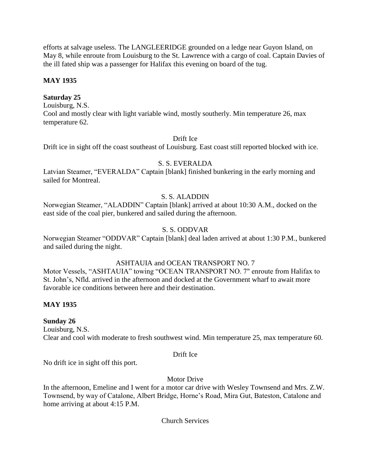efforts at salvage useless. The LANGLEERIDGE grounded on a ledge near Guyon Island, on May 8, while enroute from Louisburg to the St. Lawrence with a cargo of coal. Captain Davies of the ill fated ship was a passenger for Halifax this evening on board of the tug.

## **MAY 1935**

## **Saturday 25**

Louisburg, N.S. Cool and mostly clear with light variable wind, mostly southerly. Min temperature 26, max temperature 62.

### Drift Ice

Drift ice in sight off the coast southeast of Louisburg. East coast still reported blocked with ice.

### S. S. EVERALDA

Latvian Steamer, "EVERALDA" Captain [blank] finished bunkering in the early morning and sailed for Montreal.

## S. S. ALADDIN

Norwegian Steamer, "ALADDIN" Captain [blank] arrived at about 10:30 A.M., docked on the east side of the coal pier, bunkered and sailed during the afternoon.

## S. S. ODDVAR

Norwegian Steamer "ODDVAR" Captain [blank] deal laden arrived at about 1:30 P.M., bunkered and sailed during the night.

### ASHTAUIA and OCEAN TRANSPORT NO. 7

Motor Vessels, "ASHTAUIA" towing "OCEAN TRANSPORT NO. 7" enroute from Halifax to St. John's, Nfld. arrived in the afternoon and docked at the Government wharf to await more favorable ice conditions between here and their destination.

### **MAY 1935**

### **Sunday 26**

Louisburg, N.S. Clear and cool with moderate to fresh southwest wind. Min temperature 25, max temperature 60.

#### Drift Ice

No drift ice in sight off this port.

### Motor Drive

In the afternoon, Emeline and I went for a motor car drive with Wesley Townsend and Mrs. Z.W. Townsend, by way of Catalone, Albert Bridge, Horne's Road, Mira Gut, Bateston, Catalone and home arriving at about 4:15 P.M.

#### Church Services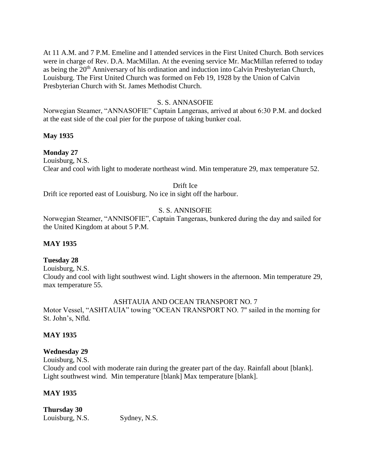At 11 A.M. and 7 P.M. Emeline and I attended services in the First United Church. Both services were in charge of Rev. D.A. MacMillan. At the evening service Mr. MacMillan referred to today as being the 20<sup>th</sup> Anniversary of his ordination and induction into Calvin Presbyterian Church, Louisburg. The First United Church was formed on Feb 19, 1928 by the Union of Calvin Presbyterian Church with St. James Methodist Church.

# S. S. ANNASOFIE

Norwegian Steamer, "ANNASOFIE" Captain Langeraas, arrived at about 6:30 P.M. and docked at the east side of the coal pier for the purpose of taking bunker coal.

# **May 1935**

# **Monday 27**

Louisburg, N.S. Clear and cool with light to moderate northeast wind. Min temperature 29, max temperature 52.

# Drift Ice

Drift ice reported east of Louisburg. No ice in sight off the harbour.

# S. S. ANNISOFIE

Norwegian Steamer, "ANNISOFIE", Captain Tangeraas, bunkered during the day and sailed for the United Kingdom at about 5 P.M.

# **MAY 1935**

# **Tuesday 28**

Louisburg, N.S. Cloudy and cool with light southwest wind. Light showers in the afternoon. Min temperature 29, max temperature 55.

# ASHTAUIA AND OCEAN TRANSPORT NO. 7

Motor Vessel, "ASHTAUIA" towing "OCEAN TRANSPORT NO. 7" sailed in the morning for St. John's, Nfld.

# **MAY 1935**

# **Wednesday 29**

Louisburg, N.S. Cloudy and cool with moderate rain during the greater part of the day. Rainfall about [blank]. Light southwest wind. Min temperature [blank] Max temperature [blank].

# **MAY 1935**

# **Thursday 30**

Louisburg, N.S. Sydney, N.S.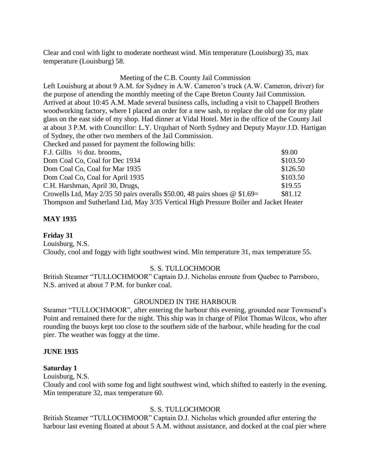Clear and cool with light to moderate northeast wind. Min temperature (Louisburg) 35, max temperature (Louisburg) 58.

#### Meeting of the C.B. County Jail Commission

Left Louisburg at about 9 A.M. for Sydney in A.W. Cameron's truck (A.W. Cameron, driver) for the purpose of attending the monthly meeting of the Cape Breton County Jail Commission. Arrived at about 10:45 A.M. Made several business calls, including a visit to Chappell Brothers woodworking factory, where I placed an order for a new sash, to replace the old one for my plate glass on the east side of my shop. Had dinner at Vidal Hotel. Met in the office of the County Jail at about 3 P.M. with Councillor: L.Y. Urquhart of North Sydney and Deputy Mayor J.D. Hartigan of Sydney, the other two members of the Jail Commission.

Checked and passed for payment the following bills:

| F.J. Gillis $\frac{1}{2}$ doz. brooms,                                                | \$9.00   |
|---------------------------------------------------------------------------------------|----------|
| Dom Coal Co, Coal for Dec 1934                                                        | \$103.50 |
| Dom Coal Co, Coal for Mar 1935                                                        | \$126.50 |
| Dom Coal Co, Coal for April 1935                                                      | \$103.50 |
| C.H. Harshman, April 30, Drugs,                                                       | \$19.55  |
| Crowells Ltd, May 2/35 50 pairs overalls \$50.00, 48 pairs shoes $\omega$ \$1.69=     | \$81.12  |
| Thompson and Sutherland Ltd, May 3/35 Vertical High Pressure Boiler and Jacket Heater |          |

# **MAY 1935**

# **Friday 31**

Louisburg, N.S.

Cloudy, cool and foggy with light southwest wind. Min temperature 31, max temperature 55.

# S. S. TULLOCHMOOR

British Steamer "TULLOCHMOOR" Captain D.J. Nicholas enroute from Quebec to Parrsboro, N.S. arrived at about 7 P.M. for bunker coal.

# GROUNDED IN THE HARBOUR

Steamer "TULLOCHMOOR", after entering the harbour this evening, grounded near Townsend's Point and remained there for the night. This ship was in charge of Pilot Thomas Wilcox, who after rounding the buoys kept too close to the southern side of the harbour, while heading for the coal pier. The weather was foggy at the time.

#### **JUNE 1935**

#### **Saturday 1**

Louisburg, N.S.

Cloudy and cool with some fog and light southwest wind, which shifted to easterly in the evening. Min temperature 32, max temperature 60.

# S. S. TULLOCHMOOR

British Steamer "TULLOCHMOOR" Captain D.J. Nicholas which grounded after entering the harbour last evening floated at about 5 A.M. without assistance, and docked at the coal pier where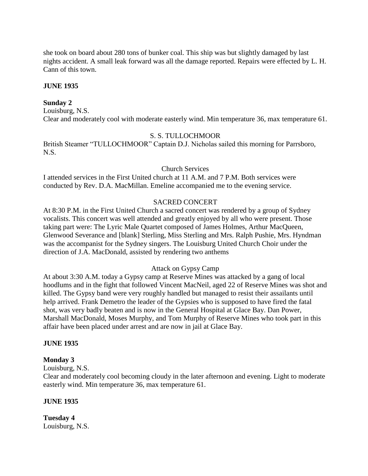she took on board about 280 tons of bunker coal. This ship was but slightly damaged by last nights accident. A small leak forward was all the damage reported. Repairs were effected by L. H. Cann of this town.

# **JUNE 1935**

# **Sunday 2**

Louisburg, N.S. Clear and moderately cool with moderate easterly wind. Min temperature 36, max temperature 61.

# S. S. TULLOCHMOOR

British Steamer "TULLOCHMOOR" Captain D.J. Nicholas sailed this morning for Parrsboro, N.S.

# Church Services

I attended services in the First United church at 11 A.M. and 7 P.M. Both services were conducted by Rev. D.A. MacMillan. Emeline accompanied me to the evening service.

# SACRED CONCERT

At 8:30 P.M. in the First United Church a sacred concert was rendered by a group of Sydney vocalists. This concert was well attended and greatly enjoyed by all who were present. Those taking part were: The Lyric Male Quartet composed of James Holmes, Arthur MacQueen, Glenwood Severance and [blank] Sterling, Miss Sterling and Mrs. Ralph Pushie, Mrs. Hyndman was the accompanist for the Sydney singers. The Louisburg United Church Choir under the direction of J.A. MacDonald, assisted by rendering two anthems

# Attack on Gypsy Camp

At about 3:30 A.M. today a Gypsy camp at Reserve Mines was attacked by a gang of local hoodlums and in the fight that followed Vincent MacNeil, aged 22 of Reserve Mines was shot and killed. The Gypsy band were very roughly handled but managed to resist their assailants until help arrived. Frank Demetro the leader of the Gypsies who is supposed to have fired the fatal shot, was very badly beaten and is now in the General Hospital at Glace Bay. Dan Power, Marshall MacDonald, Moses Murphy, and Tom Murphy of Reserve Mines who took part in this affair have been placed under arrest and are now in jail at Glace Bay.

# **JUNE 1935**

# **Monday 3**

Louisburg, N.S.

Clear and moderately cool becoming cloudy in the later afternoon and evening. Light to moderate easterly wind. Min temperature 36, max temperature 61.

# **JUNE 1935**

**Tuesday 4** Louisburg, N.S.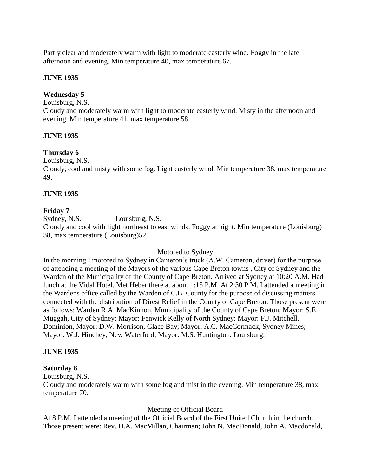Partly clear and moderately warm with light to moderate easterly wind. Foggy in the late afternoon and evening. Min temperature 40, max temperature 67.

# **JUNE 1935**

# **Wednesday 5**

Louisburg, N.S.

Cloudy and moderately warm with light to moderate easterly wind. Misty in the afternoon and evening. Min temperature 41, max temperature 58.

# **JUNE 1935**

# **Thursday 6**

Louisburg, N.S.

Cloudy, cool and misty with some fog. Light easterly wind. Min temperature 38, max temperature 49.

# **JUNE 1935**

# **Friday 7**

Sydney, N.S. Louisburg, N.S. Cloudy and cool with light northeast to east winds. Foggy at night. Min temperature (Louisburg) 38, max temperature (Louisburg)52.

# Motored to Sydney

In the morning I motored to Sydney in Cameron's truck (A.W. Cameron, driver) for the purpose of attending a meeting of the Mayors of the various Cape Breton towns , City of Sydney and the Warden of the Municipality of the County of Cape Breton. Arrived at Sydney at 10:20 A.M. Had lunch at the Vidal Hotel. Met Heber there at about 1:15 P.M. At 2:30 P.M. I attended a meeting in the Wardens office called by the Warden of C.B. County for the purpose of discussing matters connected with the distribution of Direst Relief in the County of Cape Breton. Those present were as follows: Warden R.A. MacKinnon, Municipality of the County of Cape Breton, Mayor: S.E. Muggah, City of Sydney; Mayor: Fenwick Kelly of North Sydney; Mayor: F.J. Mitchell, Dominion, Mayor: D.W. Morrison, Glace Bay; Mayor: A.C. MacCormack, Sydney Mines; Mayor: W.J. Hinchey, New Waterford; Mayor: M.S. Huntington, Louisburg.

# **JUNE 1935**

# **Saturday 8**

Louisburg, N.S.

Cloudy and moderately warm with some fog and mist in the evening. Min temperature 38, max temperature 70.

# Meeting of Official Board

At 8 P.M. I attended a meeting of the Official Board of the First United Church in the church. Those present were: Rev. D.A. MacMillan, Chairman; John N. MacDonald, John A. Macdonald,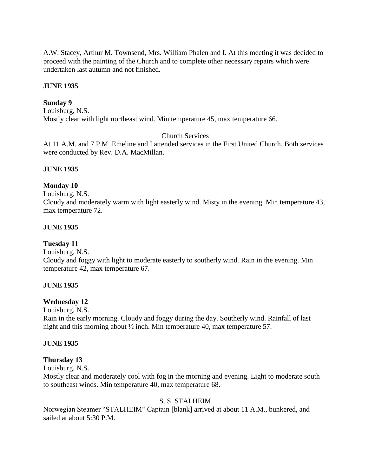A.W. Stacey, Arthur M. Townsend, Mrs. William Phalen and I. At this meeting it was decided to proceed with the painting of the Church and to complete other necessary repairs which were undertaken last autumn and not finished.

# **JUNE 1935**

#### **Sunday 9**

Louisburg, N.S. Mostly clear with light northeast wind. Min temperature 45, max temperature 66.

# Church Services

At 11 A.M. and 7 P.M. Emeline and I attended services in the First United Church. Both services were conducted by Rev. D.A. MacMillan.

#### **JUNE 1935**

#### **Monday 10**

Louisburg, N.S.

Cloudy and moderately warm with light easterly wind. Misty in the evening. Min temperature 43, max temperature 72.

#### **JUNE 1935**

#### **Tuesday 11**

Louisburg, N.S.

Cloudy and foggy with light to moderate easterly to southerly wind. Rain in the evening. Min temperature 42, max temperature 67.

# **JUNE 1935**

#### **Wednesday 12**

Louisburg, N.S.

Rain in the early morning. Cloudy and foggy during the day. Southerly wind. Rainfall of last night and this morning about ½ inch. Min temperature 40, max temperature 57.

#### **JUNE 1935**

#### **Thursday 13**

Louisburg, N.S.

Mostly clear and moderately cool with fog in the morning and evening. Light to moderate south to southeast winds. Min temperature 40, max temperature 68.

# S. S. STALHEIM

Norwegian Steamer "STALHEIM" Captain [blank] arrived at about 11 A.M., bunkered, and sailed at about 5:30 P.M.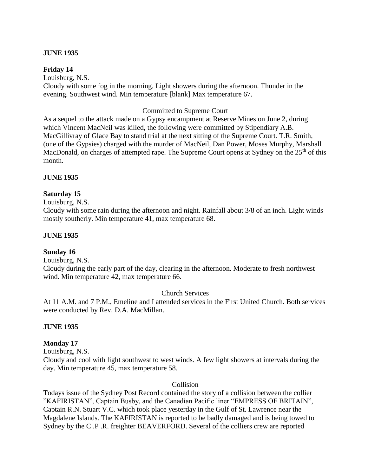# **JUNE 1935**

#### **Friday 14**

Louisburg, N.S. Cloudy with some fog in the morning. Light showers during the afternoon. Thunder in the evening. Southwest wind. Min temperature [blank] Max temperature 67.

#### Committed to Supreme Court

As a sequel to the attack made on a Gypsy encampment at Reserve Mines on June 2, during which Vincent MacNeil was killed, the following were committed by Stipendiary A.B. MacGillivray of Glace Bay to stand trial at the next sitting of the Supreme Court. T.R. Smith, (one of the Gypsies) charged with the murder of MacNeil, Dan Power, Moses Murphy, Marshall MacDonald, on charges of attempted rape. The Supreme Court opens at Sydney on the  $25<sup>th</sup>$  of this month.

#### **JUNE 1935**

#### **Saturday 15**

Louisburg, N.S.

Cloudy with some rain during the afternoon and night. Rainfall about 3/8 of an inch. Light winds mostly southerly. Min temperature 41, max temperature 68.

#### **JUNE 1935**

#### **Sunday 16**

Louisburg, N.S.

Cloudy during the early part of the day, clearing in the afternoon. Moderate to fresh northwest wind. Min temperature 42, max temperature 66.

#### Church Services

At 11 A.M. and 7 P.M., Emeline and I attended services in the First United Church. Both services were conducted by Rev. D.A. MacMillan.

#### **JUNE 1935**

# **Monday 17**

Louisburg, N.S.

Cloudy and cool with light southwest to west winds. A few light showers at intervals during the day. Min temperature 45, max temperature 58.

#### Collision

Todays issue of the Sydney Post Record contained the story of a collision between the collier "KAFIRISTAN", Captain Busby, and the Canadian Pacific liner "EMPRESS OF BRITAIN", Captain R.N. Stuart V.C. which took place yesterday in the Gulf of St. Lawrence near the Magdalene Islands. The KAFIRISTAN is reported to be badly damaged and is being towed to Sydney by the C .P .R. freighter BEAVERFORD. Several of the colliers crew are reported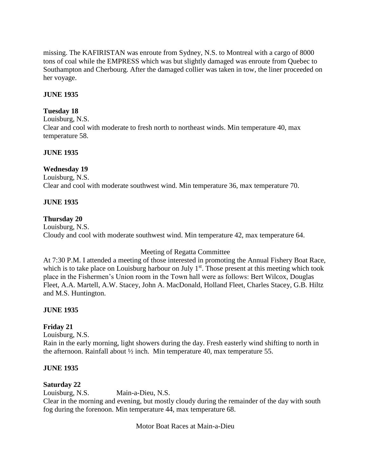missing. The KAFIRISTAN was enroute from Sydney, N.S. to Montreal with a cargo of 8000 tons of coal while the EMPRESS which was but slightly damaged was enroute from Quebec to Southampton and Cherbourg. After the damaged collier was taken in tow, the liner proceeded on her voyage.

# **JUNE 1935**

# **Tuesday 18**

Louisburg, N.S. Clear and cool with moderate to fresh north to northeast winds. Min temperature 40, max temperature 58.

# **JUNE 1935**

# **Wednesday 19**

Louisburg, N.S. Clear and cool with moderate southwest wind. Min temperature 36, max temperature 70.

# **JUNE 1935**

# **Thursday 20**

Louisburg, N.S. Cloudy and cool with moderate southwest wind. Min temperature 42, max temperature 64.

# Meeting of Regatta Committee

At 7:30 P.M. I attended a meeting of those interested in promoting the Annual Fishery Boat Race, which is to take place on Louisburg harbour on July  $1<sup>st</sup>$ . Those present at this meeting which took place in the Fishermen's Union room in the Town hall were as follows: Bert Wilcox, Douglas Fleet, A.A. Martell, A.W. Stacey, John A. MacDonald, Holland Fleet, Charles Stacey, G.B. Hiltz and M.S. Huntington.

# **JUNE 1935**

# **Friday 21**

Louisburg, N.S.

Rain in the early morning, light showers during the day. Fresh easterly wind shifting to north in the afternoon. Rainfall about ½ inch. Min temperature 40, max temperature 55.

# **JUNE 1935**

# **Saturday 22**

Louisburg, N.S. Main-a-Dieu, N.S.

Clear in the morning and evening, but mostly cloudy during the remainder of the day with south fog during the forenoon. Min temperature 44, max temperature 68.

Motor Boat Races at Main-a-Dieu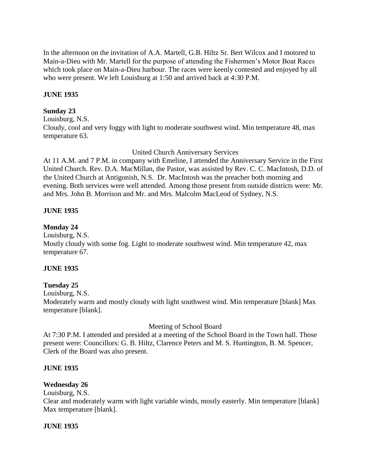In the afternoon on the invitation of A.A. Martell, G.B. Hiltz Sr. Bert Wilcox and I motored to Main-a-Dieu with Mr. Martell for the purpose of attending the Fishermen's Motor Boat Races which took place on Main-a-Dieu harbour. The races were keenly contested and enjoyed by all who were present. We left Louisburg at 1:50 and arrived back at 4:30 P.M.

# **JUNE 1935**

# **Sunday 23**

Louisburg, N.S. Cloudy, cool and very foggy with light to moderate southwest wind. Min temperature 48, max temperature 63.

United Church Anniversary Services

At 11 A.M. and 7 P.M. in company with Emeline, I attended the Anniversary Service in the First United Church. Rev. D.A. MacMillan, the Pastor, was assisted by Rev. C. C. MacIntosh, D.D. of the United Church at Antigonish, N.S. Dr. MacIntosh was the preacher both morning and evening. Both services were well attended. Among those present from outside districts were: Mr. and Mrs. John B. Morrison and Mr. and Mrs. Malcolm MacLeod of Sydney, N.S.

# **JUNE 1935**

# **Monday 24**

Louisburg, N.S.

Mostly cloudy with some fog. Light to moderate southwest wind. Min temperature 42, max temperature 67.

# **JUNE 1935**

# **Tuesday 25**

Louisburg, N.S. Moderately warm and mostly cloudy with light southwest wind. Min temperature [blank] Max temperature [blank].

Meeting of School Board

At 7:30 P.M. I attended and presided at a meeting of the School Board in the Town hall. Those present were: Councillors: G. B. Hiltz, Clarence Peters and M. S. Huntington, B. M. Spencer, Clerk of the Board was also present.

# **JUNE 1935**

# **Wednesday 26**

Louisburg, N.S.

Clear and moderately warm with light variable winds, mostly easterly. Min temperature [blank] Max temperature [blank].

# **JUNE 1935**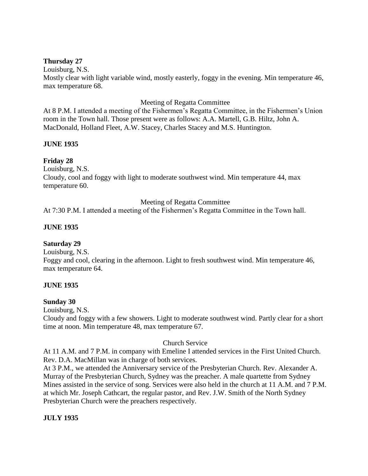# **Thursday 27**

# Louisburg, N.S.

Mostly clear with light variable wind, mostly easterly, foggy in the evening. Min temperature 46, max temperature 68.

# Meeting of Regatta Committee

At 8 P.M. I attended a meeting of the Fishermen's Regatta Committee, in the Fishermen's Union room in the Town hall. Those present were as follows: A.A. Martell, G.B. Hiltz, John A. MacDonald, Holland Fleet, A.W. Stacey, Charles Stacey and M.S. Huntington.

# **JUNE 1935**

# **Friday 28**

Louisburg, N.S.

Cloudy, cool and foggy with light to moderate southwest wind. Min temperature 44, max temperature 60.

# Meeting of Regatta Committee

At 7:30 P.M. I attended a meeting of the Fishermen's Regatta Committee in the Town hall.

# **JUNE 1935**

# **Saturday 29**

Louisburg, N.S.

Foggy and cool, clearing in the afternoon. Light to fresh southwest wind. Min temperature 46, max temperature 64.

# **JUNE 1935**

# **Sunday 30**

Louisburg, N.S.

Cloudy and foggy with a few showers. Light to moderate southwest wind. Partly clear for a short time at noon. Min temperature 48, max temperature 67.

# Church Service

At 11 A.M. and 7 P.M. in company with Emeline I attended services in the First United Church. Rev. D.A. MacMillan was in charge of both services.

At 3 P.M., we attended the Anniversary service of the Presbyterian Church. Rev. Alexander A. Murray of the Presbyterian Church, Sydney was the preacher. A male quartette from Sydney Mines assisted in the service of song. Services were also held in the church at 11 A.M. and 7 P.M. at which Mr. Joseph Cathcart, the regular pastor, and Rev. J.W. Smith of the North Sydney Presbyterian Church were the preachers respectively.

# **JULY 1935**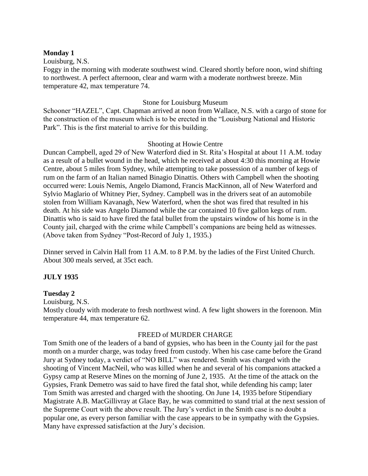#### **Monday 1**

Louisburg, N.S.

Foggy in the morning with moderate southwest wind. Cleared shortly before noon, wind shifting to northwest. A perfect afternoon, clear and warm with a moderate northwest breeze. Min temperature 42, max temperature 74.

# Stone for Louisburg Museum

Schooner "HAZEL", Capt. Chapman arrived at noon from Wallace, N.S. with a cargo of stone for the construction of the museum which is to be erected in the "Louisburg National and Historic Park". This is the first material to arrive for this building.

# Shooting at Howie Centre

Duncan Campbell, aged 29 of New Waterford died in St. Rita's Hospital at about 11 A.M. today as a result of a bullet wound in the head, which he received at about 4:30 this morning at Howie Centre, about 5 miles from Sydney, while attempting to take possession of a number of kegs of rum on the farm of an Italian named Binagio Dinattis. Others with Campbell when the shooting occurred were: Louis Nemis, Angelo Diamond, Francis MacKinnon, all of New Waterford and Sylvio Maglario of Whitney Pier, Sydney. Campbell was in the drivers seat of an automobile stolen from William Kavanagh, New Waterford, when the shot was fired that resulted in his death. At his side was Angelo Diamond while the car contained 10 five gallon kegs of rum. Dinattis who is said to have fired the fatal bullet from the upstairs window of his home is in the County jail, charged with the crime while Campbell's companions are being held as witnesses. (Above taken from Sydney "Post-Record of July 1, 1935.)

Dinner served in Calvin Hall from 11 A.M. to 8 P.M. by the ladies of the First United Church. About 300 meals served, at 35ct each.

# **JULY 1935**

# **Tuesday 2**

Louisburg, N.S.

Mostly cloudy with moderate to fresh northwest wind. A few light showers in the forenoon. Min temperature 44, max temperature 62.

# FREED of MURDER CHARGE

Tom Smith one of the leaders of a band of gypsies, who has been in the County jail for the past month on a murder charge, was today freed from custody. When his case came before the Grand Jury at Sydney today, a verdict of "NO BILL" was rendered. Smith was charged with the shooting of Vincent MacNeil, who was killed when he and several of his companions attacked a Gypsy camp at Reserve Mines on the morning of June 2, 1935. At the time of the attack on the Gypsies, Frank Demetro was said to have fired the fatal shot, while defending his camp; later Tom Smith was arrested and charged with the shooting. On June 14, 1935 before Stipendiary Magistrate A.B. MacGillivray at Glace Bay, he was committed to stand trial at the next session of the Supreme Court with the above result. The Jury's verdict in the Smith case is no doubt a popular one, as every person familiar with the case appears to be in sympathy with the Gypsies. Many have expressed satisfaction at the Jury's decision.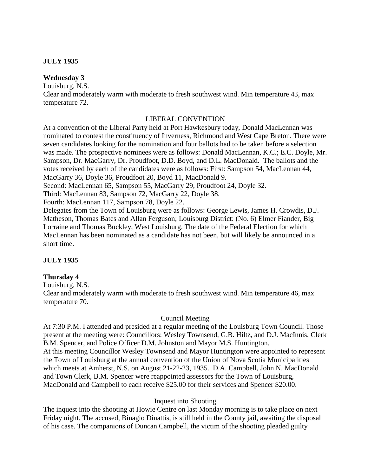# **JULY 1935**

# **Wednesday 3**

Louisburg, N.S.

Clear and moderately warm with moderate to fresh southwest wind. Min temperature 43, max temperature 72.

# LIBERAL CONVENTION

At a convention of the Liberal Party held at Port Hawkesbury today, Donald MacLennan was nominated to contest the constituency of Inverness, Richmond and West Cape Breton. There were seven candidates looking for the nomination and four ballots had to be taken before a selection was made. The prospective nominees were as follows: Donald MacLennan, K.C.; E.C. Doyle, Mr. Sampson, Dr. MacGarry, Dr. Proudfoot, D.D. Boyd, and D.L. MacDonald. The ballots and the votes received by each of the candidates were as follows: First: Sampson 54, MacLennan 44, MacGarry 36, Doyle 36, Proudfoot 20, Boyd 11, MacDonald 9.

Second: MacLennan 65, Sampson 55, MacGarry 29, Proudfoot 24, Doyle 32.

Third: MacLennan 83, Sampson 72, MacGarry 22, Doyle 38.

Fourth: MacLennan 117, Sampson 78, Doyle 22.

Delegates from the Town of Louisburg were as follows: George Lewis, James H. Crowdis, D.J. Matheson, Thomas Bates and Allan Ferguson; Louisburg District: (No. 6) Elmer Fiander, Big Lorraine and Thomas Buckley, West Louisburg. The date of the Federal Election for which MacLennan has been nominated as a candidate has not been, but will likely be announced in a short time.

# **JULY 1935**

# **Thursday 4**

Louisburg, N.S.

Clear and moderately warm with moderate to fresh southwest wind. Min temperature 46, max temperature 70.

# Council Meeting

At 7:30 P.M. I attended and presided at a regular meeting of the Louisburg Town Council. Those present at the meeting were: Councillors: Wesley Townsend, G.B. Hiltz, and D.J. MacInnis, Clerk B.M. Spencer, and Police Officer D.M. Johnston and Mayor M.S. Huntington. At this meeting Councillor Wesley Townsend and Mayor Huntington were appointed to represent the Town of Louisburg at the annual convention of the Union of Nova Scotia Municipalities which meets at Amherst, N.S. on August 21-22-23, 1935. D.A. Campbell, John N. MacDonald and Town Clerk, B.M. Spencer were reappointed assessors for the Town of Louisburg, MacDonald and Campbell to each receive \$25.00 for their services and Spencer \$20.00.

# Inquest into Shooting

The inquest into the shooting at Howie Centre on last Monday morning is to take place on next Friday night. The accused, Binagio Dinattis, is still held in the County jail, awaiting the disposal of his case. The companions of Duncan Campbell, the victim of the shooting pleaded guilty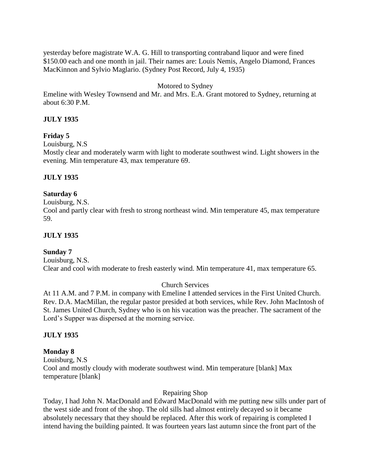yesterday before magistrate W.A. G. Hill to transporting contraband liquor and were fined \$150.00 each and one month in jail. Their names are: Louis Nemis, Angelo Diamond, Frances MacKinnon and Sylvio Maglario. (Sydney Post Record, July 4, 1935)

# Motored to Sydney

Emeline with Wesley Townsend and Mr. and Mrs. E.A. Grant motored to Sydney, returning at about 6:30 P.M.

# **JULY 1935**

# **Friday 5**

Louisburg, N.S

Mostly clear and moderately warm with light to moderate southwest wind. Light showers in the evening. Min temperature 43, max temperature 69.

# **JULY 1935**

# **Saturday 6**

#### Louisburg, N.S.

Cool and partly clear with fresh to strong northeast wind. Min temperature 45, max temperature 59.

# **JULY 1935**

# **Sunday 7**

Louisburg, N.S. Clear and cool with moderate to fresh easterly wind. Min temperature 41, max temperature 65.

# Church Services

At 11 A.M. and 7 P.M. in company with Emeline I attended services in the First United Church. Rev. D.A. MacMillan, the regular pastor presided at both services, while Rev. John MacIntosh of St. James United Church, Sydney who is on his vacation was the preacher. The sacrament of the Lord's Supper was dispersed at the morning service.

# **JULY 1935**

# **Monday 8**

Louisburg, N.S Cool and mostly cloudy with moderate southwest wind. Min temperature [blank] Max temperature [blank]

# Repairing Shop

Today, I had John N. MacDonald and Edward MacDonald with me putting new sills under part of the west side and front of the shop. The old sills had almost entirely decayed so it became absolutely necessary that they should be replaced. After this work of repairing is completed I intend having the building painted. It was fourteen years last autumn since the front part of the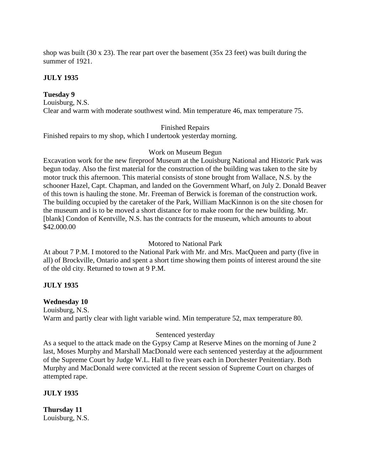shop was built (30 x 23). The rear part over the basement (35x 23 feet) was built during the summer of 1921.

# **JULY 1935**

# **Tuesday 9**

Louisburg, N.S. Clear and warm with moderate southwest wind. Min temperature 46, max temperature 75.

#### Finished Repairs

Finished repairs to my shop, which I undertook yesterday morning.

#### Work on Museum Begun

Excavation work for the new fireproof Museum at the Louisburg National and Historic Park was begun today. Also the first material for the construction of the building was taken to the site by motor truck this afternoon. This material consists of stone brought from Wallace, N.S. by the schooner Hazel, Capt. Chapman, and landed on the Government Wharf, on July 2. Donald Beaver of this town is hauling the stone. Mr. Freeman of Berwick is foreman of the construction work. The building occupied by the caretaker of the Park, William MacKinnon is on the site chosen for the museum and is to be moved a short distance for to make room for the new building. Mr. [blank] Condon of Kentville, N.S. has the contracts for the museum, which amounts to about \$42.000.00

# Motored to National Park

At about 7 P.M. I motored to the National Park with Mr. and Mrs. MacQueen and party (five in all) of Brockville, Ontario and spent a short time showing them points of interest around the site of the old city. Returned to town at 9 P.M.

# **JULY 1935**

# **Wednesday 10**

Louisburg, N.S. Warm and partly clear with light variable wind. Min temperature 52, max temperature 80.

# Sentenced yesterday

As a sequel to the attack made on the Gypsy Camp at Reserve Mines on the morning of June 2 last, Moses Murphy and Marshall MacDonald were each sentenced yesterday at the adjournment of the Supreme Court by Judge W.L. Hall to five years each in Dorchester Penitentiary. Both Murphy and MacDonald were convicted at the recent session of Supreme Court on charges of attempted rape.

# **JULY 1935**

**Thursday 11** Louisburg, N.S.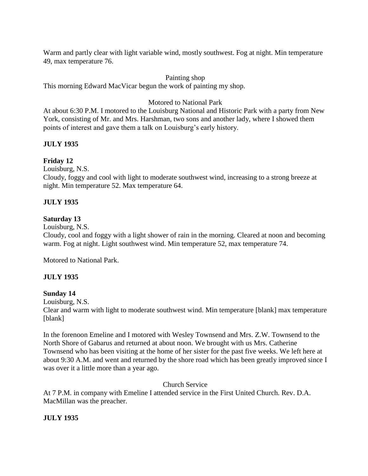Warm and partly clear with light variable wind, mostly southwest. Fog at night. Min temperature 49, max temperature 76.

# Painting shop

This morning Edward MacVicar begun the work of painting my shop.

# Motored to National Park

At about 6:30 P.M. I motored to the Louisburg National and Historic Park with a party from New York, consisting of Mr. and Mrs. Harshman, two sons and another lady, where I showed them points of interest and gave them a talk on Louisburg's early history.

# **JULY 1935**

# **Friday 12**

Louisburg, N.S.

Cloudy, foggy and cool with light to moderate southwest wind, increasing to a strong breeze at night. Min temperature 52. Max temperature 64.

# **JULY 1935**

# **Saturday 13**

Louisburg, N.S.

Cloudy, cool and foggy with a light shower of rain in the morning. Cleared at noon and becoming warm. Fog at night. Light southwest wind. Min temperature 52, max temperature 74.

Motored to National Park.

# **JULY 1935**

# **Sunday 14**

Louisburg, N.S.

Clear and warm with light to moderate southwest wind. Min temperature [blank] max temperature [blank]

In the forenoon Emeline and I motored with Wesley Townsend and Mrs. Z.W. Townsend to the North Shore of Gabarus and returned at about noon. We brought with us Mrs. Catherine Townsend who has been visiting at the home of her sister for the past five weeks. We left here at about 9:30 A.M. and went and returned by the shore road which has been greatly improved since I was over it a little more than a year ago.

Church Service

At 7 P.M. in company with Emeline I attended service in the First United Church. Rev. D.A. MacMillan was the preacher.

# **JULY 1935**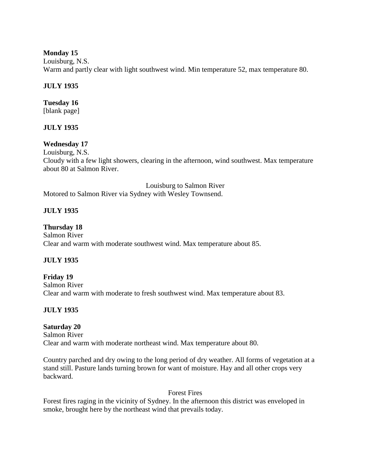# **Monday 15**

Louisburg, N.S. Warm and partly clear with light southwest wind. Min temperature 52, max temperature 80.

# **JULY 1935**

# **Tuesday 16**

[blank page]

# **JULY 1935**

# **Wednesday 17**

Louisburg, N.S. Cloudy with a few light showers, clearing in the afternoon, wind southwest. Max temperature about 80 at Salmon River.

Louisburg to Salmon River Motored to Salmon River via Sydney with Wesley Townsend.

# **JULY 1935**

# **Thursday 18**

Salmon River Clear and warm with moderate southwest wind. Max temperature about 85.

# **JULY 1935**

**Friday 19** Salmon River Clear and warm with moderate to fresh southwest wind. Max temperature about 83.

# **JULY 1935**

# **Saturday 20**

Salmon River Clear and warm with moderate northeast wind. Max temperature about 80.

Country parched and dry owing to the long period of dry weather. All forms of vegetation at a stand still. Pasture lands turning brown for want of moisture. Hay and all other crops very backward.

# Forest Fires

Forest fires raging in the vicinity of Sydney. In the afternoon this district was enveloped in smoke, brought here by the northeast wind that prevails today.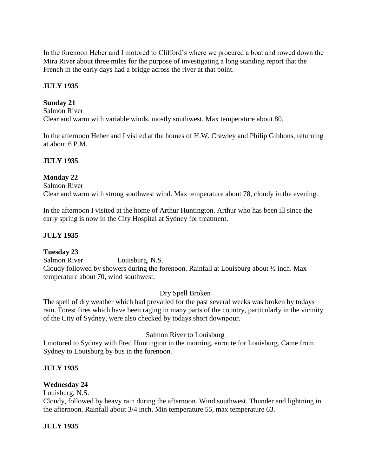In the forenoon Heber and I motored to Clifford's where we procured a boat and rowed down the Mira River about three miles for the purpose of investigating a long standing report that the French in the early days had a bridge across the river at that point.

# **JULY 1935**

# **Sunday 21**

Salmon River Clear and warm with variable winds, mostly southwest. Max temperature about 80.

In the afternoon Heber and I visited at the homes of H.W. Crawley and Philip Gibbons, returning at about 6 P.M.

# **JULY 1935**

# **Monday 22**

Salmon River

Clear and warm with strong southwest wind. Max temperature about 78, cloudy in the evening.

In the afternoon I visited at the home of Arthur Huntington. Arthur who has been ill since the early spring is now in the City Hospital at Sydney for treatment.

# **JULY 1935**

# **Tuesday 23**

Salmon River Louisburg, N.S. Cloudy followed by showers during the forenoon. Rainfall at Louisburg about ½ inch. Max temperature about 70, wind southwest.

# Dry Spell Broken

The spell of dry weather which had prevailed for the past several weeks was broken by todays rain. Forest fires which have been raging in many parts of the country, particularly in the vicinity of the City of Sydney, were also checked by todays short downpour.

# Salmon River to Louisburg

I motored to Sydney with Fred Huntington in the morning, enroute for Louisburg. Came from Sydney to Louisburg by bus in the forenoon.

# **JULY 1935**

# **Wednesday 24**

Louisburg, N.S.

Cloudy, followed by heavy rain during the afternoon. Wind southwest. Thunder and lightning in the afternoon. Rainfall about 3/4 inch. Min temperature 55, max temperature 63.

# **JULY 1935**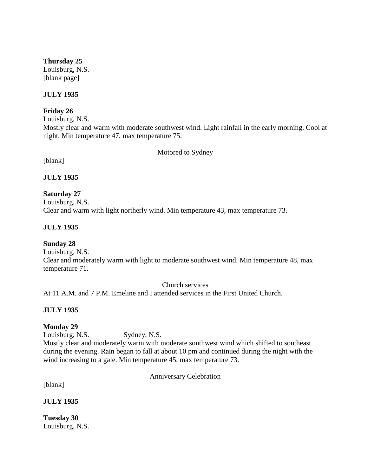# **Thursday 25**

Louisburg, N.S. [blank page]

# **JULY 1935**

# **Friday 26**

Louisburg, N.S.

Mostly clear and warm with moderate southwest wind. Light rainfall in the early morning. Cool at night. Min temperature 47, max temperature 75.

Motored to Sydney

[blank]

# **JULY 1935**

# **Saturday 27**

Louisburg, N.S.

Clear and warm with light northerly wind. Min temperature 43, max temperature 73.

# **JULY 1935**

# **Sunday 28**

Louisburg, N.S.

Clear and moderately warm with light to moderate southwest wind. Min temperature 48, max temperature 71.

Church services

At 11 A.M. and 7 P.M. Emeline and I attended services in the First United Church.

# **JULY 1935**

# **Monday 29**

Louisburg, N.S. Sydney, N.S. Mostly clear and moderately warm with moderate southwest wind which shifted to southeast during the evening. Rain began to fall at about 10 pm and continued during the night with the wind increasing to a gale. Min temperature 45, max temperature 73.

Anniversary Celebration

[blank]

**JULY 1935**

**Tuesday 30** Louisburg, N.S.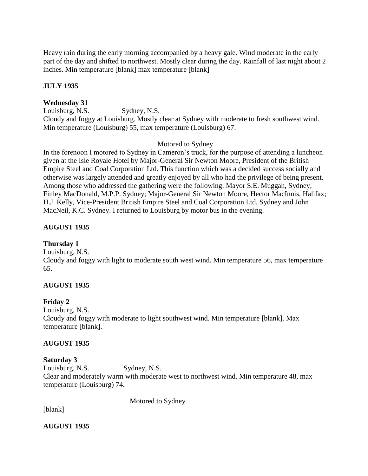Heavy rain during the early morning accompanied by a heavy gale. Wind moderate in the early part of the day and shifted to northwest. Mostly clear during the day. Rainfall of last night about 2 inches. Min temperature [blank] max temperature [blank]

# **JULY 1935**

# **Wednesday 31**

Louisburg, N.S. Sydney, N.S. Cloudy and foggy at Louisburg. Mostly clear at Sydney with moderate to fresh southwest wind. Min temperature (Louisburg) 55, max temperature (Louisburg) 67.

# Motored to Sydney

In the forenoon I motored to Sydney in Cameron's truck, for the purpose of attending a luncheon given at the Isle Royale Hotel by Major-General Sir Newton Moore, President of the British Empire Steel and Coal Corporation Ltd. This function which was a decided success socially and otherwise was largely attended and greatly enjoyed by all who had the privilege of being present. Among those who addressed the gathering were the following: Mayor S.E. Muggah, Sydney; Finley MacDonald, M.P.P. Sydney; Major-General Sir Newton Moore, Hector MacInnis, Halifax; H.J. Kelly, Vice-President British Empire Steel and Coal Corporation Ltd, Sydney and John MacNeil, K.C. Sydney. I returned to Louisburg by motor bus in the evening.

# **AUGUST 1935**

# **Thursday 1**

Louisburg, N.S.

Cloudy and foggy with light to moderate south west wind. Min temperature 56, max temperature 65.

# **AUGUST 1935**

# **Friday 2**

Louisburg, N.S. Cloudy and foggy with moderate to light southwest wind. Min temperature [blank]. Max temperature [blank].

# **AUGUST 1935**

# **Saturday 3**

Louisburg, N.S. Sydney, N.S. Clear and moderately warm with moderate west to northwest wind. Min temperature 48, max temperature (Louisburg) 74.

[blank]

Motored to Sydney

**AUGUST 1935**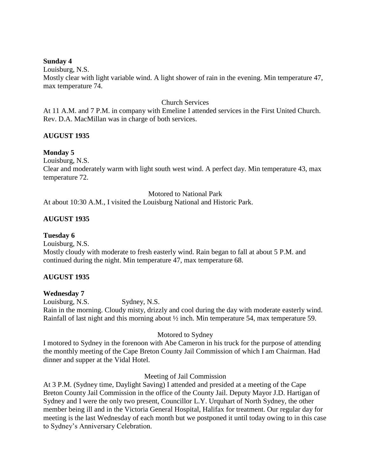# **Sunday 4**

Louisburg, N.S.

Mostly clear with light variable wind. A light shower of rain in the evening. Min temperature 47, max temperature 74.

# Church Services

At 11 A.M. and 7 P.M. in company with Emeline I attended services in the First United Church. Rev. D.A. MacMillan was in charge of both services.

# **AUGUST 1935**

# **Monday 5**

Louisburg, N.S.

Clear and moderately warm with light south west wind. A perfect day. Min temperature 43, max temperature 72.

Motored to National Park

At about 10:30 A.M., I visited the Louisburg National and Historic Park.

# **AUGUST 1935**

# **Tuesday 6**

Louisburg, N.S. Mostly cloudy with moderate to fresh easterly wind. Rain began to fall at about 5 P.M. and continued during the night. Min temperature 47, max temperature 68.

# **AUGUST 1935**

# **Wednesday 7**

Louisburg, N.S. Sydney, N.S.

Rain in the morning. Cloudy misty, drizzly and cool during the day with moderate easterly wind. Rainfall of last night and this morning about ½ inch. Min temperature 54, max temperature 59.

# Motored to Sydney

I motored to Sydney in the forenoon with Abe Cameron in his truck for the purpose of attending the monthly meeting of the Cape Breton County Jail Commission of which I am Chairman. Had dinner and supper at the Vidal Hotel.

# Meeting of Jail Commission

At 3 P.M. (Sydney time, Daylight Saving) I attended and presided at a meeting of the Cape Breton County Jail Commission in the office of the County Jail. Deputy Mayor J.D. Hartigan of Sydney and I were the only two present, Councillor L.Y. Urquhart of North Sydney, the other member being ill and in the Victoria General Hospital, Halifax for treatment. Our regular day for meeting is the last Wednesday of each month but we postponed it until today owing to in this case to Sydney's Anniversary Celebration.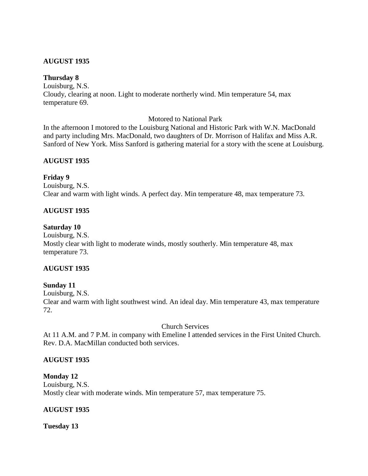# **AUGUST 1935**

# **Thursday 8**

Louisburg, N.S. Cloudy, clearing at noon. Light to moderate northerly wind. Min temperature 54, max temperature 69.

# Motored to National Park

In the afternoon I motored to the Louisburg National and Historic Park with W.N. MacDonald and party including Mrs. MacDonald, two daughters of Dr. Morrison of Halifax and Miss A.R. Sanford of New York. Miss Sanford is gathering material for a story with the scene at Louisburg.

# **AUGUST 1935**

# **Friday 9**

Louisburg, N.S. Clear and warm with light winds. A perfect day. Min temperature 48, max temperature 73.

# **AUGUST 1935**

#### **Saturday 10**

Louisburg, N.S. Mostly clear with light to moderate winds, mostly southerly. Min temperature 48, max temperature 73.

# **AUGUST 1935**

#### **Sunday 11**

Louisburg, N.S. Clear and warm with light southwest wind. An ideal day. Min temperature 43, max temperature 72.

#### Church Services

At 11 A.M. and 7 P.M. in company with Emeline I attended services in the First United Church. Rev. D.A. MacMillan conducted both services.

# **AUGUST 1935**

**Monday 12** Louisburg, N.S. Mostly clear with moderate winds. Min temperature 57, max temperature 75.

# **AUGUST 1935**

#### **Tuesday 13**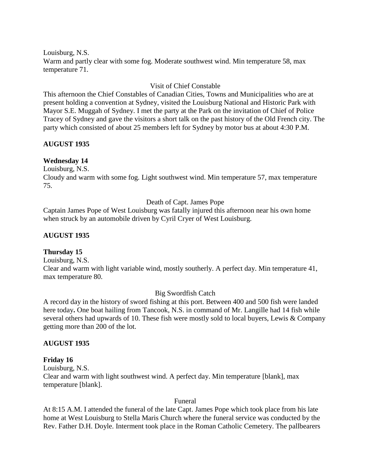Louisburg, N.S. Warm and partly clear with some fog. Moderate southwest wind. Min temperature 58, max temperature 71.

# Visit of Chief Constable

This afternoon the Chief Constables of Canadian Cities, Towns and Municipalities who are at present holding a convention at Sydney, visited the Louisburg National and Historic Park with Mayor S.E. Muggah of Sydney. I met the party at the Park on the invitation of Chief of Police Tracey of Sydney and gave the visitors a short talk on the past history of the Old French city. The party which consisted of about 25 members left for Sydney by motor bus at about 4:30 P.M.

# **AUGUST 1935**

# **Wednesday 14**

Louisburg, N.S. Cloudy and warm with some fog. Light southwest wind. Min temperature 57, max temperature 75.

# Death of Capt. James Pope

Captain James Pope of West Louisburg was fatally injured this afternoon near his own home when struck by an automobile driven by Cyril Cryer of West Louisburg.

# **AUGUST 1935**

# **Thursday 15**

Louisburg, N.S.

Clear and warm with light variable wind, mostly southerly. A perfect day. Min temperature 41, max temperature 80.

# Big Swordfish Catch

A record day in the history of sword fishing at this port. Between 400 and 500 fish were landed here today. One boat hailing from Tancook, N.S. in command of Mr. Langille had 14 fish while several others had upwards of 10. These fish were mostly sold to local buyers, Lewis & Company getting more than 200 of the lot.

# **AUGUST 1935**

# **Friday 16**

Louisburg, N.S. Clear and warm with light southwest wind. A perfect day. Min temperature [blank], max temperature [blank].

# Funeral

At 8:15 A.M. I attended the funeral of the late Capt. James Pope which took place from his late home at West Louisburg to Stella Maris Church where the funeral service was conducted by the Rev. Father D.H. Doyle. Interment took place in the Roman Catholic Cemetery. The pallbearers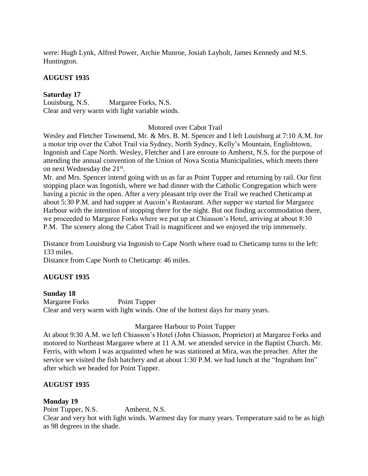were: Hugh Lynk, Alfred Power, Archie Munroe, Josiah Laybolt, James Kennedy and M.S. Huntington.

# **AUGUST 1935**

# **Saturday 17**

Louisburg, N.S. Margaree Forks, N.S. Clear and very warm with light variable winds.

#### Motored over Cabot Trail

Wesley and Fletcher Townsend, Mr. & Mrs. B. M. Spencer and I left Louisburg at 7:10 A.M. for a motor trip over the Cabot Trail via Sydney, North Sydney, Kelly's Mountain, Englishtown, Ingonish and Cape North. Wesley, Fletcher and I are enroute to Amherst, N.S. for the purpose of attending the annual convention of the Union of Nova Scotia Municipalities, which meets there on next Wednesday the 21<sup>st</sup>.

Mr. and Mrs. Spencer intend going with us as far as Point Tupper and returning by rail. Our first stopping place was Ingonish, where we had dinner with the Catholic Congregation which were having a picnic in the open. After a very pleasant trip over the Trail we reached Cheticamp at about 5:30 P.M. and had supper at Aucoin's Restaurant. After supper we started for Margaree Harbour with the intention of stopping there for the night. But not finding accommodation there, we proceeded to Margaree Forks where we put up at Chiasson's Hotel, arriving at about 8:30 P.M. The scenery along the Cabot Trail is magnificent and we enjoyed the trip immensely.

Distance from Louisburg via Ingonish to Cape North where road to Cheticamp turns to the left: 133 miles.

Distance from Cape North to Cheticamp: 46 miles.

# **AUGUST 1935**

# **Sunday 18**

Margaree Forks Point Tupper Clear and very warm with light winds. One of the hottest days for many years.

# Margaree Harbour to Point Tupper

At about 9:30 A.M. we left Chiasson's Hotel (John Chiasson, Proprietor) at Margaree Forks and motored to Northeast Margaree where at 11 A.M. we attended service in the Baptist Church. Mr. Ferris, with whom I was acquainted when he was stationed at Mira, was the preacher. After the service we visited the fish hatchery and at about 1:30 P.M. we had lunch at the "Ingraham Inn" after which we headed for Point Tupper.

# **AUGUST 1935**

# **Monday 19**

Point Tupper, N.S. Amherst, N.S.

Clear and very hot with light winds. Warmest day for many years. Temperature said to be as high as 98 degrees in the shade.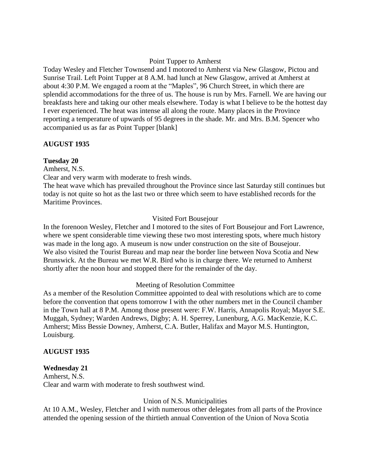# Point Tupper to Amherst

Today Wesley and Fletcher Townsend and I motored to Amherst via New Glasgow, Pictou and Sunrise Trail. Left Point Tupper at 8 A.M. had lunch at New Glasgow, arrived at Amherst at about 4:30 P.M. We engaged a room at the "Maples", 96 Church Street, in which there are splendid accommodations for the three of us. The house is run by Mrs. Farnell. We are having our breakfasts here and taking our other meals elsewhere. Today is what I believe to be the hottest day I ever experienced. The heat was intense all along the route. Many places in the Province reporting a temperature of upwards of 95 degrees in the shade. Mr. and Mrs. B.M. Spencer who accompanied us as far as Point Tupper [blank]

# **AUGUST 1935**

# **Tuesday 20**

Amherst, N.S.

Clear and very warm with moderate to fresh winds.

The heat wave which has prevailed throughout the Province since last Saturday still continues but today is not quite so hot as the last two or three which seem to have established records for the Maritime Provinces.

# Visited Fort Bousejour

In the forenoon Wesley, Fletcher and I motored to the sites of Fort Bousejour and Fort Lawrence, where we spent considerable time viewing these two most interesting spots, where much history was made in the long ago. A museum is now under construction on the site of Bousejour. We also visited the Tourist Bureau and map near the border line between Nova Scotia and New Brunswick. At the Bureau we met W.R. Bird who is in charge there. We returned to Amherst shortly after the noon hour and stopped there for the remainder of the day.

# Meeting of Resolution Committee

As a member of the Resolution Committee appointed to deal with resolutions which are to come before the convention that opens tomorrow I with the other numbers met in the Council chamber in the Town hall at 8 P.M. Among those present were: F.W. Harris, Annapolis Royal; Mayor S.E. Muggah, Sydney; Warden Andrews, Digby; A. H. Sperrey, Lunenburg, A.G. MacKenzie, K.C. Amherst; Miss Bessie Downey, Amherst, C.A. Butler, Halifax and Mayor M.S. Huntington, Louisburg.

# **AUGUST 1935**

# **Wednesday 21**

Amherst, N.S. Clear and warm with moderate to fresh southwest wind.

# Union of N.S. Municipalities

At 10 A.M., Wesley, Fletcher and I with numerous other delegates from all parts of the Province attended the opening session of the thirtieth annual Convention of the Union of Nova Scotia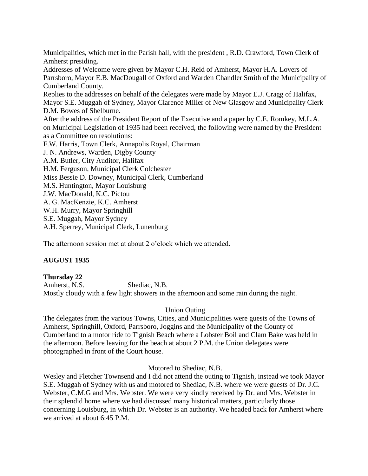Municipalities, which met in the Parish hall, with the president , R.D. Crawford, Town Clerk of Amherst presiding.

Addresses of Welcome were given by Mayor C.H. Reid of Amherst, Mayor H.A. Lovers of Parrsboro, Mayor E.B. MacDougall of Oxford and Warden Chandler Smith of the Municipality of Cumberland County.

Replies to the addresses on behalf of the delegates were made by Mayor E.J. Cragg of Halifax, Mayor S.E. Muggah of Sydney, Mayor Clarence Miller of New Glasgow and Municipality Clerk D.M. Bowes of Shelburne.

After the address of the President Report of the Executive and a paper by C.E. Romkey, M.L.A. on Municipal Legislation of 1935 had been received, the following were named by the President as a Committee on resolutions:

F.W. Harris, Town Clerk, Annapolis Royal, Chairman

J. N. Andrews, Warden, Digby County

A.M. Butler, City Auditor, Halifax

H.M. Ferguson, Municipal Clerk Colchester

Miss Bessie D. Downey, Municipal Clerk, Cumberland

M.S. Huntington, Mayor Louisburg

J.W. MacDonald, K.C. Pictou

A. G. MacKenzie, K.C. Amherst

W.H. Murry, Mayor Springhill

S.E. Muggah, Mayor Sydney

A.H. Sperrey, Municipal Clerk, Lunenburg

The afternoon session met at about 2 o'clock which we attended.

# **AUGUST 1935**

**Thursday 22** Amherst, N.S. Shediac, N.B. Mostly cloudy with a few light showers in the afternoon and some rain during the night.

# Union Outing

The delegates from the various Towns, Cities, and Municipalities were guests of the Towns of Amherst, Springhill, Oxford, Parrsboro, Joggins and the Municipality of the County of Cumberland to a motor ride to Tignish Beach where a Lobster Boil and Clam Bake was held in the afternoon. Before leaving for the beach at about 2 P.M. the Union delegates were photographed in front of the Court house.

# Motored to Shediac, N.B.

Wesley and Fletcher Townsend and I did not attend the outing to Tignish, instead we took Mayor S.E. Muggah of Sydney with us and motored to Shediac, N.B. where we were guests of Dr. J.C. Webster, C.M.G and Mrs. Webster. We were very kindly received by Dr. and Mrs. Webster in their splendid home where we had discussed many historical matters, particularly those concerning Louisburg, in which Dr. Webster is an authority. We headed back for Amherst where we arrived at about 6:45 P.M.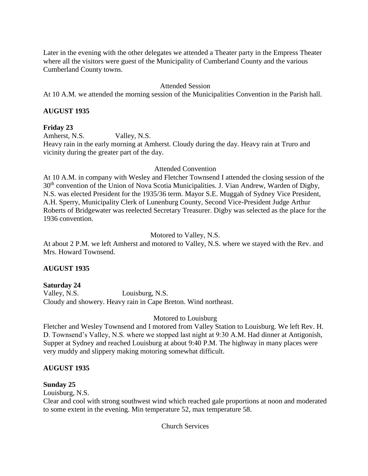Later in the evening with the other delegates we attended a Theater party in the Empress Theater where all the visitors were guest of the Municipality of Cumberland County and the various Cumberland County towns.

# Attended Session

At 10 A.M. we attended the morning session of the Municipalities Convention in the Parish hall.

# **AUGUST 1935**

# **Friday 23**

Amherst, N.S. Valley, N.S.

Heavy rain in the early morning at Amherst. Cloudy during the day. Heavy rain at Truro and vicinity during the greater part of the day.

# Attended Convention

At 10 A.M. in company with Wesley and Fletcher Townsend I attended the closing session of the 30<sup>th</sup> convention of the Union of Nova Scotia Municipalities. J. Vian Andrew, Warden of Digby, N.S. was elected President for the 1935/36 term. Mayor S.E. Muggah of Sydney Vice President, A.H. Sperry, Municipality Clerk of Lunenburg County, Second Vice-President Judge Arthur Roberts of Bridgewater was reelected Secretary Treasurer. Digby was selected as the place for the 1936 convention.

# Motored to Valley, N.S.

At about 2 P.M. we left Amherst and motored to Valley, N.S. where we stayed with the Rev. and Mrs. Howard Townsend.

# **AUGUST 1935**

# **Saturday 24**

Valley, N.S. Louisburg, N.S. Cloudy and showery. Heavy rain in Cape Breton. Wind northeast.

# Motored to Louisburg

Fletcher and Wesley Townsend and I motored from Valley Station to Louisburg. We left Rev. H. D. Townsend's Valley, N.S. where we stopped last night at 9:30 A.M. Had dinner at Antigonish, Supper at Sydney and reached Louisburg at about 9:40 P.M. The highway in many places were very muddy and slippery making motoring somewhat difficult.

# **AUGUST 1935**

# **Sunday 25**

Louisburg, N.S.

Clear and cool with strong southwest wind which reached gale proportions at noon and moderated to some extent in the evening. Min temperature 52, max temperature 58.

Church Services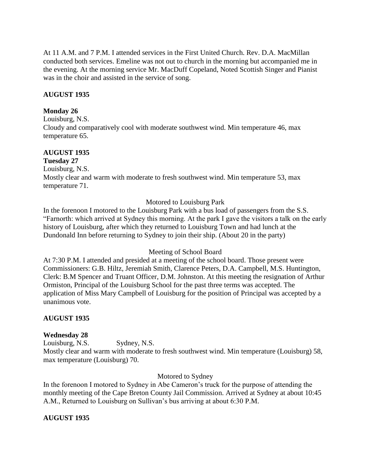At 11 A.M. and 7 P.M. I attended services in the First United Church. Rev. D.A. MacMillan conducted both services. Emeline was not out to church in the morning but accompanied me in the evening. At the morning service Mr. MacDuff Copeland, Noted Scottish Singer and Pianist was in the choir and assisted in the service of song.

# **AUGUST 1935**

# **Monday 26**

Louisburg, N.S. Cloudy and comparatively cool with moderate southwest wind. Min temperature 46, max temperature 65.

# **AUGUST 1935**

# **Tuesday 27**

Louisburg, N.S. Mostly clear and warm with moderate to fresh southwest wind. Min temperature 53, max temperature 71.

# Motored to Louisburg Park

In the forenoon I motored to the Louisburg Park with a bus load of passengers from the S.S. "Farnorth: which arrived at Sydney this morning. At the park I gave the visitors a talk on the early history of Louisburg, after which they returned to Louisburg Town and had lunch at the Dundonald Inn before returning to Sydney to join their ship. (About 20 in the party)

# Meeting of School Board

At 7:30 P.M. I attended and presided at a meeting of the school board. Those present were Commissioners: G.B. Hiltz, Jeremiah Smith, Clarence Peters, D.A. Campbell, M.S. Huntington, Clerk: B.M Spencer and Truant Officer, D.M. Johnston. At this meeting the resignation of Arthur Ormiston, Principal of the Louisburg School for the past three terms was accepted. The application of Miss Mary Campbell of Louisburg for the position of Principal was accepted by a unanimous vote.

# **AUGUST 1935**

# **Wednesday 28**

Louisburg, N.S. Sydney, N.S.

Mostly clear and warm with moderate to fresh southwest wind. Min temperature (Louisburg) 58, max temperature (Louisburg) 70.

# Motored to Sydney

In the forenoon I motored to Sydney in Abe Cameron's truck for the purpose of attending the monthly meeting of the Cape Breton County Jail Commission. Arrived at Sydney at about 10:45 A.M., Returned to Louisburg on Sullivan's bus arriving at about 6:30 P.M.

# **AUGUST 1935**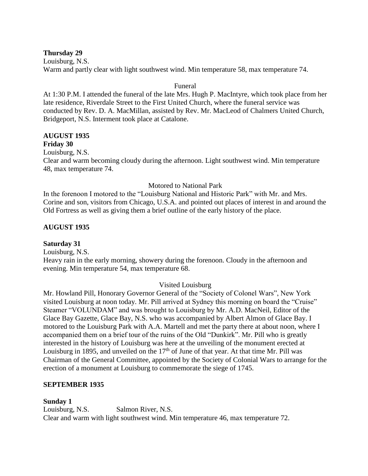# **Thursday 29**

Louisburg, N.S. Warm and partly clear with light southwest wind. Min temperature 58, max temperature 74.

# Funeral

At 1:30 P.M. I attended the funeral of the late Mrs. Hugh P. MacIntyre, which took place from her late residence, Riverdale Street to the First United Church, where the funeral service was conducted by Rev. D. A. MacMillan, assisted by Rev. Mr. MacLeod of Chalmers United Church, Bridgeport, N.S. Interment took place at Catalone.

# **AUGUST 1935 Friday 30**

Louisburg, N.S.

Clear and warm becoming cloudy during the afternoon. Light southwest wind. Min temperature 48, max temperature 74.

# Motored to National Park

In the forenoon I motored to the "Louisburg National and Historic Park" with Mr. and Mrs. Corine and son, visitors from Chicago, U.S.A. and pointed out places of interest in and around the Old Fortress as well as giving them a brief outline of the early history of the place.

# **AUGUST 1935**

# **Saturday 31**

Louisburg, N.S.

Heavy rain in the early morning, showery during the forenoon. Cloudy in the afternoon and evening. Min temperature 54, max temperature 68.

# Visited Louisburg

Mr. Howland Pill, Honorary Governor General of the "Society of Colonel Wars", New York visited Louisburg at noon today. Mr. Pill arrived at Sydney this morning on board the "Cruise" Steamer "VOLUNDAM" and was brought to Louisburg by Mr. A.D. MacNeil, Editor of the Glace Bay Gazette, Glace Bay, N.S. who was accompanied by Albert Almon of Glace Bay. I motored to the Louisburg Park with A.A. Martell and met the party there at about noon, where I accompanied them on a brief tour of the ruins of the Old "Dunkirk". Mr. Pill who is greatly interested in the history of Louisburg was here at the unveiling of the monument erected at Louisburg in 1895, and unveiled on the  $17<sup>th</sup>$  of June of that year. At that time Mr. Pill was Chairman of the General Committee, appointed by the Society of Colonial Wars to arrange for the erection of a monument at Louisburg to commemorate the siege of 1745.

# **SEPTEMBER 1935**

# **Sunday 1**

Louisburg, N.S. Salmon River, N.S. Clear and warm with light southwest wind. Min temperature 46, max temperature 72.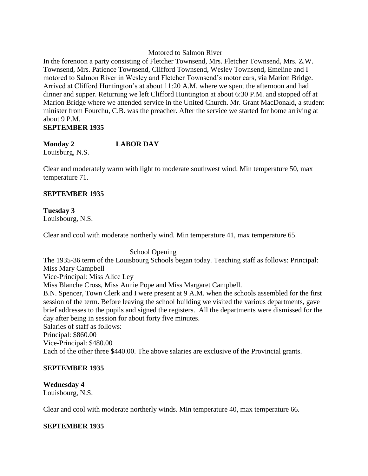# Motored to Salmon River

In the forenoon a party consisting of Fletcher Townsend, Mrs. Fletcher Townsend, Mrs. Z.W. Townsend, Mrs. Patience Townsend, Clifford Townsend, Wesley Townsend, Emeline and I motored to Salmon River in Wesley and Fletcher Townsend's motor cars, via Marion Bridge. Arrived at Clifford Huntington's at about 11:20 A.M. where we spent the afternoon and had dinner and supper. Returning we left Clifford Huntington at about 6:30 P.M. and stopped off at Marion Bridge where we attended service in the United Church. Mr. Grant MacDonald, a student minister from Fourchu, C.B. was the preacher. After the service we started for home arriving at about 9 P.M. **SEPTEMBER 1935**

# **Monday 2 LABOR DAY**

Louisburg, N.S.

Clear and moderately warm with light to moderate southwest wind. Min temperature 50, max temperature 71.

# **SEPTEMBER 1935**

# **Tuesday 3**

Louisbourg, N.S.

Clear and cool with moderate northerly wind. Min temperature 41, max temperature 65.

# School Opening

The 1935-36 term of the Louisbourg Schools began today. Teaching staff as follows: Principal: Miss Mary Campbell Vice-Principal: Miss Alice Ley Miss Blanche Cross, Miss Annie Pope and Miss Margaret Campbell. B.N. Spencer, Town Clerk and I were present at 9 A.M. when the schools assembled for the first session of the term. Before leaving the school building we visited the various departments, gave brief addresses to the pupils and signed the registers. All the departments were dismissed for the day after being in session for about forty five minutes. Salaries of staff as follows: Principal: \$860.00 Vice-Principal: \$480.00 Each of the other three \$440.00. The above salaries are exclusive of the Provincial grants.

# **SEPTEMBER 1935**

# **Wednesday 4**

Louisbourg, N.S.

Clear and cool with moderate northerly winds. Min temperature 40, max temperature 66.

# **SEPTEMBER 1935**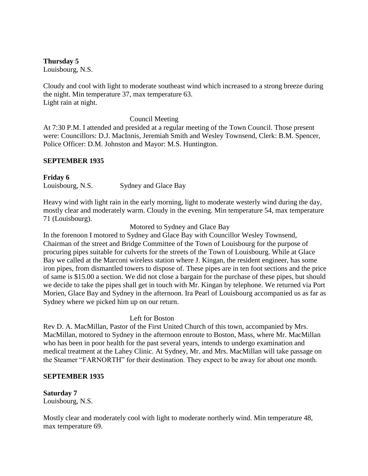# **Thursday 5**

Louisbourg, N.S.

Cloudy and cool with light to moderate southeast wind which increased to a strong breeze during the night. Min temperature 37, max temperature 63. Light rain at night.

Council Meeting

At 7:30 P.M. I attended and presided at a regular meeting of the Town Council. Those present were: Councillors: D.J. MacInnis, Jeremiah Smith and Wesley Townsend, Clerk: B.M. Spencer, Police Officer: D.M. Johnston and Mayor: M.S. Huntington.

# **SEPTEMBER 1935**

**Friday 6** Louisbourg, N.S. Sydney and Glace Bay

Heavy wind with light rain in the early morning, light to moderate westerly wind during the day, mostly clear and moderately warm. Cloudy in the evening. Min temperature 54, max temperature 71 (Louisbourg).

Motored to Sydney and Glace Bay

In the forenoon I motored to Sydney and Glace Bay with Councillor Wesley Townsend, Chairman of the street and Bridge Committee of the Town of Louisbourg for the purpose of procuring pipes suitable for culverts for the streets of the Town of Louisbourg. While at Glace Bay we called at the Marconi wireless station where J. Kingan, the resident engineer, has some iron pipes, from dismantled towers to dispose of. These pipes are in ten foot sections and the price of same is \$15.00 a section. We did not close a bargain for the purchase of these pipes, but should we decide to take the pipes shall get in touch with Mr. Kingan by telephone. We returned via Port Morien, Glace Bay and Sydney in the afternoon. Ira Pearl of Louisbourg accompanied us as far as Sydney where we picked him up on our return.

# Left for Boston

Rev D. A. MacMillan, Pastor of the First United Church of this town, accompanied by Mrs. MacMillan, motored to Sydney in the afternoon enroute to Boston, Mass, where Mr. MacMillan who has been in poor health for the past several years, intends to undergo examination and medical treatment at the Lahey Clinic. At Sydney, Mr. and Mrs. MacMillan will take passage on the Steamer "FARNORTH" for their destination. They expect to be away for about one month.

# **SEPTEMBER 1935**

**Saturday 7** Louisbourg, N.S.

Mostly clear and moderately cool with light to moderate northerly wind. Min temperature 48, max temperature 69.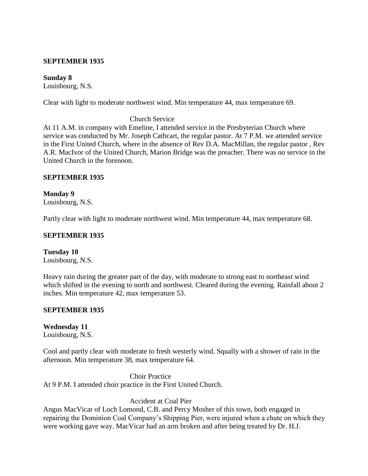# **SEPTEMBER 1935**

# **Sunday 8**

Louisbourg, N.S.

Clear with light to moderate northwest wind. Min temperature 44, max temperature 69.

# Church Service

At 11 A.M. in company with Emeline, I attended service in the Presbyterian Church where service was conducted by Mr. Joseph Cathcart, the regular pastor. At 7 P.M. we attended service in the First United Church, where in the absence of Rev D.A. MacMillan, the regular pastor , Rev A.R. MacIvor of the United Church, Marion Bridge was the preacher. There was no service in the United Church in the forenoon.

# **SEPTEMBER 1935**

**Monday 9** Louisbourg, N.S.

Partly clear with light to moderate northwest wind. Min temperature 44, max temperature 68.

#### **SEPTEMBER 1935**

**Tuesday 10** Louisbourg, N.S.

Heavy rain during the greater part of the day, with moderate to strong east to northeast wind which shifted in the evening to north and northwest. Cleared during the evening. Rainfall about 2 inches. Min temperature 42, max temperature 53.

# **SEPTEMBER 1935**

**Wednesday 11** Louisbourg, N.S.

Cool and partly clear with moderate to fresh westerly wind. Squally with a shower of rain in the afternoon. Min temperature 38, max temperature 64.

Choir Practice At 9 P.M. I attended choir practice in the First United Church.

Accident at Coal Pier

Angus MacVicar of Loch Lomond, C.B. and Percy Mosher of this town, both engaged in repairing the Dominion Coal Company's Shipping Pier, were injured when a chute on which they were working gave way. MacVicar had an arm broken and after being treated by Dr. H.J.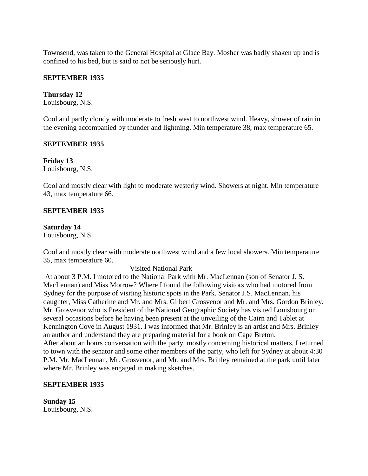Townsend, was taken to the General Hospital at Glace Bay. Mosher was badly shaken up and is confined to his bed, but is said to not be seriously hurt.

# **SEPTEMBER 1935**

# **Thursday 12**

Louisbourg, N.S.

Cool and partly cloudy with moderate to fresh west to northwest wind. Heavy, shower of rain in the evening accompanied by thunder and lightning. Min temperature 38, max temperature 65.

# **SEPTEMBER 1935**

**Friday 13** Louisbourg, N.S.

Cool and mostly clear with light to moderate westerly wind. Showers at night. Min temperature 43, max temperature 66.

# **SEPTEMBER 1935**

# **Saturday 14**

Louisbourg, N.S.

Cool and mostly clear with moderate northwest wind and a few local showers. Min temperature 35, max temperature 60.

# Visited National Park

At about 3 P.M. I motored to the National Park with Mr. MacLennan (son of Senator J. S. MacLennan) and Miss Morrow? Where I found the following visitors who had motored from Sydney for the purpose of visiting historic spots in the Park. Senator J.S. MacLennan, his daughter, Miss Catherine and Mr. and Mrs. Gilbert Grosvenor and Mr. and Mrs. Gordon Brinley. Mr. Grosvenor who is President of the National Geographic Society has visited Louisbourg on several occasions before he having been present at the unveiling of the Cairn and Tablet at Kennington Cove in August 1931. I was informed that Mr. Brinley is an artist and Mrs. Brinley an author and understand they are preparing material for a book on Cape Breton. After about an hours conversation with the party, mostly concerning historical matters, I returned to town with the senator and some other members of the party, who left for Sydney at about 4:30 P.M. Mr. MacLennan, Mr. Grosvenor, and Mr. and Mrs. Brinley remained at the park until later where Mr. Brinley was engaged in making sketches.

# **SEPTEMBER 1935**

**Sunday 15** Louisbourg, N.S.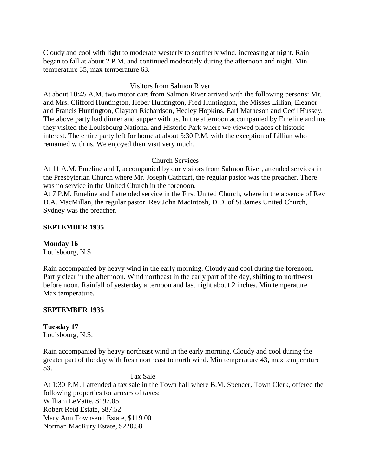Cloudy and cool with light to moderate westerly to southerly wind, increasing at night. Rain began to fall at about 2 P.M. and continued moderately during the afternoon and night. Min temperature 35, max temperature 63.

# Visitors from Salmon River

At about 10:45 A.M. two motor cars from Salmon River arrived with the following persons: Mr. and Mrs. Clifford Huntington, Heber Huntington, Fred Huntington, the Misses Lillian, Eleanor and Francis Huntington, Clayton Richardson, Hedley Hopkins, Earl Matheson and Cecil Hussey. The above party had dinner and supper with us. In the afternoon accompanied by Emeline and me they visited the Louisbourg National and Historic Park where we viewed places of historic interest. The entire party left for home at about 5:30 P.M. with the exception of Lillian who remained with us. We enjoyed their visit very much.

# Church Services

At 11 A.M. Emeline and I, accompanied by our visitors from Salmon River, attended services in the Presbyterian Church where Mr. Joseph Cathcart, the regular pastor was the preacher. There was no service in the United Church in the forenoon.

At 7 P.M. Emeline and I attended service in the First United Church, where in the absence of Rev D.A. MacMillan, the regular pastor. Rev John MacIntosh, D.D. of St James United Church, Sydney was the preacher.

# **SEPTEMBER 1935**

# **Monday 16**

Louisbourg, N.S.

Rain accompanied by heavy wind in the early morning. Cloudy and cool during the forenoon. Partly clear in the afternoon. Wind northeast in the early part of the day, shifting to northwest before noon. Rainfall of yesterday afternoon and last night about 2 inches. Min temperature Max temperature.

# **SEPTEMBER 1935**

**Tuesday 17** Louisbourg, N.S.

Rain accompanied by heavy northeast wind in the early morning. Cloudy and cool during the greater part of the day with fresh northeast to north wind. Min temperature 43, max temperature 53.

Tax Sale

At 1:30 P.M. I attended a tax sale in the Town hall where B.M. Spencer, Town Clerk, offered the following properties for arrears of taxes: William LeVatte, \$197.05 Robert Reid Estate, \$87.52 Mary Ann Townsend Estate, \$119.00 Norman MacRury Estate, \$220.58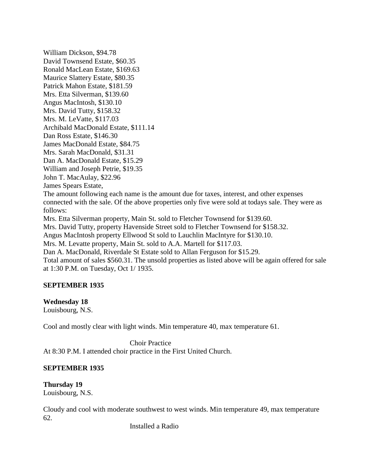William Dickson, \$94.78 David Townsend Estate, \$60.35 Ronald MacLean Estate, \$169.63 Maurice Slattery Estate, \$80.35 Patrick Mahon Estate, \$181.59 Mrs. Etta Silverman, \$139.60 Angus MacIntosh, \$130.10 Mrs. David Tutty, \$158.32 Mrs. M. LeVatte, \$117.03 Archibald MacDonald Estate, \$111.14 Dan Ross Estate, \$146.30 James MacDonald Estate, \$84.75 Mrs. Sarah MacDonald, \$31.31 Dan A. MacDonald Estate, \$15.29 William and Joseph Petrie, \$19.35 John T. MacAulay, \$22.96 James Spears Estate, The amount following each name is the amount due for taxes, interest, and other expenses connected with the sale. Of the above properties only five were sold at todays sale. They were as follows: Mrs. Etta Silverman property, Main St. sold to Fletcher Townsend for \$139.60. Mrs. David Tutty, property Havenside Street sold to Fletcher Townsend for \$158.32. Angus MacIntosh property Ellwood St sold to Lauchlin MacIntyre for \$130.10. Mrs. M. Levatte property, Main St. sold to A.A. Martell for \$117.03. Dan A. MacDonald, Riverdale St Estate sold to Allan Ferguson for \$15.29. Total amount of sales \$560.31. The unsold properties as listed above will be again offered for sale at 1:30 P.M. on Tuesday, Oct 1/ 1935.

# **SEPTEMBER 1935**

# **Wednesday 18**

Louisbourg, N.S.

Cool and mostly clear with light winds. Min temperature 40, max temperature 61.

Choir Practice At 8:30 P.M. I attended choir practice in the First United Church.

# **SEPTEMBER 1935**

**Thursday 19** Louisbourg, N.S.

Cloudy and cool with moderate southwest to west winds. Min temperature 49, max temperature 62.

Installed a Radio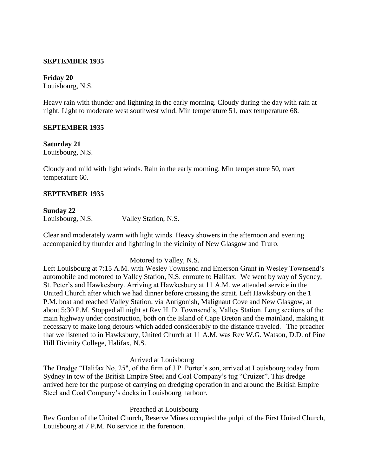# **SEPTEMBER 1935**

# **Friday 20**

Louisbourg, N.S.

Heavy rain with thunder and lightning in the early morning. Cloudy during the day with rain at night. Light to moderate west southwest wind. Min temperature 51, max temperature 68.

#### **SEPTEMBER 1935**

#### **Saturday 21**

Louisbourg, N.S.

Cloudy and mild with light winds. Rain in the early morning. Min temperature 50, max temperature 60.

#### **SEPTEMBER 1935**

# **Sunday 22**

Louisbourg, N.S. Valley Station, N.S.

Clear and moderately warm with light winds. Heavy showers in the afternoon and evening accompanied by thunder and lightning in the vicinity of New Glasgow and Truro.

# Motored to Valley, N.S.

Left Louisbourg at 7:15 A.M. with Wesley Townsend and Emerson Grant in Wesley Townsend's automobile and motored to Valley Station, N.S. enroute to Halifax. We went by way of Sydney, St. Peter's and Hawkesbury. Arriving at Hawkesbury at 11 A.M. we attended service in the United Church after which we had dinner before crossing the strait. Left Hawksbury on the 1 P.M. boat and reached Valley Station, via Antigonish, Malignaut Cove and New Glasgow, at about 5:30 P.M. Stopped all night at Rev H. D. Townsend's, Valley Station. Long sections of the main highway under construction, both on the Island of Cape Breton and the mainland, making it necessary to make long detours which added considerably to the distance traveled. The preacher that we listened to in Hawksbury, United Church at 11 A.M. was Rev W.G. Watson, D.D. of Pine Hill Divinity College, Halifax, N.S.

#### Arrived at Louisbourg

The Dredge "Halifax No. 25", of the firm of J.P. Porter's son, arrived at Louisbourg today from Sydney in tow of the British Empire Steel and Coal Company's tug "Cruizer". This dredge arrived here for the purpose of carrying on dredging operation in and around the British Empire Steel and Coal Company's docks in Louisbourg harbour.

# Preached at Louisbourg

Rev Gordon of the United Church, Reserve Mines occupied the pulpit of the First United Church, Louisbourg at 7 P.M. No service in the forenoon.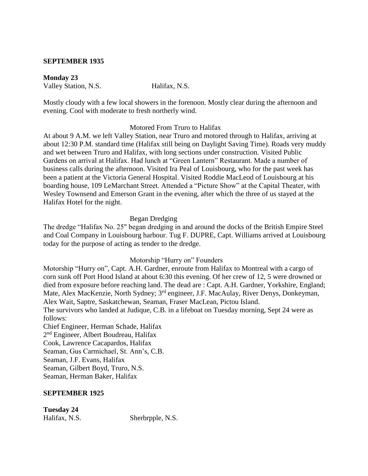#### **SEPTEMBER 1935**

**Monday 23** Valley Station, N.S. Halifax, N.S.

Mostly cloudy with a few local showers in the forenoon. Mostly clear during the afternoon and evening. Cool with moderate to fresh northerly wind.

#### Motored From Truro to Halifax

At about 9 A.M. we left Valley Station, near Truro and motored through to Halifax, arriving at about 12:30 P.M. standard time (Halifax still being on Daylight Saving Time). Roads very muddy and wet between Truro and Halifax, with long sections under construction. Visited Public Gardens on arrival at Halifax. Had lunch at "Green Lantern" Restaurant. Made a number of business calls during the afternoon. Visited Ira Peal of Louisbourg, who for the past week has been a patient at the Victoria General Hospital. Visited Roddie MacLeod of Louisbourg at his boarding house, 109 LeMarchant Street. Attended a "Picture Show" at the Capital Theater, with Wesley Townsend and Emerson Grant in the evening, after which the three of us stayed at the Halifax Hotel for the night.

#### Began Dredging

The dredge "Halifax No. 25" began dredging in and around the docks of the British Empire Steel and Coal Company in Louisbourg harbour. Tug F. DUPRE, Capt. Williams arrived at Louisbourg today for the purpose of acting as tender to the dredge.

# Motorship "Hurry on" Founders

Motorship "Hurry on", Capt. A.H. Gardner, enroute from Halifax to Montreal with a cargo of corn sunk off Port Hood Island at about 6:30 this evening. Of her crew of 12, 5 were drowned or died from exposure before reaching land. The dead are : Capt. A.H. Gardner, Yorkshire, England; Mate, Alex MacKenzie, North Sydney; 3rd engineer, J.F. MacAulay, River Denys, Donkeyman, Alex Wait, Saptre, Saskatchewan, Seaman, Fraser MacLean, Pictou Island.

The survivors who landed at Judique, C.B. in a lifeboat on Tuesday morning, Sept 24 were as follows:

Chief Engineer, Herman Schade, Halifax 2<sup>nd</sup> Engineer, Albert Boudreau, Halifax Cook, Lawrence Cacapardos, Halifax Seaman, Gus Carmichael, St. Ann's, C.B. Seaman, J.F. Evans, Halifax Seaman, Gilbert Boyd, Truro, N.S. Seaman, Herman Baker, Halifax

#### **SEPTEMBER 1925**

| <b>Tuesday 24</b> |  |
|-------------------|--|
|                   |  |

Halifax, N.S. Sherbrpple, N.S.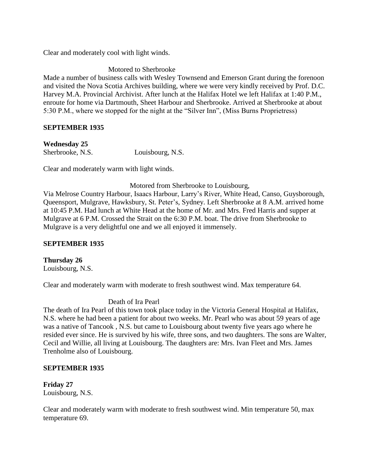Clear and moderately cool with light winds.

Motored to Sherbrooke

Made a number of business calls with Wesley Townsend and Emerson Grant during the forenoon and visited the Nova Scotia Archives building, where we were very kindly received by Prof. D.C. Harvey M.A. Provincial Archivist. After lunch at the Halifax Hotel we left Halifax at 1:40 P.M., enroute for home via Dartmouth, Sheet Harbour and Sherbrooke. Arrived at Sherbrooke at about 5:30 P.M., where we stopped for the night at the "Silver Inn", (Miss Burns Proprietress)

# **SEPTEMBER 1935**

**Wednesday 25** Sherbrooke, N.S. Louisbourg, N.S.

Clear and moderately warm with light winds.

Motored from Sherbrooke to Louisbourg,

Via Melrose Country Harbour, Isaacs Harbour, Larry's River, White Head, Canso, Guysborough, Queensport, Mulgrave, Hawksbury, St. Peter's, Sydney. Left Sherbrooke at 8 A.M. arrived home at 10:45 P.M. Had lunch at White Head at the home of Mr. and Mrs. Fred Harris and supper at Mulgrave at 6 P.M. Crossed the Strait on the 6:30 P.M. boat. The drive from Sherbrooke to Mulgrave is a very delightful one and we all enjoyed it immensely.

# **SEPTEMBER 1935**

**Thursday 26** Louisbourg, N.S.

Clear and moderately warm with moderate to fresh southwest wind. Max temperature 64.

# Death of Ira Pearl

The death of Ira Pearl of this town took place today in the Victoria General Hospital at Halifax, N.S. where he had been a patient for about two weeks. Mr. Pearl who was about 59 years of age was a native of Tancook , N.S. but came to Louisbourg about twenty five years ago where he resided ever since. He is survived by his wife, three sons, and two daughters. The sons are Walter, Cecil and Willie, all living at Louisbourg. The daughters are: Mrs. Ivan Fleet and Mrs. James Trenholme also of Louisbourg.

# **SEPTEMBER 1935**

**Friday 27** Louisbourg, N.S.

Clear and moderately warm with moderate to fresh southwest wind. Min temperature 50, max temperature 69.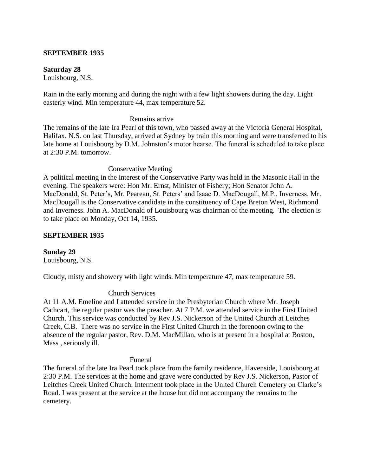### **SEPTEMBER 1935**

#### **Saturday 28**

Louisbourg, N.S.

Rain in the early morning and during the night with a few light showers during the day. Light easterly wind. Min temperature 44, max temperature 52.

#### Remains arrive

The remains of the late Ira Pearl of this town, who passed away at the Victoria General Hospital, Halifax, N.S. on last Thursday, arrived at Sydney by train this morning and were transferred to his late home at Louisbourg by D.M. Johnston's motor hearse. The funeral is scheduled to take place at 2:30 P.M. tomorrow.

Conservative Meeting

A political meeting in the interest of the Conservative Party was held in the Masonic Hall in the evening. The speakers were: Hon Mr. Ernst, Minister of Fishery; Hon Senator John A. MacDonald, St. Peter's, Mr. Peareau, St. Peters' and Isaac D. MacDougall, M.P., Inverness. Mr. MacDougall is the Conservative candidate in the constituency of Cape Breton West, Richmond and Inverness. John A. MacDonald of Louisbourg was chairman of the meeting. The election is to take place on Monday, Oct 14, 1935.

### **SEPTEMBER 1935**

**Sunday 29** Louisbourg, N.S.

Cloudy, misty and showery with light winds. Min temperature 47, max temperature 59.

#### Church Services

At 11 A.M. Emeline and I attended service in the Presbyterian Church where Mr. Joseph Cathcart, the regular pastor was the preacher. At 7 P.M. we attended service in the First United Church. This service was conducted by Rev J.S. Nickerson of the United Church at Leitches Creek, C.B. There was no service in the First United Church in the forenoon owing to the absence of the regular pastor, Rev. D.M. MacMillan, who is at present in a hospital at Boston, Mass , seriously ill.

#### Funeral

The funeral of the late Ira Pearl took place from the family residence, Havenside, Louisbourg at 2:30 P.M. The services at the home and grave were conducted by Rev J.S. Nickerson, Pastor of Leitches Creek United Church. Interment took place in the United Church Cemetery on Clarke's Road. I was present at the service at the house but did not accompany the remains to the cemetery.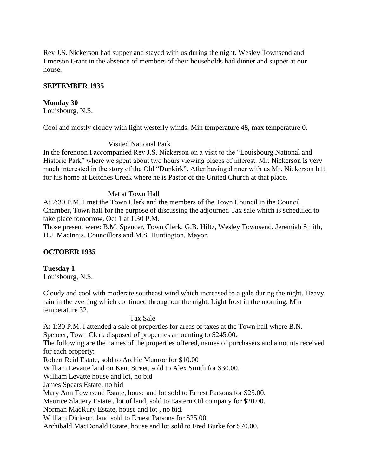Rev J.S. Nickerson had supper and stayed with us during the night. Wesley Townsend and Emerson Grant in the absence of members of their households had dinner and supper at our house.

### **SEPTEMBER 1935**

### **Monday 30**

Louisbourg, N.S.

Cool and mostly cloudy with light westerly winds. Min temperature 48, max temperature 0.

### Visited National Park

In the forenoon I accompanied Rev J.S. Nickerson on a visit to the "Louisbourg National and Historic Park" where we spent about two hours viewing places of interest. Mr. Nickerson is very much interested in the story of the Old "Dunkirk". After having dinner with us Mr. Nickerson left for his home at Leitches Creek where he is Pastor of the United Church at that place.

#### Met at Town Hall

At 7:30 P.M. I met the Town Clerk and the members of the Town Council in the Council Chamber, Town hall for the purpose of discussing the adjourned Tax sale which is scheduled to take place tomorrow, Oct 1 at 1:30 P.M.

Those present were: B.M. Spencer, Town Clerk, G.B. Hiltz, Wesley Townsend, Jeremiah Smith, D.J. MacInnis, Councillors and M.S. Huntington, Mayor.

### **OCTOBER 1935**

# **Tuesday 1**

Louisbourg, N.S.

Cloudy and cool with moderate southeast wind which increased to a gale during the night. Heavy rain in the evening which continued throughout the night. Light frost in the morning. Min temperature 32.

#### Tax Sale

At 1:30 P.M. I attended a sale of properties for areas of taxes at the Town hall where B.N. Spencer, Town Clerk disposed of properties amounting to \$245.00.

The following are the names of the properties offered, names of purchasers and amounts received for each property:

Robert Reid Estate, sold to Archie Munroe for \$10.00

William Levatte land on Kent Street, sold to Alex Smith for \$30.00.

William Levatte house and lot, no bid

James Spears Estate, no bid

Mary Ann Townsend Estate, house and lot sold to Ernest Parsons for \$25.00.

Maurice Slattery Estate , lot of land, sold to Eastern Oil company for \$20.00.

Norman MacRury Estate, house and lot , no bid.

William Dickson, land sold to Ernest Parsons for \$25.00.

Archibald MacDonald Estate, house and lot sold to Fred Burke for \$70.00.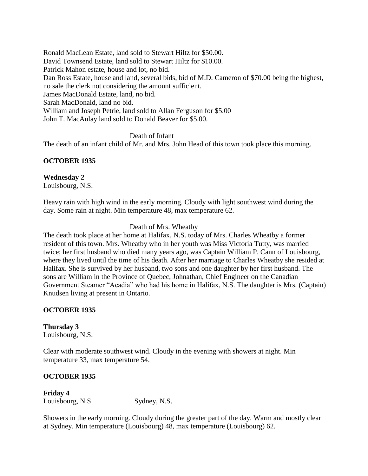Ronald MacLean Estate, land sold to Stewart Hiltz for \$50.00. David Townsend Estate, land sold to Stewart Hiltz for \$10.00. Patrick Mahon estate, house and lot, no bid. Dan Ross Estate, house and land, several bids, bid of M.D. Cameron of \$70.00 being the highest, no sale the clerk not considering the amount sufficient. James MacDonald Estate, land, no bid. Sarah MacDonald, land no bid. William and Joseph Petrie, land sold to Allan Ferguson for \$5.00 John T. MacAulay land sold to Donald Beaver for \$5.00.

Death of Infant

The death of an infant child of Mr. and Mrs. John Head of this town took place this morning.

## **OCTOBER 1935**

**Wednesday 2** Louisbourg, N.S.

Heavy rain with high wind in the early morning. Cloudy with light southwest wind during the day. Some rain at night. Min temperature 48, max temperature 62.

Death of Mrs. Wheatby

The death took place at her home at Halifax, N.S. today of Mrs. Charles Wheatby a former resident of this town. Mrs. Wheatby who in her youth was Miss Victoria Tutty, was married twice; her first husband who died many years ago, was Captain William P. Cann of Louisbourg, where they lived until the time of his death. After her marriage to Charles Wheatby she resided at Halifax. She is survived by her husband, two sons and one daughter by her first husband. The sons are William in the Province of Quebec, Johnathan, Chief Engineer on the Canadian Government Steamer "Acadia" who had his home in Halifax, N.S. The daughter is Mrs. (Captain) Knudsen living at present in Ontario.

### **OCTOBER 1935**

**Thursday 3** Louisbourg, N.S.

Clear with moderate southwest wind. Cloudy in the evening with showers at night. Min temperature 33, max temperature 54.

### **OCTOBER 1935**

**Friday 4** Louisbourg, N.S. Sydney, N.S.

Showers in the early morning. Cloudy during the greater part of the day. Warm and mostly clear at Sydney. Min temperature (Louisbourg) 48, max temperature (Louisbourg) 62.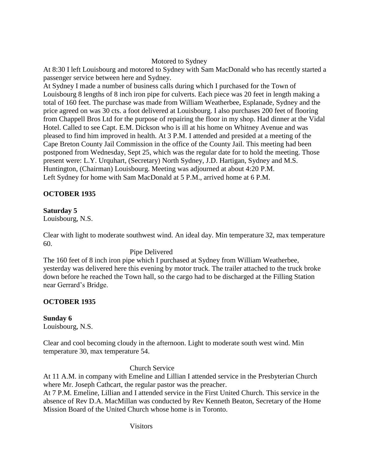# Motored to Sydney

At 8:30 I left Louisbourg and motored to Sydney with Sam MacDonald who has recently started a passenger service between here and Sydney.

At Sydney I made a number of business calls during which I purchased for the Town of Louisbourg 8 lengths of 8 inch iron pipe for culverts. Each piece was 20 feet in length making a total of 160 feet. The purchase was made from William Weatherbee, Esplanade, Sydney and the price agreed on was 30 cts. a foot delivered at Louisbourg. I also purchases 200 feet of flooring from Chappell Bros Ltd for the purpose of repairing the floor in my shop. Had dinner at the Vidal Hotel. Called to see Capt. E.M. Dickson who is ill at his home on Whitney Avenue and was pleased to find him improved in health. At 3 P.M. I attended and presided at a meeting of the Cape Breton County Jail Commission in the office of the County Jail. This meeting had been postponed from Wednesday, Sept 25, which was the regular date for to hold the meeting. Those present were: L.Y. Urquhart, (Secretary) North Sydney, J.D. Hartigan, Sydney and M.S. Huntington, (Chairman) Louisbourg. Meeting was adjourned at about 4:20 P.M. Left Sydney for home with Sam MacDonald at 5 P.M., arrived home at 6 P.M.

# **OCTOBER 1935**

# **Saturday 5**

Louisbourg, N.S.

Clear with light to moderate southwest wind. An ideal day. Min temperature 32, max temperature 60.

# Pipe Delivered

The 160 feet of 8 inch iron pipe which I purchased at Sydney from William Weatherbee, yesterday was delivered here this evening by motor truck. The trailer attached to the truck broke down before he reached the Town hall, so the cargo had to be discharged at the Filling Station near Gerrard's Bridge.

# **OCTOBER 1935**

**Sunday 6**

Louisbourg, N.S.

Clear and cool becoming cloudy in the afternoon. Light to moderate south west wind. Min temperature 30, max temperature 54.

# Church Service

At 11 A.M. in company with Emeline and Lillian I attended service in the Presbyterian Church where Mr. Joseph Cathcart, the regular pastor was the preacher.

At 7 P.M. Emeline, Lillian and I attended service in the First United Church. This service in the absence of Rev D.A. MacMillan was conducted by Rev Kenneth Beaton, Secretary of the Home Mission Board of the United Church whose home is in Toronto.

Visitors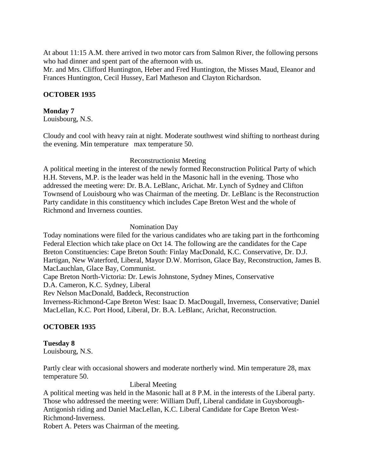At about 11:15 A.M. there arrived in two motor cars from Salmon River, the following persons who had dinner and spent part of the afternoon with us.

Mr. and Mrs. Clifford Huntington, Heber and Fred Huntington, the Misses Maud, Eleanor and Frances Huntington, Cecil Hussey, Earl Matheson and Clayton Richardson.

## **OCTOBER 1935**

### **Monday 7**

Louisbourg, N.S.

Cloudy and cool with heavy rain at night. Moderate southwest wind shifting to northeast during the evening. Min temperature max temperature 50.

### Reconstructionist Meeting

A political meeting in the interest of the newly formed Reconstruction Political Party of which H.H. Stevens, M.P. is the leader was held in the Masonic hall in the evening. Those who addressed the meeting were: Dr. B.A. LeBlanc, Arichat. Mr. Lynch of Sydney and Clifton Townsend of Louisbourg who was Chairman of the meeting. Dr. LeBlanc is the Reconstruction Party candidate in this constituency which includes Cape Breton West and the whole of Richmond and Inverness counties.

#### Nomination Day

Today nominations were filed for the various candidates who are taking part in the forthcoming Federal Election which take place on Oct 14. The following are the candidates for the Cape Breton Constituencies: Cape Breton South: Finlay MacDonald, K.C. Conservative, Dr. D.J. Hartigan, New Waterford, Liberal, Mayor D.W. Morrison, Glace Bay, Reconstruction, James B. MacLauchlan, Glace Bay, Communist.

Cape Breton North-Victoria: Dr. Lewis Johnstone, Sydney Mines, Conservative

D.A. Cameron, K.C. Sydney, Liberal

Rev Nelson MacDonald, Baddeck, Reconstruction

Inverness-Richmond-Cape Breton West: Isaac D. MacDougall, Inverness, Conservative; Daniel MacLellan, K.C. Port Hood, Liberal, Dr. B.A. LeBlanc, Arichat, Reconstruction.

### **OCTOBER 1935**

# **Tuesday 8**

Louisbourg, N.S.

Partly clear with occasional showers and moderate northerly wind. Min temperature 28, max temperature 50.

#### Liberal Meeting

A political meeting was held in the Masonic hall at 8 P.M. in the interests of the Liberal party. Those who addressed the meeting were: William Duff, Liberal candidate in Guysborough-Antigonish riding and Daniel MacLellan, K.C. Liberal Candidate for Cape Breton West-Richmond-Inverness.

Robert A. Peters was Chairman of the meeting.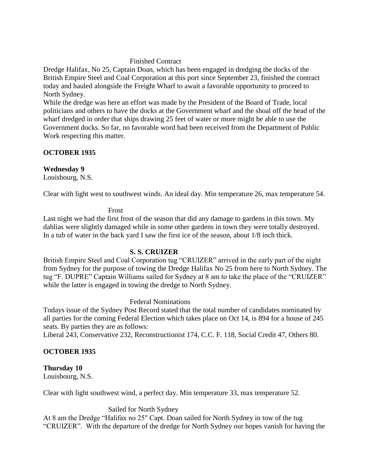#### Finished Contract

Dredge Halifax, No 25, Captain Doan, which has been engaged in dredging the docks of the British Empire Steel and Coal Corporation at this port since September 23, finished the contract today and hauled alongside the Freight Wharf to await a favorable opportunity to proceed to North Sydney.

While the dredge was here an effort was made by the President of the Board of Trade, local politicians and others to have the docks at the Government wharf and the shoal off the head of the wharf dredged in order that ships drawing 25 feet of water or more might be able to use the Government docks. So far, no favorable word had been received from the Department of Public Work respecting this matter.

### **OCTOBER 1935**

#### **Wednesday 9**

Louisbourg, N.S.

Clear with light west to southwest winds. An ideal day. Min temperature 26, max temperature 54.

#### Frost

Last night we had the first frost of the season that did any damage to gardens in this town. My dahlias were slightly damaged while in some other gardens in town they were totally destroyed. In a tub of water in the back yard I saw the first ice of the season, about 1/8 inch thick.

#### **S. S. CRUIZER**

British Empire Steel and Coal Corporation tug "CRUIZER" arrived in the early part of the night from Sydney for the purpose of towing the Dredge Halifax No 25 from here to North Sydney. The tug "F. DUPRE" Captain Williams sailed for Sydney at 8 am to take the place of the "CRUIZER" while the latter is engaged in towing the dredge to North Sydney.

#### Federal Nominations

Todays issue of the Sydney Post Record stated that the total number of candidates nominated by all parties for the coming Federal Election which takes place on Oct 14, is 894 for a house of 245 seats. By parties they are as follows:

Liberal 243, Conservative 232, Reconstructionist 174, C.C. F. 118, Social Credit 47, Others 80.

### **OCTOBER 1935**

### **Thursday 10**

Louisbourg, N.S.

Clear with light southwest wind, a perfect day. Min temperature 33, max temperature 52.

Sailed for North Sydney

At 8 am the Dredge "Halifax no 25" Capt. Doan sailed for North Sydney in tow of the tug "CRUIZER". With the departure of the dredge for North Sydney our hopes vanish for having the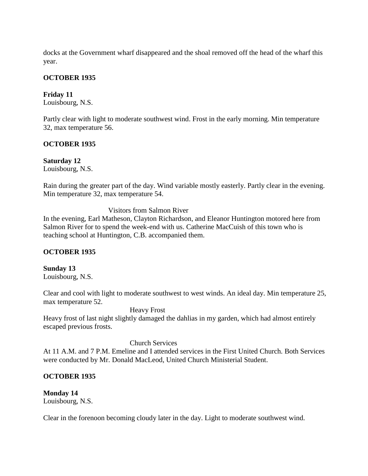docks at the Government wharf disappeared and the shoal removed off the head of the wharf this year.

### **OCTOBER 1935**

## **Friday 11**

Louisbourg, N.S.

Partly clear with light to moderate southwest wind. Frost in the early morning. Min temperature 32, max temperature 56.

### **OCTOBER 1935**

**Saturday 12** Louisbourg, N.S.

Rain during the greater part of the day. Wind variable mostly easterly. Partly clear in the evening. Min temperature 32, max temperature 54.

Visitors from Salmon River

In the evening, Earl Matheson, Clayton Richardson, and Eleanor Huntington motored here from Salmon River for to spend the week-end with us. Catherine MacCuish of this town who is teaching school at Huntington, C.B. accompanied them.

### **OCTOBER 1935**

**Sunday 13** Louisbourg, N.S.

Clear and cool with light to moderate southwest to west winds. An ideal day. Min temperature 25, max temperature 52.

Heavy Frost

Heavy frost of last night slightly damaged the dahlias in my garden, which had almost entirely escaped previous frosts.

### Church Services

At 11 A.M. and 7 P.M. Emeline and I attended services in the First United Church. Both Services were conducted by Mr. Donald MacLeod, United Church Ministerial Student.

### **OCTOBER 1935**

**Monday 14** Louisbourg, N.S.

Clear in the forenoon becoming cloudy later in the day. Light to moderate southwest wind.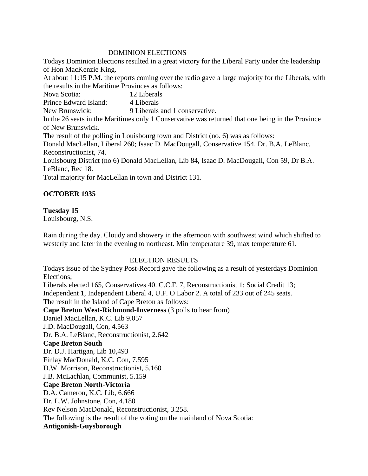### DOMINION ELECTIONS

Todays Dominion Elections resulted in a great victory for the Liberal Party under the leadership of Hon MacKenzie King.

At about 11:15 P.M. the reports coming over the radio gave a large majority for the Liberals, with the results in the Maritime Provinces as follows:

Nova Scotia: 12 Liberals Prince Edward Island: 4 Liberals New Brunswick: 9 Liberals and 1 conservative. In the 26 seats in the Maritimes only 1 Conservative was returned that one being in the Province of New Brunswick. The result of the polling in Louisbourg town and District (no. 6) was as follows: Donald MacLellan, Liberal 260; Isaac D. MacDougall, Conservative 154. Dr. B.A. LeBlanc, Reconstructionist, 74. Louisbourg District (no 6) Donald MacLellan, Lib 84, Isaac D. MacDougall, Con 59, Dr B.A. LeBlanc, Rec 18.

Total majority for MacLellan in town and District 131.

# **OCTOBER 1935**

## **Tuesday 15**

Louisbourg, N.S.

Rain during the day. Cloudy and showery in the afternoon with southwest wind which shifted to westerly and later in the evening to northeast. Min temperature 39, max temperature 61.

# ELECTION RESULTS

Todays issue of the Sydney Post-Record gave the following as a result of yesterdays Dominion Elections; Liberals elected 165, Conservatives 40. C.C.F. 7, Reconstructionist 1; Social Credit 13; Independent 1, Independent Liberal 4, U.F. O Labor 2. A total of 233 out of 245 seats.

The result in the Island of Cape Breton as follows:

**Cape Breton West-Richmond-Inverness** (3 polls to hear from)

Daniel MacLellan, K.C. Lib 9.057

J.D. MacDougall, Con, 4.563

Dr. B.A. LeBlanc, Reconstructionist, 2.642

# **Cape Breton South**

Dr. D.J. Hartigan, Lib 10,493 Finlay MacDonald, K.C. Con, 7.595 D.W. Morrison, Reconstructionist, 5.160 J.B. McLachlan, Communist, 5.159 **Cape Breton North-Victoria** D.A. Cameron, K.C. Lib, 6.666 Dr. L.W. Johnstone, Con, 4.180 Rev Nelson MacDonald, Reconstructionist, 3.258. The following is the result of the voting on the mainland of Nova Scotia: **Antigonish-Guysborough**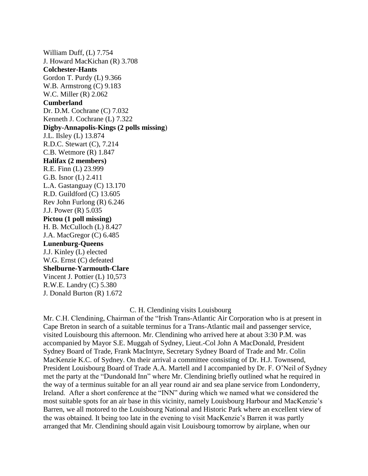William Duff, (L) 7.754 J. Howard MacKichan (R) 3.708 **Colchester-Hants** Gordon T. Purdy (L) 9.366 W.B. Armstrong (C) 9.183 W.C. Miller (R) 2.062 **Cumberland** Dr. D.M. Cochrane (C) 7.032 Kenneth J. Cochrane (L) 7.322 **Digby-Annapolis-Kings (2 polls missing**) J.L. Ilsley (L) 13.874 R.D.C. Stewart (C), 7.214 C.B. Wetmore (R) 1.847 **Halifax (2 members)** R.E. Finn (L) 23.999 G.B. Isnor (L) 2.411 L.A. Gastanguay (C) 13.170 R.D. Guildford (C) 13.605 Rev John Furlong (R) 6.246 J.J. Power (R) 5.035 **Pictou (1 poll missing)** H. B. McCulloch (L) 8.427 J.A. MacGregor (C) 6.485 **Lunenburg-Queens** J.J. Kinley (L) elected W.G. Ernst (C) defeated **Shelburne-Yarmouth-Clare** Vincent J. Pottier (L) 10,573 R.W.E. Landry (C) 5.380 J. Donald Burton (R) 1.672

#### C. H. Clendining visits Louisbourg

Mr. C.H. Clendining, Chairman of the "Irish Trans-Atlantic Air Corporation who is at present in Cape Breton in search of a suitable terminus for a Trans-Atlantic mail and passenger service, visited Louisbourg this afternoon. Mr. Clendining who arrived here at about 3:30 P.M. was accompanied by Mayor S.E. Muggah of Sydney, Lieut.-Col John A MacDonald, President Sydney Board of Trade, Frank MacIntyre, Secretary Sydney Board of Trade and Mr. Colin MacKenzie K.C. of Sydney. On their arrival a committee consisting of Dr. H.J. Townsend, President Louisbourg Board of Trade A.A. Martell and I accompanied by Dr. F. O'Neil of Sydney met the party at the "Dundonald Inn" where Mr. Clendining briefly outlined what he required in the way of a terminus suitable for an all year round air and sea plane service from Londonderry, Ireland. After a short conference at the "INN" during which we named what we considered the most suitable spots for an air base in this vicinity, namely Louisbourg Harbour and MacKenzie's Barren, we all motored to the Louisbourg National and Historic Park where an excellent view of the was obtained. It being too late in the evening to visit MacKenzie's Barren it was partly arranged that Mr. Clendining should again visit Louisbourg tomorrow by airplane, when our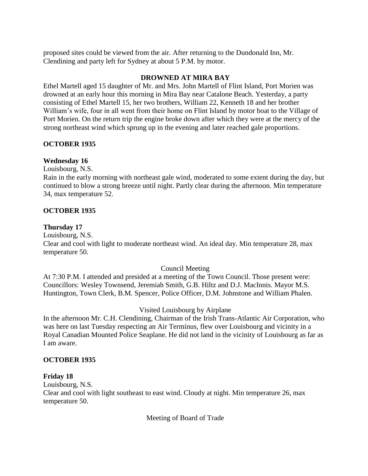proposed sites could be viewed from the air. After returning to the Dundonald Inn, Mr. Clendining and party left for Sydney at about 5 P.M. by motor.

## **DROWNED AT MIRA BAY**

Ethel Martell aged 15 daughter of Mr. and Mrs. John Martell of Flint Island, Port Morien was drowned at an early hour this morning in Mira Bay near Catalone Beach. Yesterday, a party consisting of Ethel Martell 15, her two brothers, William 22, Kenneth 18 and her brother William's wife, four in all went from their home on Flint Island by motor boat to the Village of Port Morien. On the return trip the engine broke down after which they were at the mercy of the strong northeast wind which sprung up in the evening and later reached gale proportions.

## **OCTOBER 1935**

## **Wednesday 16**

Louisbourg, N.S.

Rain in the early morning with northeast gale wind, moderated to some extent during the day, but continued to blow a strong breeze until night. Partly clear during the afternoon. Min temperature 34, max temperature 52.

## **OCTOBER 1935**

### **Thursday 17**

Louisbourg, N.S. Clear and cool with light to moderate northeast wind. An ideal day. Min temperature 28, max temperature 50.

# Council Meeting

At 7:30 P.M. I attended and presided at a meeting of the Town Council. Those present were: Councillors: Wesley Townsend, Jeremiah Smith, G.B. Hiltz and D.J. MacInnis. Mayor M.S. Huntington, Town Clerk, B.M. Spencer, Police Officer, D.M. Johnstone and William Phalen.

# Visited Louisbourg by Airplane

In the afternoon Mr. C.H. Clendining, Chairman of the Irish Trans-Atlantic Air Corporation, who was here on last Tuesday respecting an Air Terminus, flew over Louisbourg and vicinity in a Royal Canadian Mounted Police Seaplane. He did not land in the vicinity of Louisbourg as far as I am aware.

### **OCTOBER 1935**

# **Friday 18**

Louisbourg, N.S. Clear and cool with light southeast to east wind. Cloudy at night. Min temperature 26, max temperature 50.

Meeting of Board of Trade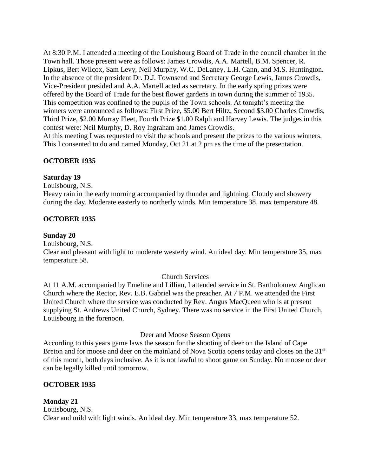At 8:30 P.M. I attended a meeting of the Louisbourg Board of Trade in the council chamber in the Town hall. Those present were as follows: James Crowdis, A.A. Martell, B.M. Spencer, R. Lipkus, Bert Wilcox, Sam Levy, Neil Murphy, W.C. DeLaney, L.H. Cann, and M.S. Huntington. In the absence of the president Dr. D.J. Townsend and Secretary George Lewis, James Crowdis, Vice-President presided and A.A. Martell acted as secretary. In the early spring prizes were offered by the Board of Trade for the best flower gardens in town during the summer of 1935. This competition was confined to the pupils of the Town schools. At tonight's meeting the winners were announced as follows: First Prize, \$5.00 Bert Hiltz, Second \$3.00 Charles Crowdis, Third Prize, \$2.00 Murray Fleet, Fourth Prize \$1.00 Ralph and Harvey Lewis. The judges in this contest were: Neil Murphy, D. Roy Ingraham and James Crowdis.

At this meeting I was requested to visit the schools and present the prizes to the various winners. This I consented to do and named Monday, Oct 21 at 2 pm as the time of the presentation.

## **OCTOBER 1935**

### **Saturday 19**

Louisbourg, N.S.

Heavy rain in the early morning accompanied by thunder and lightning. Cloudy and showery during the day. Moderate easterly to northerly winds. Min temperature 38, max temperature 48.

### **OCTOBER 1935**

#### **Sunday 20**

Louisbourg, N.S.

Clear and pleasant with light to moderate westerly wind. An ideal day. Min temperature 35, max temperature 58.

#### Church Services

At 11 A.M. accompanied by Emeline and Lillian, I attended service in St. Bartholomew Anglican Church where the Rector, Rev. E.B. Gabriel was the preacher. At 7 P.M. we attended the First United Church where the service was conducted by Rev. Angus MacQueen who is at present supplying St. Andrews United Church, Sydney. There was no service in the First United Church, Louisbourg in the forenoon.

#### Deer and Moose Season Opens

According to this years game laws the season for the shooting of deer on the Island of Cape Breton and for moose and deer on the mainland of Nova Scotia opens today and closes on the 31<sup>st</sup> of this month, both days inclusive. As it is not lawful to shoot game on Sunday. No moose or deer can be legally killed until tomorrow.

### **OCTOBER 1935**

### **Monday 21**

Louisbourg, N.S. Clear and mild with light winds. An ideal day. Min temperature 33, max temperature 52.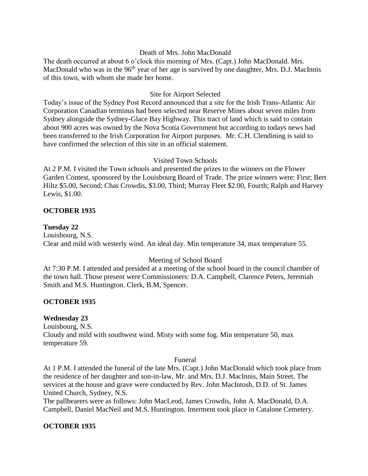## Death of Mrs. John MacDonald

The death occurred at about 6 o'clock this morning of Mrs. (Capt.) John MacDonald. Mrs. MacDonald who was in the  $96<sup>th</sup>$  year of her age is survived by one daughter, Mrs. D.J. MacInnis of this town, with whom she made her home.

## Site for Airport Selected

Today's issue of the Sydney Post Record announced that a site for the Irish Trans-Atlantic Air Corporation Canadian terminus had been selected near Reserve Mines about seven miles from Sydney alongside the Sydney-Glace Bay Highway. This tract of land which is said to contain about 900 acres was owned by the Nova Scotia Government but according to todays news had been transferred to the Irish Corporation for Airport purposes. Mr. C.H. Clendining is said to have confirmed the selection of this site in an official statement.

### Visited Town Schools

At 2 P.M. I visited the Town schools and presented the prizes to the winners on the Flower Garden Contest, sponsored by the Louisbourg Board of Trade. The prize winners were: First; Bert Hiltz \$5.00, Second; Chas Crowdis, \$3.00, Third; Murray Fleet \$2.00, Fourth; Ralph and Harvey Lewis, \$1.00.

## **OCTOBER 1935**

## **Tuesday 22**

Louisbourg, N.S. Clear and mild with westerly wind. An ideal day. Min temperature 34, max temperature 55.

# Meeting of School Board

At 7:30 P.M. I attended and presided at a meeting of the school board in the council chamber of the town hall. Those present were Commissioners: D.A. Campbell, Clarence Peters, Jeremiah Smith and M.S. Huntington. Clerk, B.M, Spencer.

### **OCTOBER 1935**

# **Wednesday 23**

Louisbourg, N.S. Cloudy and mild with southwest wind. Misty with some fog. Min temperature 50, max temperature 59.

### Funeral

At 1 P.M. I attended the funeral of the late Mrs. (Capt.) John MacDonald which took place from the residence of her daughter and son-in-law, Mr. and Mrs. D.J. MacInnis, Main Street. The services at the house and grave were conducted by Rev. John MacIntosh, D.D. of St. James United Church, Sydney, N.S.

The pallbearers were as follows: John MacLeod, James Crowdis, John A. MacDonald, D.A. Campbell, Daniel MacNeil and M.S. Huntington. Interment took place in Catalone Cemetery.

# **OCTOBER 1935**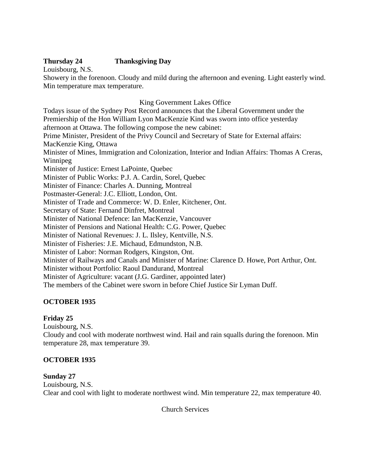# **Thursday 24 Thanksgiving Day**

Louisbourg, N.S.

Showery in the forenoon. Cloudy and mild during the afternoon and evening. Light easterly wind. Min temperature max temperature.

# King Government Lakes Office

Todays issue of the Sydney Post Record announces that the Liberal Government under the Premiership of the Hon William Lyon MacKenzie Kind was sworn into office yesterday afternoon at Ottawa. The following compose the new cabinet: Prime Minister, President of the Privy Council and Secretary of State for External affairs: MacKenzie King, Ottawa Minister of Mines, Immigration and Colonization, Interior and Indian Affairs: Thomas A Creras, Winnipeg Minister of Justice: Ernest LaPointe, Quebec Minister of Public Works: P.J. A. Cardin, Sorel, Quebec Minister of Finance: Charles A. Dunning, Montreal Postmaster-General: J.C. Elliott, London, Ont. Minister of Trade and Commerce: W. D. Enler, Kitchener, Ont. Secretary of State: Fernand Dinfret, Montreal Minister of National Defence: Ian MacKenzie, Vancouver Minister of Pensions and National Health: C.G. Power, Quebec Minister of National Revenues: J. L. Ilsley, Kentville, N.S. Minister of Fisheries: J.E. Michaud, Edmundston, N.B. Minister of Labor: Norman Rodgers, Kingston, Ont. Minister of Railways and Canals and Minister of Marine: Clarence D. Howe, Port Arthur, Ont. Minister without Portfolio: Raoul Dandurand, Montreal Minister of Agriculture: vacant (J.G. Gardiner, appointed later) The members of the Cabinet were sworn in before Chief Justice Sir Lyman Duff.

# **OCTOBER 1935**

# **Friday 25**

Louisbourg, N.S.

Cloudy and cool with moderate northwest wind. Hail and rain squalls during the forenoon. Min temperature 28, max temperature 39.

# **OCTOBER 1935**

# **Sunday 27**

Louisbourg, N.S. Clear and cool with light to moderate northwest wind. Min temperature 22, max temperature 40.

Church Services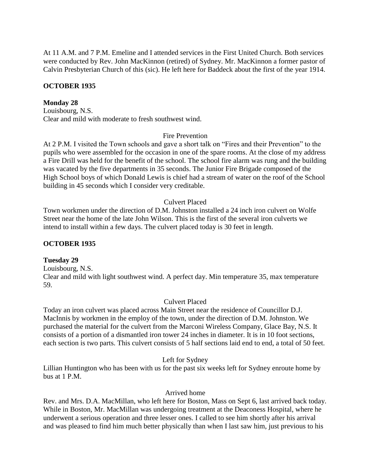At 11 A.M. and 7 P.M. Emeline and I attended services in the First United Church. Both services were conducted by Rev. John MacKinnon (retired) of Sydney. Mr. MacKinnon a former pastor of Calvin Presbyterian Church of this (sic). He left here for Baddeck about the first of the year 1914.

### **OCTOBER 1935**

### **Monday 28**

Louisbourg, N.S. Clear and mild with moderate to fresh southwest wind.

## Fire Prevention

At 2 P.M. I visited the Town schools and gave a short talk on "Fires and their Prevention" to the pupils who were assembled for the occasion in one of the spare rooms. At the close of my address a Fire Drill was held for the benefit of the school. The school fire alarm was rung and the building was vacated by the five departments in 35 seconds. The Junior Fire Brigade composed of the High School boys of which Donald Lewis is chief had a stream of water on the roof of the School building in 45 seconds which I consider very creditable.

## Culvert Placed

Town workmen under the direction of D.M. Johnston installed a 24 inch iron culvert on Wolfe Street near the home of the late John Wilson. This is the first of the several iron culverts we intend to install within a few days. The culvert placed today is 30 feet in length.

### **OCTOBER 1935**

### **Tuesday 29**

Louisbourg, N.S. Clear and mild with light southwest wind. A perfect day. Min temperature 35, max temperature 59.

### Culvert Placed

Today an iron culvert was placed across Main Street near the residence of Councillor D.J. MacInnis by workmen in the employ of the town, under the direction of D.M. Johnston. We purchased the material for the culvert from the Marconi Wireless Company, Glace Bay, N.S. It consists of a portion of a dismantled iron tower 24 inches in diameter. It is in 10 foot sections, each section is two parts. This culvert consists of 5 half sections laid end to end, a total of 50 feet.

### Left for Sydney

Lillian Huntington who has been with us for the past six weeks left for Sydney enroute home by bus at 1 P.M.

### Arrived home

Rev. and Mrs. D.A. MacMillan, who left here for Boston, Mass on Sept 6, last arrived back today. While in Boston, Mr. MacMillan was undergoing treatment at the Deaconess Hospital, where he underwent a serious operation and three lesser ones. I called to see him shortly after his arrival and was pleased to find him much better physically than when I last saw him, just previous to his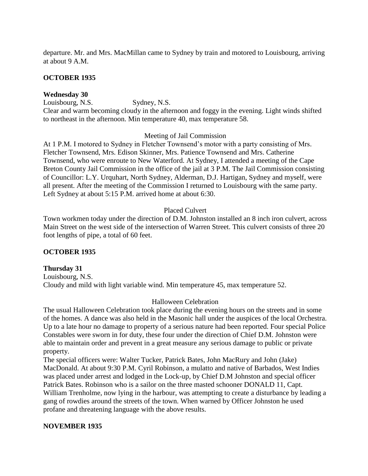departure. Mr. and Mrs. MacMillan came to Sydney by train and motored to Louisbourg, arriving at about 9 A.M.

### **OCTOBER 1935**

### **Wednesday 30**

Louisbourg, N.S. Sydney, N.S. Clear and warm becoming cloudy in the afternoon and foggy in the evening. Light winds shifted to northeast in the afternoon. Min temperature 40, max temperature 58.

### Meeting of Jail Commission

At 1 P.M. I motored to Sydney in Fletcher Townsend's motor with a party consisting of Mrs. Fletcher Townsend, Mrs. Edison Skinner, Mrs. Patience Townsend and Mrs. Catherine Townsend, who were enroute to New Waterford. At Sydney, I attended a meeting of the Cape Breton County Jail Commission in the office of the jail at 3 P.M. The Jail Commission consisting of Councillor: L.Y. Urquhart, North Sydney, Alderman, D.J. Hartigan, Sydney and myself, were all present. After the meeting of the Commission I returned to Louisbourg with the same party. Left Sydney at about 5:15 P.M. arrived home at about 6:30.

### Placed Culvert

Town workmen today under the direction of D.M. Johnston installed an 8 inch iron culvert, across Main Street on the west side of the intersection of Warren Street. This culvert consists of three 20 foot lengths of pipe, a total of 60 feet.

### **OCTOBER 1935**

## **Thursday 31** Louisbourg, N.S. Cloudy and mild with light variable wind. Min temperature 45, max temperature 52.

### Halloween Celebration

The usual Halloween Celebration took place during the evening hours on the streets and in some of the homes. A dance was also held in the Masonic hall under the auspices of the local Orchestra. Up to a late hour no damage to property of a serious nature had been reported. Four special Police Constables were sworn in for duty, these four under the direction of Chief D.M. Johnston were able to maintain order and prevent in a great measure any serious damage to public or private property.

The special officers were: Walter Tucker, Patrick Bates, John MacRury and John (Jake) MacDonald. At about 9:30 P.M. Cyril Robinson, a mulatto and native of Barbados, West Indies was placed under arrest and lodged in the Lock-up, by Chief D.M Johnston and special officer Patrick Bates. Robinson who is a sailor on the three masted schooner DONALD 11, Capt. William Trenholme, now lying in the harbour, was attempting to create a disturbance by leading a gang of rowdies around the streets of the town. When warned by Officer Johnston he used profane and threatening language with the above results.

### **NOVEMBER 1935**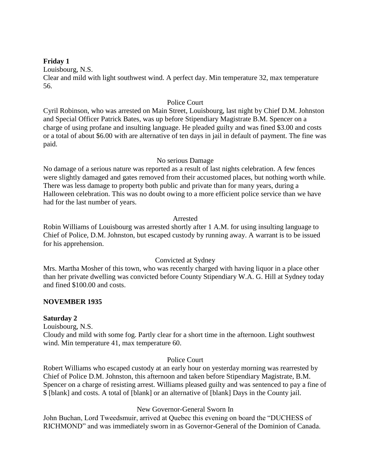### **Friday 1**

Louisbourg, N.S.

Clear and mild with light southwest wind. A perfect day. Min temperature 32, max temperature 56.

## Police Court

Cyril Robinson, who was arrested on Main Street, Louisbourg, last night by Chief D.M. Johnston and Special Officer Patrick Bates, was up before Stipendiary Magistrate B.M. Spencer on a charge of using profane and insulting language. He pleaded guilty and was fined \$3.00 and costs or a total of about \$6.00 with are alternative of ten days in jail in default of payment. The fine was paid.

## No serious Damage

No damage of a serious nature was reported as a result of last nights celebration. A few fences were slightly damaged and gates removed from their accustomed places, but nothing worth while. There was less damage to property both public and private than for many years, during a Halloween celebration. This was no doubt owing to a more efficient police service than we have had for the last number of years.

## Arrested

Robin Williams of Louisbourg was arrested shortly after 1 A.M. for using insulting language to Chief of Police, D.M. Johnston, but escaped custody by running away. A warrant is to be issued for his apprehension.

# Convicted at Sydney

Mrs. Martha Mosher of this town, who was recently charged with having liquor in a place other than her private dwelling was convicted before County Stipendiary W.A. G. Hill at Sydney today and fined \$100.00 and costs.

# **NOVEMBER 1935**

# **Saturday 2**

Louisbourg, N.S.

Cloudy and mild with some fog. Partly clear for a short time in the afternoon. Light southwest wind. Min temperature 41, max temperature 60.

### Police Court

Robert Williams who escaped custody at an early hour on yesterday morning was rearrested by Chief of Police D.M. Johnston, this afternoon and taken before Stipendiary Magistrate, B.M. Spencer on a charge of resisting arrest. Williams pleased guilty and was sentenced to pay a fine of \$ [blank] and costs. A total of [blank] or an alternative of [blank] Days in the County jail.

### New Governor-General Sworn In

John Buchan, Lord Tweedsmuir, arrived at Quebec this evening on board the "DUCHESS of RICHMOND" and was immediately sworn in as Governor-General of the Dominion of Canada.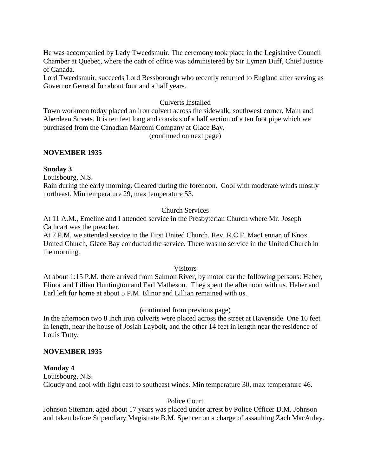He was accompanied by Lady Tweedsmuir. The ceremony took place in the Legislative Council Chamber at Quebec, where the oath of office was administered by Sir Lyman Duff, Chief Justice of Canada.

Lord Tweedsmuir, succeeds Lord Bessborough who recently returned to England after serving as Governor General for about four and a half years.

## Culverts Installed

Town workmen today placed an iron culvert across the sidewalk, southwest corner, Main and Aberdeen Streets. It is ten feet long and consists of a half section of a ten foot pipe which we purchased from the Canadian Marconi Company at Glace Bay.

(continued on next page)

### **NOVEMBER 1935**

### **Sunday 3**

Louisbourg, N.S.

Rain during the early morning. Cleared during the forenoon. Cool with moderate winds mostly northeast. Min temperature 29, max temperature 53.

## Church Services

At 11 A.M., Emeline and I attended service in the Presbyterian Church where Mr. Joseph Cathcart was the preacher.

At 7 P.M. we attended service in the First United Church. Rev. R.C.F. MacLennan of Knox United Church, Glace Bay conducted the service. There was no service in the United Church in the morning.

### **Visitors**

At about 1:15 P.M. there arrived from Salmon River, by motor car the following persons: Heber, Elinor and Lillian Huntington and Earl Matheson. They spent the afternoon with us. Heber and Earl left for home at about 5 P.M. Elinor and Lillian remained with us.

### (continued from previous page)

In the afternoon two 8 inch iron culverts were placed across the street at Havenside. One 16 feet in length, near the house of Josiah Laybolt, and the other 14 feet in length near the residence of Louis Tutty.

### **NOVEMBER 1935**

### **Monday 4**

Louisbourg, N.S. Cloudy and cool with light east to southeast winds. Min temperature 30, max temperature 46.

# Police Court

Johnson Siteman, aged about 17 years was placed under arrest by Police Officer D.M. Johnson and taken before Stipendiary Magistrate B.M. Spencer on a charge of assaulting Zach MacAulay.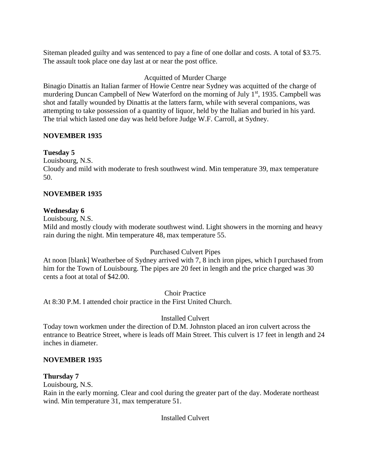Siteman pleaded guilty and was sentenced to pay a fine of one dollar and costs. A total of \$3.75. The assault took place one day last at or near the post office.

# Acquitted of Murder Charge

Binagio Dinattis an Italian farmer of Howie Centre near Sydney was acquitted of the charge of murdering Duncan Campbell of New Waterford on the morning of July  $1<sup>st</sup>$ , 1935. Campbell was shot and fatally wounded by Dinattis at the latters farm, while with several companions, was attempting to take possession of a quantity of liquor, held by the Italian and buried in his yard. The trial which lasted one day was held before Judge W.F. Carroll, at Sydney.

## **NOVEMBER 1935**

## **Tuesday 5**

Louisbourg, N.S.

Cloudy and mild with moderate to fresh southwest wind. Min temperature 39, max temperature 50.

## **NOVEMBER 1935**

## **Wednesday 6**

Louisbourg, N.S.

Mild and mostly cloudy with moderate southwest wind. Light showers in the morning and heavy rain during the night. Min temperature 48, max temperature 55.

### Purchased Culvert Pipes

At noon [blank] Weatherbee of Sydney arrived with 7, 8 inch iron pipes, which I purchased from him for the Town of Louisbourg. The pipes are 20 feet in length and the price charged was 30 cents a foot at total of \$42.00.

Choir Practice

At 8:30 P.M. I attended choir practice in the First United Church.

### Installed Culvert

Today town workmen under the direction of D.M. Johnston placed an iron culvert across the entrance to Beatrice Street, where is leads off Main Street. This culvert is 17 feet in length and 24 inches in diameter.

### **NOVEMBER 1935**

### **Thursday 7**

Louisbourg, N.S.

Rain in the early morning. Clear and cool during the greater part of the day. Moderate northeast wind. Min temperature 31, max temperature 51.

Installed Culvert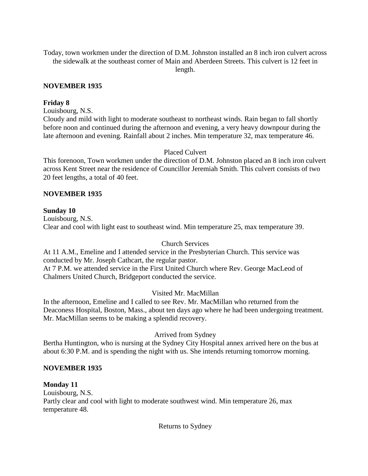Today, town workmen under the direction of D.M. Johnston installed an 8 inch iron culvert across the sidewalk at the southeast corner of Main and Aberdeen Streets. This culvert is 12 feet in length.

## **NOVEMBER 1935**

### **Friday 8**

Louisbourg, N.S.

Cloudy and mild with light to moderate southeast to northeast winds. Rain began to fall shortly before noon and continued during the afternoon and evening, a very heavy downpour during the late afternoon and evening. Rainfall about 2 inches. Min temperature 32, max temperature 46.

# Placed Culvert

This forenoon, Town workmen under the direction of D.M. Johnston placed an 8 inch iron culvert across Kent Street near the residence of Councillor Jeremiah Smith. This culvert consists of two 20 feet lengths, a total of 40 feet.

## **NOVEMBER 1935**

## **Sunday 10**

Louisbourg, N.S. Clear and cool with light east to southeast wind. Min temperature 25, max temperature 39.

# Church Services

At 11 A.M., Emeline and I attended service in the Presbyterian Church. This service was conducted by Mr. Joseph Cathcart, the regular pastor.

At 7 P.M. we attended service in the First United Church where Rev. George MacLeod of Chalmers United Church, Bridgeport conducted the service.

# Visited Mr. MacMillan

In the afternoon, Emeline and I called to see Rev. Mr. MacMillan who returned from the Deaconess Hospital, Boston, Mass., about ten days ago where he had been undergoing treatment. Mr. MacMillan seems to be making a splendid recovery.

# Arrived from Sydney

Bertha Huntington, who is nursing at the Sydney City Hospital annex arrived here on the bus at about 6:30 P.M. and is spending the night with us. She intends returning tomorrow morning.

### **NOVEMBER 1935**

### **Monday 11**

Louisbourg, N.S. Partly clear and cool with light to moderate southwest wind. Min temperature 26, max temperature 48.

Returns to Sydney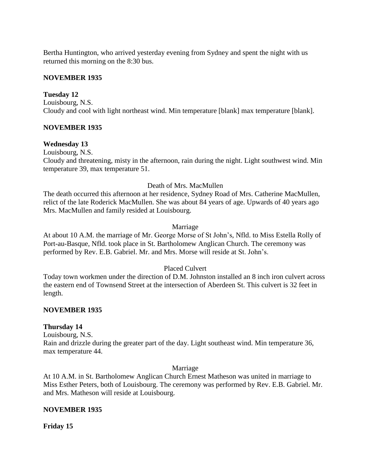Bertha Huntington, who arrived yesterday evening from Sydney and spent the night with us returned this morning on the 8:30 bus.

### **NOVEMBER 1935**

### **Tuesday 12**

Louisbourg, N.S. Cloudy and cool with light northeast wind. Min temperature [blank] max temperature [blank].

## **NOVEMBER 1935**

## **Wednesday 13**

Louisbourg, N.S.

Cloudy and threatening, misty in the afternoon, rain during the night. Light southwest wind. Min temperature 39, max temperature 51.

## Death of Mrs. MacMullen

The death occurred this afternoon at her residence, Sydney Road of Mrs. Catherine MacMullen, relict of the late Roderick MacMullen. She was about 84 years of age. Upwards of 40 years ago Mrs. MacMullen and family resided at Louisbourg.

### Marriage

At about 10 A.M. the marriage of Mr. George Morse of St John's, Nfld. to Miss Estella Rolly of Port-au-Basque, Nfld. took place in St. Bartholomew Anglican Church. The ceremony was performed by Rev. E.B. Gabriel. Mr. and Mrs. Morse will reside at St. John's.

### Placed Culvert

Today town workmen under the direction of D.M. Johnston installed an 8 inch iron culvert across the eastern end of Townsend Street at the intersection of Aberdeen St. This culvert is 32 feet in length.

### **NOVEMBER 1935**

### **Thursday 14**

Louisbourg, N.S. Rain and drizzle during the greater part of the day. Light southeast wind. Min temperature 36, max temperature 44.

### Marriage

At 10 A.M. in St. Bartholomew Anglican Church Ernest Matheson was united in marriage to Miss Esther Peters, both of Louisbourg. The ceremony was performed by Rev. E.B. Gabriel. Mr. and Mrs. Matheson will reside at Louisbourg.

### **NOVEMBER 1935**

**Friday 15**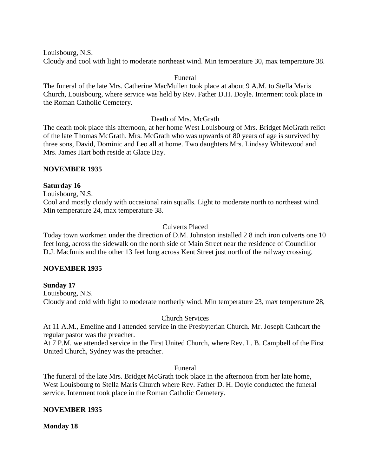Louisbourg, N.S. Cloudy and cool with light to moderate northeast wind. Min temperature 30, max temperature 38.

### Funeral

The funeral of the late Mrs. Catherine MacMullen took place at about 9 A.M. to Stella Maris Church, Louisbourg, where service was held by Rev. Father D.H. Doyle. Interment took place in the Roman Catholic Cemetery.

## Death of Mrs. McGrath

The death took place this afternoon, at her home West Louisbourg of Mrs. Bridget McGrath relict of the late Thomas McGrath. Mrs. McGrath who was upwards of 80 years of age is survived by three sons, David, Dominic and Leo all at home. Two daughters Mrs. Lindsay Whitewood and Mrs. James Hart both reside at Glace Bay.

## **NOVEMBER 1935**

## **Saturday 16**

Louisbourg, N.S.

Cool and mostly cloudy with occasional rain squalls. Light to moderate north to northeast wind. Min temperature 24, max temperature 38.

## Culverts Placed

Today town workmen under the direction of D.M. Johnston installed 2 8 inch iron culverts one 10 feet long, across the sidewalk on the north side of Main Street near the residence of Councillor D.J. MacInnis and the other 13 feet long across Kent Street just north of the railway crossing.

### **NOVEMBER 1935**

**Sunday 17** Louisbourg, N.S. Cloudy and cold with light to moderate northerly wind. Min temperature 23, max temperature 28,

### Church Services

At 11 A.M., Emeline and I attended service in the Presbyterian Church. Mr. Joseph Cathcart the regular pastor was the preacher.

At 7 P.M. we attended service in the First United Church, where Rev. L. B. Campbell of the First United Church, Sydney was the preacher.

### Funeral

The funeral of the late Mrs. Bridget McGrath took place in the afternoon from her late home, West Louisbourg to Stella Maris Church where Rev. Father D. H. Doyle conducted the funeral service. Interment took place in the Roman Catholic Cemetery.

# **NOVEMBER 1935**

### **Monday 18**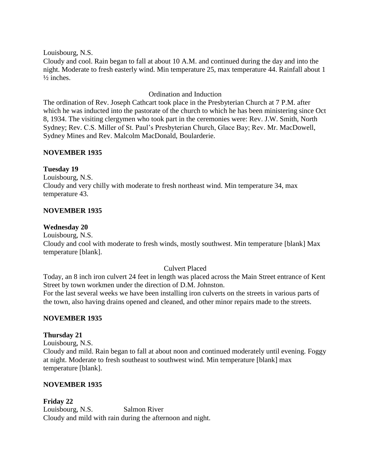Louisbourg, N.S. Cloudy and cool. Rain began to fall at about 10 A.M. and continued during the day and into the night. Moderate to fresh easterly wind. Min temperature 25, max temperature 44. Rainfall about 1  $\frac{1}{2}$  inches.

# Ordination and Induction

The ordination of Rev. Joseph Cathcart took place in the Presbyterian Church at 7 P.M. after which he was inducted into the pastorate of the church to which he has been ministering since Oct 8, 1934. The visiting clergymen who took part in the ceremonies were: Rev. J.W. Smith, North Sydney; Rev. C.S. Miller of St. Paul's Presbyterian Church, Glace Bay; Rev. Mr. MacDowell, Sydney Mines and Rev. Malcolm MacDonald, Boularderie.

# **NOVEMBER 1935**

**Tuesday 19**

Louisbourg, N.S. Cloudy and very chilly with moderate to fresh northeast wind. Min temperature 34, max temperature 43.

# **NOVEMBER 1935**

## **Wednesday 20**

Louisbourg, N.S.

Cloudy and cool with moderate to fresh winds, mostly southwest. Min temperature [blank] Max temperature [blank].

### Culvert Placed

Today, an 8 inch iron culvert 24 feet in length was placed across the Main Street entrance of Kent Street by town workmen under the direction of D.M. Johnston.

For the last several weeks we have been installing iron culverts on the streets in various parts of the town, also having drains opened and cleaned, and other minor repairs made to the streets.

# **NOVEMBER 1935**

# **Thursday 21**

Louisbourg, N.S. Cloudy and mild. Rain began to fall at about noon and continued moderately until evening. Foggy at night. Moderate to fresh southeast to southwest wind. Min temperature [blank] max temperature [blank].

# **NOVEMBER 1935**

# **Friday 22**

Louisbourg, N.S. Salmon River Cloudy and mild with rain during the afternoon and night.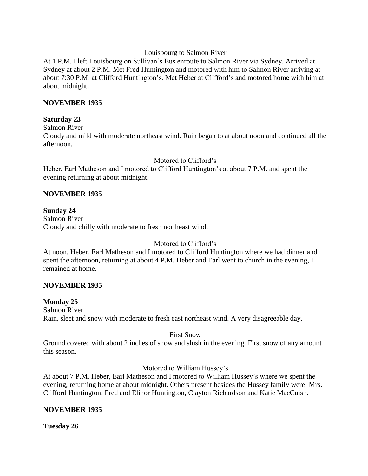### Louisbourg to Salmon River

At 1 P.M. I left Louisbourg on Sullivan's Bus enroute to Salmon River via Sydney. Arrived at Sydney at about 2 P.M. Met Fred Huntington and motored with him to Salmon River arriving at about 7:30 P.M. at Clifford Huntington's. Met Heber at Clifford's and motored home with him at about midnight.

## **NOVEMBER 1935**

# **Saturday 23**

Salmon River

Cloudy and mild with moderate northeast wind. Rain began to at about noon and continued all the afternoon.

# Motored to Clifford's

Heber, Earl Matheson and I motored to Clifford Huntington's at about 7 P.M. and spent the evening returning at about midnight.

# **NOVEMBER 1935**

### **Sunday 24** Salmon River Cloudy and chilly with moderate to fresh northeast wind.

# Motored to Clifford's

At noon, Heber, Earl Matheson and I motored to Clifford Huntington where we had dinner and spent the afternoon, returning at about 4 P.M. Heber and Earl went to church in the evening, I remained at home.

# **NOVEMBER 1935**

# **Monday 25**

Salmon River Rain, sleet and snow with moderate to fresh east northeast wind. A very disagreeable day.

First Snow

Ground covered with about 2 inches of snow and slush in the evening. First snow of any amount this season.

Motored to William Hussey's

At about 7 P.M. Heber, Earl Matheson and I motored to William Hussey's where we spent the evening, returning home at about midnight. Others present besides the Hussey family were: Mrs. Clifford Huntington, Fred and Elinor Huntington, Clayton Richardson and Katie MacCuish.

# **NOVEMBER 1935**

**Tuesday 26**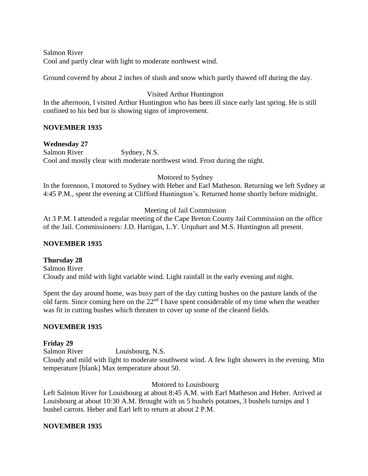Salmon River Cool and partly clear with light to moderate northwest wind.

Ground covered by about 2 inches of slush and snow which partly thawed off during the day.

# Visited Arthur Huntington

In the afternoon, I visited Arthur Huntington who has been ill since early last spring. He is still confined to his bed but is showing signs of improvement.

# **NOVEMBER 1935**

# **Wednesday 27**

Salmon River Sydney, N.S. Cool and mostly clear with moderate northwest wind. Frost during the night.

# Motored to Sydney

In the forenoon, I motored to Sydney with Heber and Earl Matheson. Returning we left Sydney at 4:45 P.M., spent the evening at Clifford Huntington's. Returned home shortly before midnight.

# Meeting of Jail Commission

At 3 P.M. I attended a regular meeting of the Cape Breton County Jail Commission on the office of the Jail. Commissioners: J.D. Hartigan, L.Y. Urquhart and M.S. Huntington all present.

# **NOVEMBER 1935**

# **Thursday 28**

Salmon River Cloudy and mild with light variable wind. Light rainfall in the early evening and night.

Spent the day around home, was busy part of the day cutting bushes on the pasture lands of the old farm. Since coming here on the 22nd I have spent considerable of my time when the weather was fit in cutting bushes which threaten to cover up some of the cleared fields.

# **NOVEMBER 1935**

# **Friday 29**

Salmon River Louisbourg, N.S. Cloudy and mild with light to moderate southwest wind. A few light showers in the evening. Min temperature [blank] Max temperature about 50.

Motored to Louisbourg

Left Salmon River for Louisbourg at about 8:45 A.M. with Earl Matheson and Heber. Arrived at Louisbourg at about 10:30 A.M. Brought with us 5 bushels potatoes, 3 bushels turnips and 1 bushel carrots. Heber and Earl left to return at about 2 P.M.

# **NOVEMBER 1935**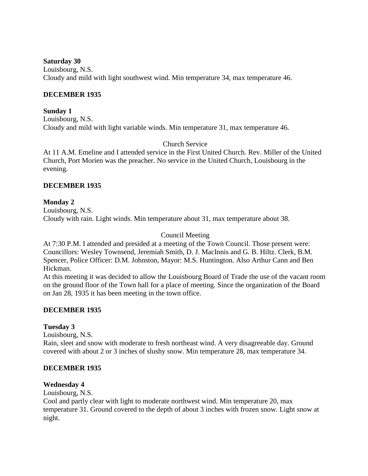**Saturday 30**

Louisbourg, N.S. Cloudy and mild with light southwest wind. Min temperature 34, max temperature 46.

## **DECEMBER 1935**

### **Sunday 1** Louisbourg, N.S. Cloudy and mild with light variable winds. Min temperature 31, max temperature 46.

Church Service

At 11 A.M. Emeline and I attended service in the First United Church. Rev. Miller of the United Church, Port Morien was the preacher. No service in the United Church, Louisbourg in the evening.

## **DECEMBER 1935**

### **Monday 2**

Louisbourg, N.S. Cloudy with rain. Light winds. Min temperature about 31, max temperature about 38.

## Council Meeting

At 7:30 P.M. I attended and presided at a meeting of the Town Council. Those present were: Councillors: Wesley Townsend, Jeremiah Smith, D. J. MacInnis and G. B. Hiltz. Clerk, B.M. Spencer, Police Officer: D.M. Johnston, Mayor: M.S. Huntington. Also Arthur Cann and Ben Hickman.

At this meeting it was decided to allow the Louisbourg Board of Trade the use of the vacant room on the ground floor of the Town hall for a place of meeting. Since the organization of the Board on Jan 28, 1935 it has been meeting in the town office.

### **DECEMBER 1935**

# **Tuesday 3**

Louisbourg, N.S.

Rain, sleet and snow with moderate to fresh northeast wind. A very disagreeable day. Ground covered with about 2 or 3 inches of slushy snow. Min temperature 28, max temperature 34.

### **DECEMBER 1935**

### **Wednesday 4**

Louisbourg, N.S.

Cool and partly clear with light to moderate northwest wind. Min temperature 20, max temperature 31. Ground covered to the depth of about 3 inches with frozen snow. Light snow at night.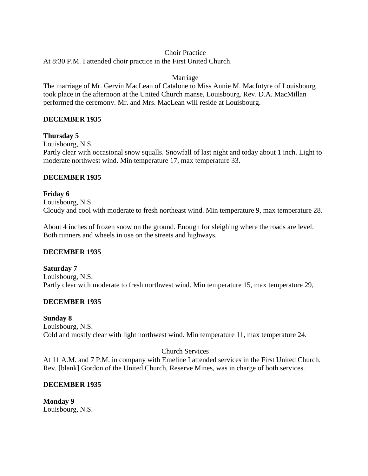## Choir Practice

At 8:30 P.M. I attended choir practice in the First United Church.

### Marriage

The marriage of Mr. Gervin MacLean of Catalone to Miss Annie M. MacIntyre of Louisbourg took place in the afternoon at the United Church manse, Louisbourg. Rev. D.A. MacMillan performed the ceremony. Mr. and Mrs. MacLean will reside at Louisbourg.

## **DECEMBER 1935**

## **Thursday 5**

Louisbourg, N.S.

Partly clear with occasional snow squalls. Snowfall of last night and today about 1 inch. Light to moderate northwest wind. Min temperature 17, max temperature 33.

## **DECEMBER 1935**

**Friday 6** Louisbourg, N.S. Cloudy and cool with moderate to fresh northeast wind. Min temperature 9, max temperature 28.

About 4 inches of frozen snow on the ground. Enough for sleighing where the roads are level. Both runners and wheels in use on the streets and highways.

# **DECEMBER 1935**

**Saturday 7** Louisbourg, N.S. Partly clear with moderate to fresh northwest wind. Min temperature 15, max temperature 29,

# **DECEMBER 1935**

### **Sunday 8**

Louisbourg, N.S. Cold and mostly clear with light northwest wind. Min temperature 11, max temperature 24.

# Church Services

At 11 A.M. and 7 P.M. in company with Emeline I attended services in the First United Church. Rev. [blank] Gordon of the United Church, Reserve Mines, was in charge of both services.

# **DECEMBER 1935**

**Monday 9** Louisbourg, N.S.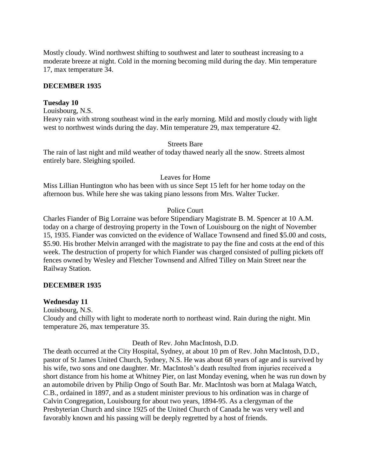Mostly cloudy. Wind northwest shifting to southwest and later to southeast increasing to a moderate breeze at night. Cold in the morning becoming mild during the day. Min temperature 17, max temperature 34.

#### **DECEMBER 1935**

#### **Tuesday 10**

Louisbourg, N.S.

Heavy rain with strong southeast wind in the early morning. Mild and mostly cloudy with light west to northwest winds during the day. Min temperature 29, max temperature 42.

#### Streets Bare

The rain of last night and mild weather of today thawed nearly all the snow. Streets almost entirely bare. Sleighing spoiled.

#### Leaves for Home

Miss Lillian Huntington who has been with us since Sept 15 left for her home today on the afternoon bus. While here she was taking piano lessons from Mrs. Walter Tucker.

#### Police Court

Charles Fiander of Big Lorraine was before Stipendiary Magistrate B. M. Spencer at 10 A.M. today on a charge of destroying property in the Town of Louisbourg on the night of November 15, 1935. Fiander was convicted on the evidence of Wallace Townsend and fined \$5.00 and costs, \$5.90. His brother Melvin arranged with the magistrate to pay the fine and costs at the end of this week. The destruction of property for which Fiander was charged consisted of pulling pickets off fences owned by Wesley and Fletcher Townsend and Alfred Tilley on Main Street near the Railway Station.

#### **DECEMBER 1935**

#### **Wednesday 11**

Louisbourg, N.S.

Cloudy and chilly with light to moderate north to northeast wind. Rain during the night. Min temperature 26, max temperature 35.

#### Death of Rev. John MacIntosh, D.D.

The death occurred at the City Hospital, Sydney, at about 10 pm of Rev. John MacIntosh, D.D., pastor of St James United Church, Sydney, N.S. He was about 68 years of age and is survived by his wife, two sons and one daughter. Mr. MacIntosh's death resulted from injuries received a short distance from his home at Whitney Pier, on last Monday evening, when he was run down by an automobile driven by Philip Ongo of South Bar. Mr. MacIntosh was born at Malaga Watch, C.B., ordained in 1897, and as a student minister previous to his ordination was in charge of Calvin Congregation, Louisbourg for about two years, 1894-95. As a clergyman of the Presbyterian Church and since 1925 of the United Church of Canada he was very well and favorably known and his passing will be deeply regretted by a host of friends.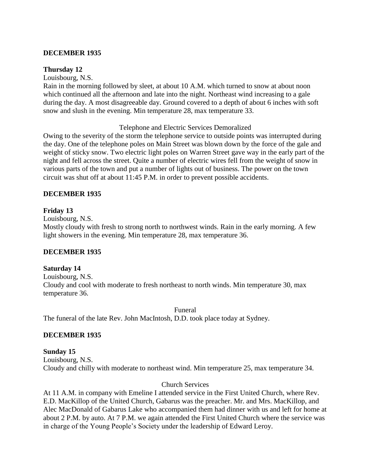## **DECEMBER 1935**

#### **Thursday 12**

Louisbourg, N.S.

Rain in the morning followed by sleet, at about 10 A.M. which turned to snow at about noon which continued all the afternoon and late into the night. Northeast wind increasing to a gale during the day. A most disagreeable day. Ground covered to a depth of about 6 inches with soft snow and slush in the evening. Min temperature 28, max temperature 33.

#### Telephone and Electric Services Demoralized

Owing to the severity of the storm the telephone service to outside points was interrupted during the day. One of the telephone poles on Main Street was blown down by the force of the gale and weight of sticky snow. Two electric light poles on Warren Street gave way in the early part of the night and fell across the street. Quite a number of electric wires fell from the weight of snow in various parts of the town and put a number of lights out of business. The power on the town circuit was shut off at about 11:45 P.M. in order to prevent possible accidents.

#### **DECEMBER 1935**

### **Friday 13**

Louisbourg, N.S.

Mostly cloudy with fresh to strong north to northwest winds. Rain in the early morning. A few light showers in the evening. Min temperature 28, max temperature 36.

### **DECEMBER 1935**

### **Saturday 14**

Louisbourg, N.S. Cloudy and cool with moderate to fresh northeast to north winds. Min temperature 30, max temperature 36.

Funeral The funeral of the late Rev. John MacIntosh, D.D. took place today at Sydney.

### **DECEMBER 1935**

#### **Sunday 15** Louisbourg, N.S.

Cloudy and chilly with moderate to northeast wind. Min temperature 25, max temperature 34.

### Church Services

At 11 A.M. in company with Emeline I attended service in the First United Church, where Rev. E.D. MacKillop of the United Church, Gabarus was the preacher. Mr. and Mrs. MacKillop, and Alec MacDonald of Gabarus Lake who accompanied them had dinner with us and left for home at about 2 P.M. by auto. At 7 P.M. we again attended the First United Church where the service was in charge of the Young People's Society under the leadership of Edward Leroy.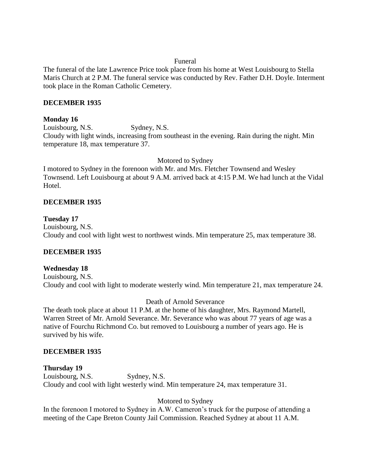## Funeral

The funeral of the late Lawrence Price took place from his home at West Louisbourg to Stella Maris Church at 2 P.M. The funeral service was conducted by Rev. Father D.H. Doyle. Interment took place in the Roman Catholic Cemetery.

## **DECEMBER 1935**

### **Monday 16**

Louisbourg, N.S. Sydney, N.S. Cloudy with light winds, increasing from southeast in the evening. Rain during the night. Min temperature 18, max temperature 37.

Motored to Sydney

I motored to Sydney in the forenoon with Mr. and Mrs. Fletcher Townsend and Wesley Townsend. Left Louisbourg at about 9 A.M. arrived back at 4:15 P.M. We had lunch at the Vidal Hotel.

## **DECEMBER 1935**

**Tuesday 17** Louisbourg, N.S. Cloudy and cool with light west to northwest winds. Min temperature 25, max temperature 38.

# **DECEMBER 1935**

# **Wednesday 18**

Louisbourg, N.S. Cloudy and cool with light to moderate westerly wind. Min temperature 21, max temperature 24.

### Death of Arnold Severance

The death took place at about 11 P.M. at the home of his daughter, Mrs. Raymond Martell, Warren Street of Mr. Arnold Severance. Mr. Severance who was about 77 years of age was a native of Fourchu Richmond Co. but removed to Louisbourg a number of years ago. He is survived by his wife.

### **DECEMBER 1935**

**Thursday 19** Louisbourg, N.S. Sydney, N.S. Cloudy and cool with light westerly wind. Min temperature 24, max temperature 31.

# Motored to Sydney

In the forenoon I motored to Sydney in A.W. Cameron's truck for the purpose of attending a meeting of the Cape Breton County Jail Commission. Reached Sydney at about 11 A.M.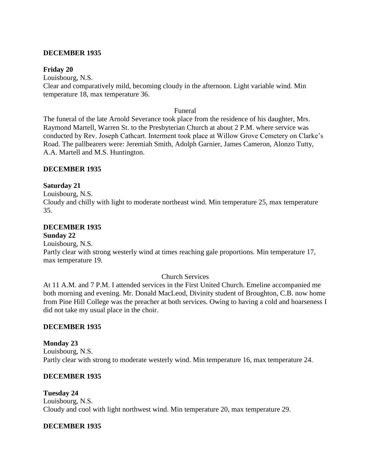### **DECEMBER 1935**

#### **Friday 20**

Louisbourg, N.S. Clear and comparatively mild, becoming cloudy in the afternoon. Light variable wind. Min temperature 18, max temperature 36.

#### Funeral

The funeral of the late Arnold Severance took place from the residence of his daughter, Mrs. Raymond Martell, Warren St. to the Presbyterian Church at about 2 P.M. where service was conducted by Rev. Joseph Cathcart. Interment took place at Willow Grove Cemetery on Clarke's Road. The pallbearers were: Jeremiah Smith, Adolph Garnier, James Cameron, Alonzo Tutty, A.A. Martell and M.S. Huntington.

### **DECEMBER 1935**

### **Saturday 21**

Louisbourg, N.S. Cloudy and chilly with light to moderate northeast wind. Min temperature 25, max temperature 35.

## **DECEMBER 1935**

#### **Sunday 22**

Louisbourg, N.S.

Partly clear with strong westerly wind at times reaching gale proportions. Min temperature 17, max temperature 19.

### Church Services

At 11 A.M. and 7 P.M. I attended services in the First United Church. Emeline accompanied me both morning and evening. Mr. Donald MacLeod, Divinity student of Broughton, C.B. now home from Pine Hill College was the preacher at both services. Owing to having a cold and hoarseness I did not take my usual place in the choir.

### **DECEMBER 1935**

#### **Monday 23** Louisbourg, N.S. Partly clear with strong to moderate westerly wind. Min temperature 16, max temperature 24.

### **DECEMBER 1935**

### **Tuesday 24**

Louisbourg, N.S. Cloudy and cool with light northwest wind. Min temperature 20, max temperature 29.

### **DECEMBER 1935**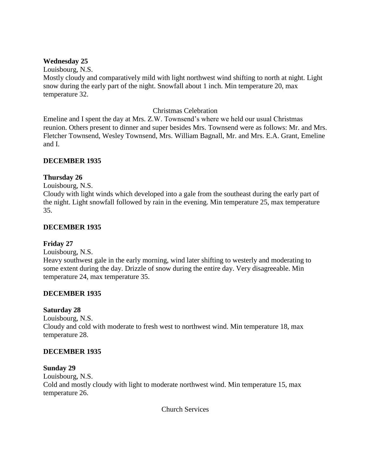### **Wednesday 25**

Louisbourg, N.S.

Mostly cloudy and comparatively mild with light northwest wind shifting to north at night. Light snow during the early part of the night. Snowfall about 1 inch. Min temperature 20, max temperature 32.

## Christmas Celebration

Emeline and I spent the day at Mrs. Z.W. Townsend's where we held our usual Christmas reunion. Others present to dinner and super besides Mrs. Townsend were as follows: Mr. and Mrs. Fletcher Townsend, Wesley Townsend, Mrs. William Bagnall, Mr. and Mrs. E.A. Grant, Emeline and I.

## **DECEMBER 1935**

# **Thursday 26**

Louisbourg, N.S.

Cloudy with light winds which developed into a gale from the southeast during the early part of the night. Light snowfall followed by rain in the evening. Min temperature 25, max temperature 35.

## **DECEMBER 1935**

### **Friday 27**

Louisbourg, N.S.

Heavy southwest gale in the early morning, wind later shifting to westerly and moderating to some extent during the day. Drizzle of snow during the entire day. Very disagreeable. Min temperature 24, max temperature 35.

### **DECEMBER 1935**

### **Saturday 28**

Louisbourg, N.S. Cloudy and cold with moderate to fresh west to northwest wind. Min temperature 18, max temperature 28.

# **DECEMBER 1935**

# **Sunday 29**

Louisbourg, N.S. Cold and mostly cloudy with light to moderate northwest wind. Min temperature 15, max temperature 26.

Church Services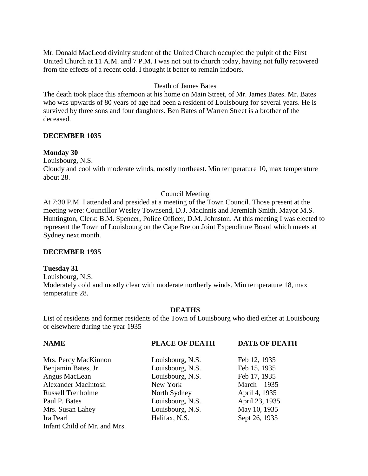Mr. Donald MacLeod divinity student of the United Church occupied the pulpit of the First United Church at 11 A.M. and 7 P.M. I was not out to church today, having not fully recovered from the effects of a recent cold. I thought it better to remain indoors.

### Death of James Bates

The death took place this afternoon at his home on Main Street, of Mr. James Bates. Mr. Bates who was upwards of 80 years of age had been a resident of Louisbourg for several years. He is survived by three sons and four daughters. Ben Bates of Warren Street is a brother of the deceased.

### **DECEMBER 1035**

#### **Monday 30**

Louisbourg, N.S.

Cloudy and cool with moderate winds, mostly northeast. Min temperature 10, max temperature about 28.

### Council Meeting

At 7:30 P.M. I attended and presided at a meeting of the Town Council. Those present at the meeting were: Councillor Wesley Townsend, D.J. MacInnis and Jeremiah Smith. Mayor M.S. Huntington, Clerk: B.M. Spencer, Police Officer, D.M. Johnston. At this meeting I was elected to represent the Town of Louisbourg on the Cape Breton Joint Expenditure Board which meets at Sydney next month.

### **DECEMBER 1935**

### **Tuesday 31**

Louisbourg, N.S. Moderately cold and mostly clear with moderate northerly winds. Min temperature 18, max temperature 28.

#### **DEATHS**

List of residents and former residents of the Town of Louisbourg who died either at Louisbourg or elsewhere during the year 1935

| <b>NAME</b>                  | <b>PLACE OF DEATH</b> | <b>DATE OF DEATH</b> |
|------------------------------|-----------------------|----------------------|
| Mrs. Percy MacKinnon         | Louisbourg, N.S.      | Feb 12, 1935         |
| Benjamin Bates, Jr           | Louisbourg, N.S.      | Feb 15, 1935         |
| Angus MacLean                | Louisbourg, N.S.      | Feb 17, 1935         |
| <b>Alexander MacIntosh</b>   | New York              | March 1935           |
| <b>Russell Trenholme</b>     | North Sydney          | April 4, 1935        |
| Paul P. Bates                | Louisbourg, N.S.      | April 23, 1935       |
| Mrs. Susan Lahey             | Louisbourg, N.S.      | May 10, 1935         |
| Ira Pearl                    | Halifax, N.S.         | Sept 26, 1935        |
| Infant Child of Mr. and Mrs. |                       |                      |